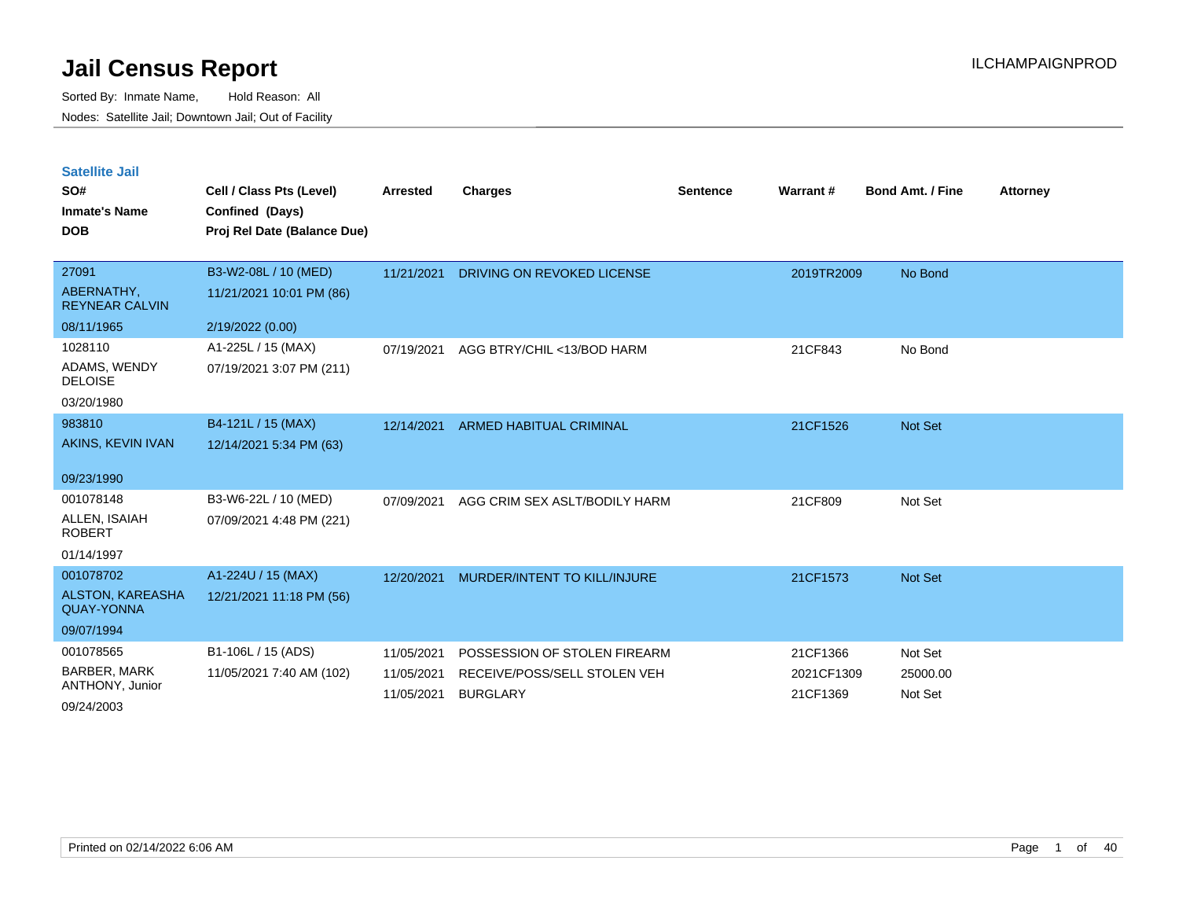| <b>Satellite Jail</b> |  |
|-----------------------|--|
|                       |  |

| SO#<br><b>Inmate's Name</b><br><b>DOB</b>                               | Cell / Class Pts (Level)<br>Confined (Days)<br>Proj Rel Date (Balance Due) | Arrested                               | <b>Charges</b>                                                                  | <b>Sentence</b> | Warrant #                          | <b>Bond Amt. / Fine</b>        | <b>Attorney</b> |
|-------------------------------------------------------------------------|----------------------------------------------------------------------------|----------------------------------------|---------------------------------------------------------------------------------|-----------------|------------------------------------|--------------------------------|-----------------|
| 27091<br>ABERNATHY,<br><b>REYNEAR CALVIN</b><br>08/11/1965              | B3-W2-08L / 10 (MED)<br>11/21/2021 10:01 PM (86)<br>2/19/2022 (0.00)       | 11/21/2021                             | DRIVING ON REVOKED LICENSE                                                      |                 | 2019TR2009                         | No Bond                        |                 |
| 1028110<br>ADAMS, WENDY<br><b>DELOISE</b><br>03/20/1980                 | A1-225L / 15 (MAX)<br>07/19/2021 3:07 PM (211)                             | 07/19/2021                             | AGG BTRY/CHIL <13/BOD HARM                                                      |                 | 21CF843                            | No Bond                        |                 |
| 983810<br>AKINS, KEVIN IVAN<br>09/23/1990                               | B4-121L / 15 (MAX)<br>12/14/2021 5:34 PM (63)                              | 12/14/2021                             | <b>ARMED HABITUAL CRIMINAL</b>                                                  |                 | 21CF1526                           | Not Set                        |                 |
| 001078148<br>ALLEN, ISAIAH<br><b>ROBERT</b><br>01/14/1997               | B3-W6-22L / 10 (MED)<br>07/09/2021 4:48 PM (221)                           | 07/09/2021                             | AGG CRIM SEX ASLT/BODILY HARM                                                   |                 | 21CF809                            | Not Set                        |                 |
| 001078702<br><b>ALSTON, KAREASHA</b><br><b>QUAY-YONNA</b><br>09/07/1994 | A1-224U / 15 (MAX)<br>12/21/2021 11:18 PM (56)                             | 12/20/2021                             | MURDER/INTENT TO KILL/INJURE                                                    |                 | 21CF1573                           | Not Set                        |                 |
| 001078565<br><b>BARBER, MARK</b><br>ANTHONY, Junior<br>09/24/2003       | B1-106L / 15 (ADS)<br>11/05/2021 7:40 AM (102)                             | 11/05/2021<br>11/05/2021<br>11/05/2021 | POSSESSION OF STOLEN FIREARM<br>RECEIVE/POSS/SELL STOLEN VEH<br><b>BURGLARY</b> |                 | 21CF1366<br>2021CF1309<br>21CF1369 | Not Set<br>25000.00<br>Not Set |                 |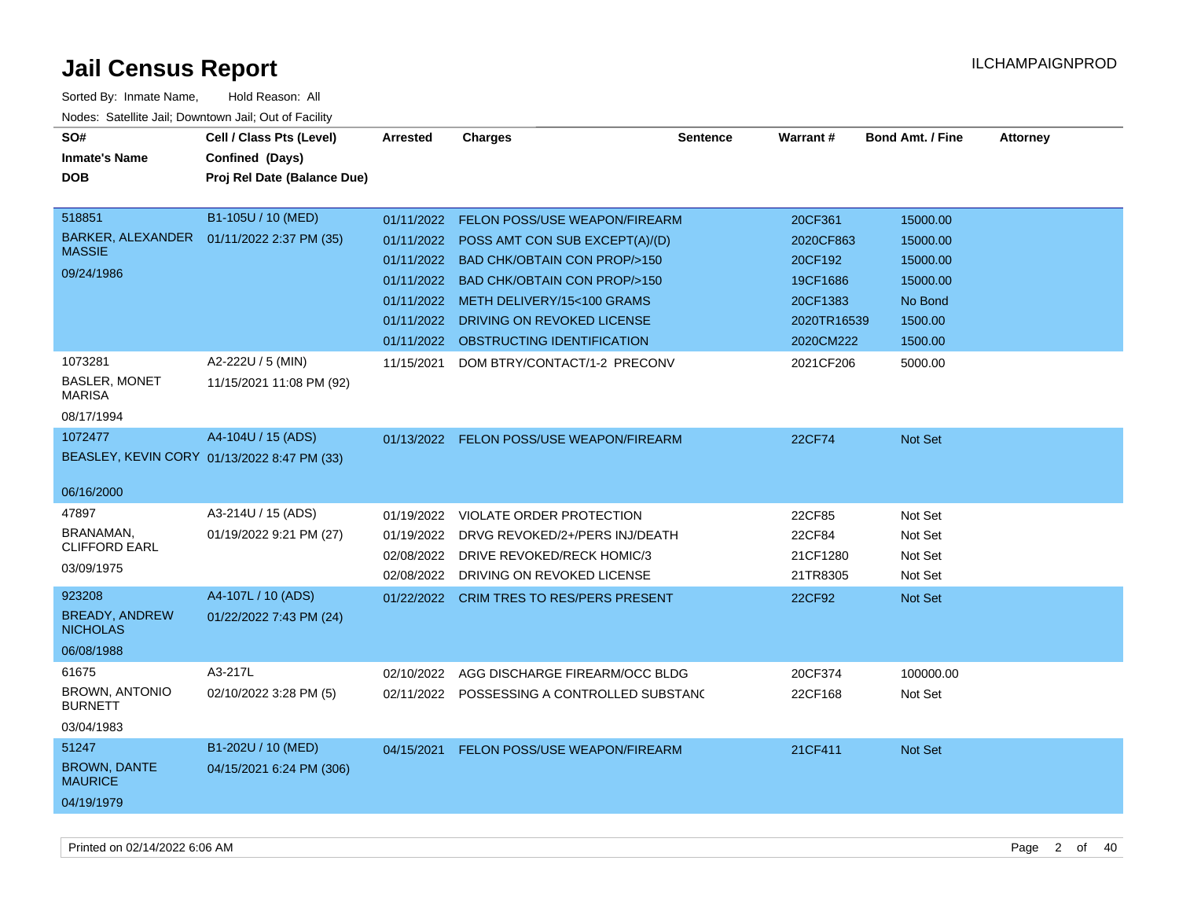| SO#<br><b>Inmate's Name</b><br><b>DOB</b>                          | Cell / Class Pts (Level)<br>Confined (Days)<br>Proj Rel Date (Balance Due) | <b>Arrested</b>                                                                  | <b>Charges</b>                                                                                                                                                                                                                                 | <b>Sentence</b> | Warrant#                                                                            | <b>Bond Amt. / Fine</b>                                                       | <b>Attorney</b> |
|--------------------------------------------------------------------|----------------------------------------------------------------------------|----------------------------------------------------------------------------------|------------------------------------------------------------------------------------------------------------------------------------------------------------------------------------------------------------------------------------------------|-----------------|-------------------------------------------------------------------------------------|-------------------------------------------------------------------------------|-----------------|
| 518851<br>BARKER, ALEXANDER<br><b>MASSIE</b><br>09/24/1986         | B1-105U / 10 (MED)<br>01/11/2022 2:37 PM (35)                              | 01/11/2022<br>01/11/2022<br>01/11/2022<br>01/11/2022<br>01/11/2022<br>01/11/2022 | FELON POSS/USE WEAPON/FIREARM<br>POSS AMT CON SUB EXCEPT(A)/(D)<br>01/11/2022 BAD CHK/OBTAIN CON PROP/>150<br><b>BAD CHK/OBTAIN CON PROP/&gt;150</b><br>METH DELIVERY/15<100 GRAMS<br>DRIVING ON REVOKED LICENSE<br>OBSTRUCTING IDENTIFICATION |                 | 20CF361<br>2020CF863<br>20CF192<br>19CF1686<br>20CF1383<br>2020TR16539<br>2020CM222 | 15000.00<br>15000.00<br>15000.00<br>15000.00<br>No Bond<br>1500.00<br>1500.00 |                 |
| 1073281<br>BASLER, MONET<br><b>MARISA</b><br>08/17/1994            | A2-222U / 5 (MIN)<br>11/15/2021 11:08 PM (92)                              | 11/15/2021                                                                       | DOM BTRY/CONTACT/1-2 PRECONV                                                                                                                                                                                                                   |                 | 2021CF206                                                                           | 5000.00                                                                       |                 |
| 1072477<br>06/16/2000                                              | A4-104U / 15 (ADS)<br>BEASLEY, KEVIN CORY 01/13/2022 8:47 PM (33)          |                                                                                  | 01/13/2022 FELON POSS/USE WEAPON/FIREARM                                                                                                                                                                                                       |                 | 22CF74                                                                              | <b>Not Set</b>                                                                |                 |
| 47897<br>BRANAMAN,<br><b>CLIFFORD EARL</b><br>03/09/1975<br>923208 | A3-214U / 15 (ADS)<br>01/19/2022 9:21 PM (27)<br>A4-107L / 10 (ADS)        | 01/19/2022<br>01/19/2022<br>02/08/2022                                           | VIOLATE ORDER PROTECTION<br>DRVG REVOKED/2+/PERS INJ/DEATH<br>DRIVE REVOKED/RECK HOMIC/3<br>02/08/2022 DRIVING ON REVOKED LICENSE                                                                                                              |                 | 22CF85<br>22CF84<br>21CF1280<br>21TR8305                                            | Not Set<br>Not Set<br>Not Set<br>Not Set                                      |                 |
| <b>BREADY, ANDREW</b><br><b>NICHOLAS</b><br>06/08/1988             | 01/22/2022 7:43 PM (24)                                                    | 01/22/2022                                                                       | <b>CRIM TRES TO RES/PERS PRESENT</b>                                                                                                                                                                                                           |                 | 22CF92                                                                              | Not Set                                                                       |                 |
| 61675<br><b>BROWN, ANTONIO</b><br><b>BURNETT</b><br>03/04/1983     | A3-217L<br>02/10/2022 3:28 PM (5)                                          | 02/10/2022                                                                       | AGG DISCHARGE FIREARM/OCC BLDG<br>02/11/2022 POSSESSING A CONTROLLED SUBSTANG                                                                                                                                                                  |                 | 20CF374<br>22CF168                                                                  | 100000.00<br>Not Set                                                          |                 |
| 51247<br><b>BROWN, DANTE</b><br><b>MAURICE</b><br>04/19/1979       | B1-202U / 10 (MED)<br>04/15/2021 6:24 PM (306)                             | 04/15/2021                                                                       | FELON POSS/USE WEAPON/FIREARM                                                                                                                                                                                                                  |                 | 21CF411                                                                             | Not Set                                                                       |                 |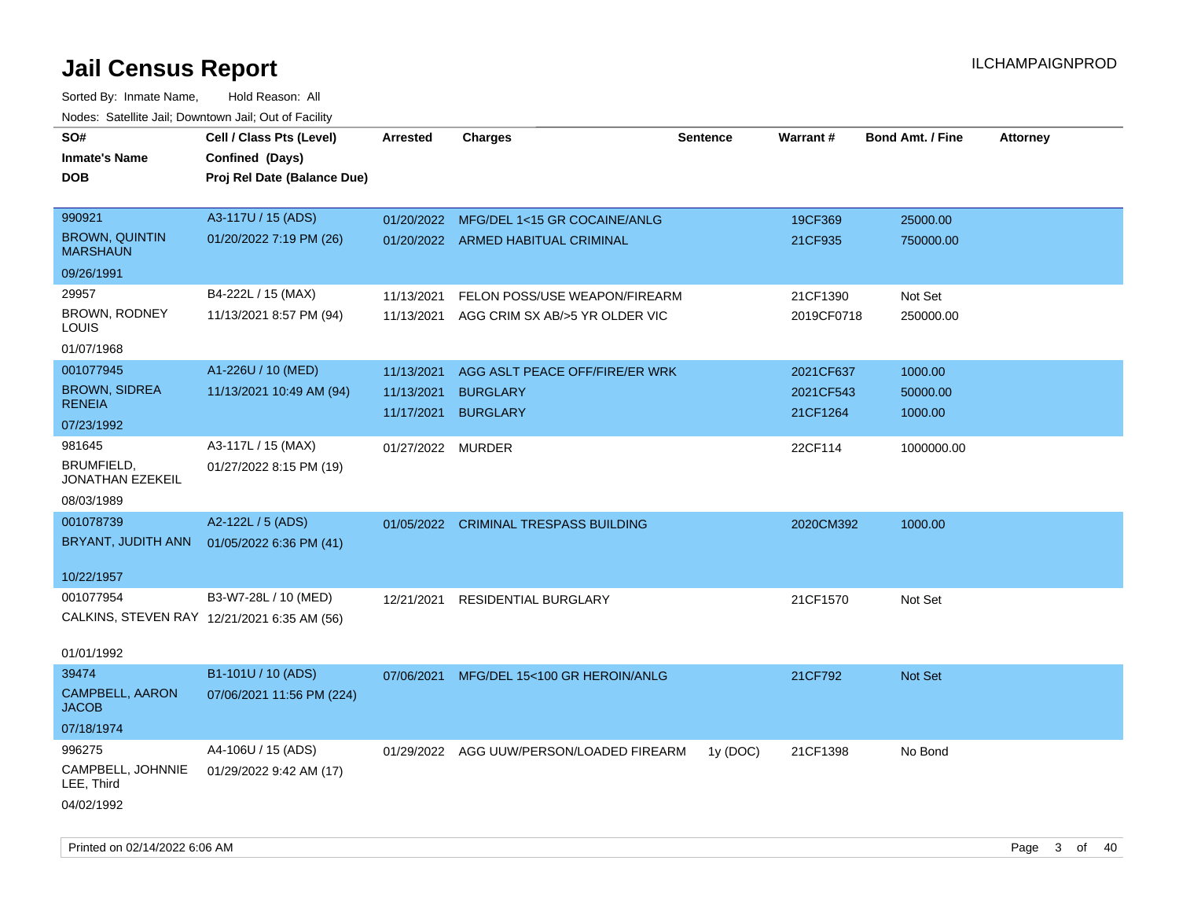| SO#<br><b>Inmate's Name</b><br><b>DOB</b>   | Cell / Class Pts (Level)<br>Confined (Days)<br>Proj Rel Date (Balance Due) | <b>Arrested</b>   | <b>Charges</b>                            | <b>Sentence</b> | Warrant#   | <b>Bond Amt. / Fine</b> | <b>Attorney</b> |
|---------------------------------------------|----------------------------------------------------------------------------|-------------------|-------------------------------------------|-----------------|------------|-------------------------|-----------------|
| 990921                                      | A3-117U / 15 (ADS)                                                         | 01/20/2022        | MFG/DEL 1<15 GR COCAINE/ANLG              |                 | 19CF369    | 25000.00                |                 |
| <b>BROWN, QUINTIN</b><br><b>MARSHAUN</b>    | 01/20/2022 7:19 PM (26)                                                    |                   | 01/20/2022 ARMED HABITUAL CRIMINAL        |                 | 21CF935    | 750000.00               |                 |
| 09/26/1991                                  |                                                                            |                   |                                           |                 |            |                         |                 |
| 29957                                       | B4-222L / 15 (MAX)                                                         | 11/13/2021        | FELON POSS/USE WEAPON/FIREARM             |                 | 21CF1390   | Not Set                 |                 |
| BROWN, RODNEY<br>LOUIS                      | 11/13/2021 8:57 PM (94)                                                    |                   | 11/13/2021 AGG CRIM SX AB/>5 YR OLDER VIC |                 | 2019CF0718 | 250000.00               |                 |
| 01/07/1968                                  |                                                                            |                   |                                           |                 |            |                         |                 |
| 001077945                                   | A1-226U / 10 (MED)                                                         | 11/13/2021        | AGG ASLT PEACE OFF/FIRE/ER WRK            |                 | 2021CF637  | 1000.00                 |                 |
| <b>BROWN, SIDREA</b>                        | 11/13/2021 10:49 AM (94)                                                   | 11/13/2021        | <b>BURGLARY</b>                           |                 | 2021CF543  | 50000.00                |                 |
| <b>RENEIA</b><br>07/23/1992                 |                                                                            | 11/17/2021        | <b>BURGLARY</b>                           |                 | 21CF1264   | 1000.00                 |                 |
| 981645                                      | A3-117L / 15 (MAX)                                                         | 01/27/2022 MURDER |                                           |                 | 22CF114    | 1000000.00              |                 |
| BRUMFIELD,<br>JONATHAN EZEKEIL              | 01/27/2022 8:15 PM (19)                                                    |                   |                                           |                 |            |                         |                 |
| 08/03/1989                                  |                                                                            |                   |                                           |                 |            |                         |                 |
| 001078739                                   | A2-122L / 5 (ADS)                                                          |                   | 01/05/2022 CRIMINAL TRESPASS BUILDING     |                 | 2020CM392  | 1000.00                 |                 |
| BRYANT, JUDITH ANN                          | 01/05/2022 6:36 PM (41)                                                    |                   |                                           |                 |            |                         |                 |
| 10/22/1957                                  |                                                                            |                   |                                           |                 |            |                         |                 |
| 001077954                                   | B3-W7-28L / 10 (MED)                                                       | 12/21/2021        | RESIDENTIAL BURGLARY                      |                 | 21CF1570   | Not Set                 |                 |
| CALKINS, STEVEN RAY 12/21/2021 6:35 AM (56) |                                                                            |                   |                                           |                 |            |                         |                 |
| 01/01/1992                                  |                                                                            |                   |                                           |                 |            |                         |                 |
| 39474                                       | B1-101U / 10 (ADS)                                                         | 07/06/2021        | MFG/DEL 15<100 GR HEROIN/ANLG             |                 | 21CF792    | Not Set                 |                 |
| CAMPBELL, AARON<br><b>JACOB</b>             | 07/06/2021 11:56 PM (224)                                                  |                   |                                           |                 |            |                         |                 |
| 07/18/1974                                  |                                                                            |                   |                                           |                 |            |                         |                 |
| 996275                                      | A4-106U / 15 (ADS)                                                         |                   | 01/29/2022 AGG UUW/PERSON/LOADED FIREARM  | 1y (DOC)        | 21CF1398   | No Bond                 |                 |
| CAMPBELL, JOHNNIE<br>LEE, Third             | 01/29/2022 9:42 AM (17)                                                    |                   |                                           |                 |            |                         |                 |
| 04/02/1992                                  |                                                                            |                   |                                           |                 |            |                         |                 |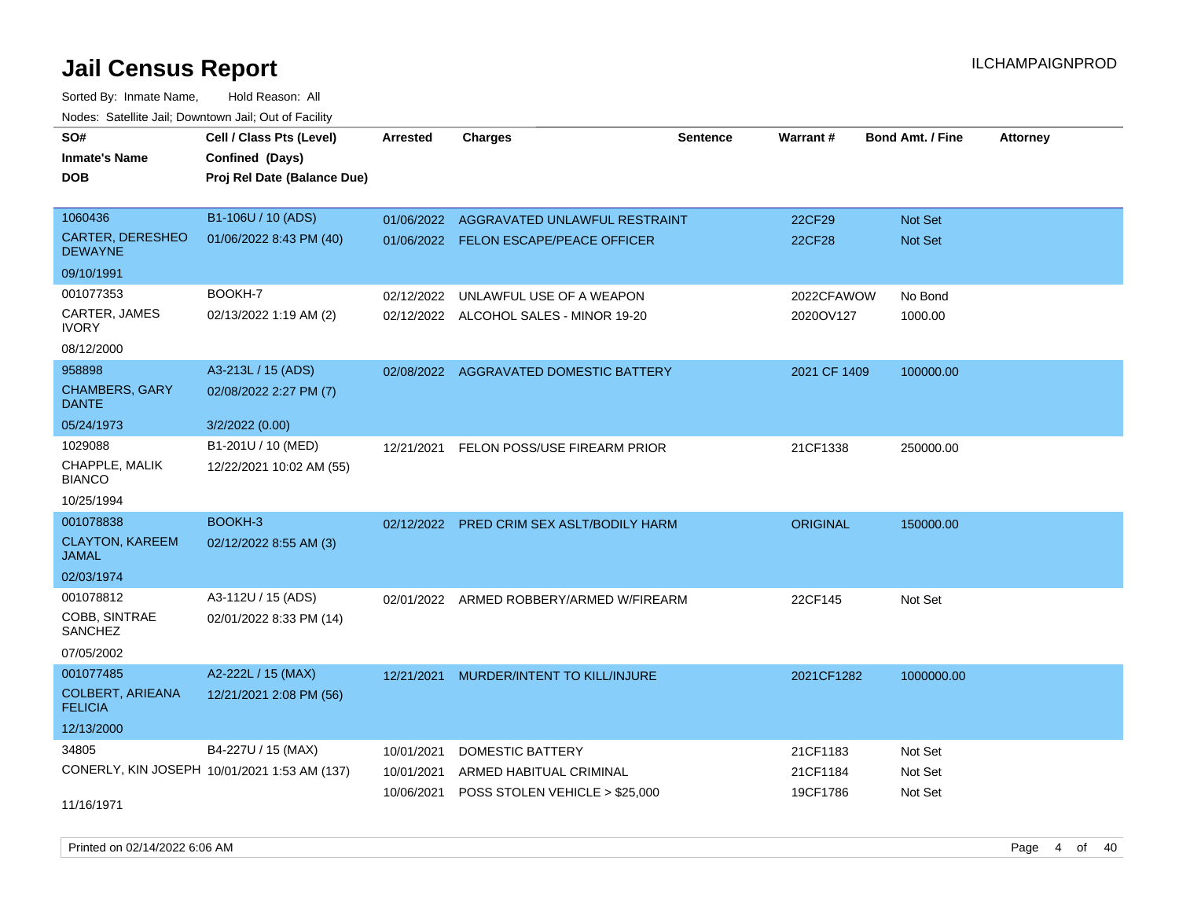Sorted By: Inmate Name, Hold Reason: All Nodes: Satellite Jail; Downtown Jail; Out of Facility

| SO#                                       | Cell / Class Pts (Level)                       | <b>Arrested</b> | <b>Charges</b>                            | <b>Sentence</b> | <b>Warrant#</b> | <b>Bond Amt. / Fine</b> | <b>Attorney</b> |
|-------------------------------------------|------------------------------------------------|-----------------|-------------------------------------------|-----------------|-----------------|-------------------------|-----------------|
| <b>Inmate's Name</b><br><b>DOB</b>        | Confined (Days)<br>Proj Rel Date (Balance Due) |                 |                                           |                 |                 |                         |                 |
|                                           |                                                |                 |                                           |                 |                 |                         |                 |
| 1060436                                   | B1-106U / 10 (ADS)                             | 01/06/2022      | AGGRAVATED UNLAWFUL RESTRAINT             |                 | 22CF29          | Not Set                 |                 |
| <b>CARTER, DERESHEO</b><br><b>DEWAYNE</b> | 01/06/2022 8:43 PM (40)                        |                 | 01/06/2022 FELON ESCAPE/PEACE OFFICER     |                 | <b>22CF28</b>   | Not Set                 |                 |
| 09/10/1991                                |                                                |                 |                                           |                 |                 |                         |                 |
| 001077353                                 | BOOKH-7                                        | 02/12/2022      | UNLAWFUL USE OF A WEAPON                  |                 | 2022CFAWOW      | No Bond                 |                 |
| CARTER, JAMES<br><b>IVORY</b>             | 02/13/2022 1:19 AM (2)                         |                 | 02/12/2022 ALCOHOL SALES - MINOR 19-20    |                 | 2020OV127       | 1000.00                 |                 |
| 08/12/2000                                |                                                |                 |                                           |                 |                 |                         |                 |
| 958898                                    | A3-213L / 15 (ADS)                             |                 | 02/08/2022 AGGRAVATED DOMESTIC BATTERY    |                 | 2021 CF 1409    | 100000.00               |                 |
| <b>CHAMBERS, GARY</b><br><b>DANTE</b>     | 02/08/2022 2:27 PM (7)                         |                 |                                           |                 |                 |                         |                 |
| 05/24/1973                                | 3/2/2022 (0.00)                                |                 |                                           |                 |                 |                         |                 |
| 1029088                                   | B1-201U / 10 (MED)                             |                 | 12/21/2021 FELON POSS/USE FIREARM PRIOR   |                 | 21CF1338        | 250000.00               |                 |
| CHAPPLE, MALIK<br><b>BIANCO</b>           | 12/22/2021 10:02 AM (55)                       |                 |                                           |                 |                 |                         |                 |
| 10/25/1994                                |                                                |                 |                                           |                 |                 |                         |                 |
| 001078838                                 | BOOKH-3                                        |                 | 02/12/2022 PRED CRIM SEX ASLT/BODILY HARM |                 | <b>ORIGINAL</b> | 150000.00               |                 |
| <b>CLAYTON, KAREEM</b><br><b>JAMAL</b>    | 02/12/2022 8:55 AM (3)                         |                 |                                           |                 |                 |                         |                 |
| 02/03/1974                                |                                                |                 |                                           |                 |                 |                         |                 |
| 001078812                                 | A3-112U / 15 (ADS)                             | 02/01/2022      | ARMED ROBBERY/ARMED W/FIREARM             |                 | 22CF145         | Not Set                 |                 |
| COBB, SINTRAE<br><b>SANCHEZ</b>           | 02/01/2022 8:33 PM (14)                        |                 |                                           |                 |                 |                         |                 |
| 07/05/2002                                |                                                |                 |                                           |                 |                 |                         |                 |
| 001077485                                 | A2-222L / 15 (MAX)                             | 12/21/2021      | MURDER/INTENT TO KILL/INJURE              |                 | 2021CF1282      | 1000000.00              |                 |
| <b>COLBERT, ARIEANA</b><br><b>FELICIA</b> | 12/21/2021 2:08 PM (56)                        |                 |                                           |                 |                 |                         |                 |
| 12/13/2000                                |                                                |                 |                                           |                 |                 |                         |                 |
| 34805                                     | B4-227U / 15 (MAX)                             | 10/01/2021      | DOMESTIC BATTERY                          |                 | 21CF1183        | Not Set                 |                 |
|                                           | CONERLY, KIN JOSEPH 10/01/2021 1:53 AM (137)   | 10/01/2021      | ARMED HABITUAL CRIMINAL                   |                 | 21CF1184        | Not Set                 |                 |
| 11/16/1971                                |                                                |                 | 10/06/2021 POSS STOLEN VEHICLE > \$25,000 |                 | 19CF1786        | Not Set                 |                 |

Printed on 02/14/2022 6:06 AM Page 4 of 40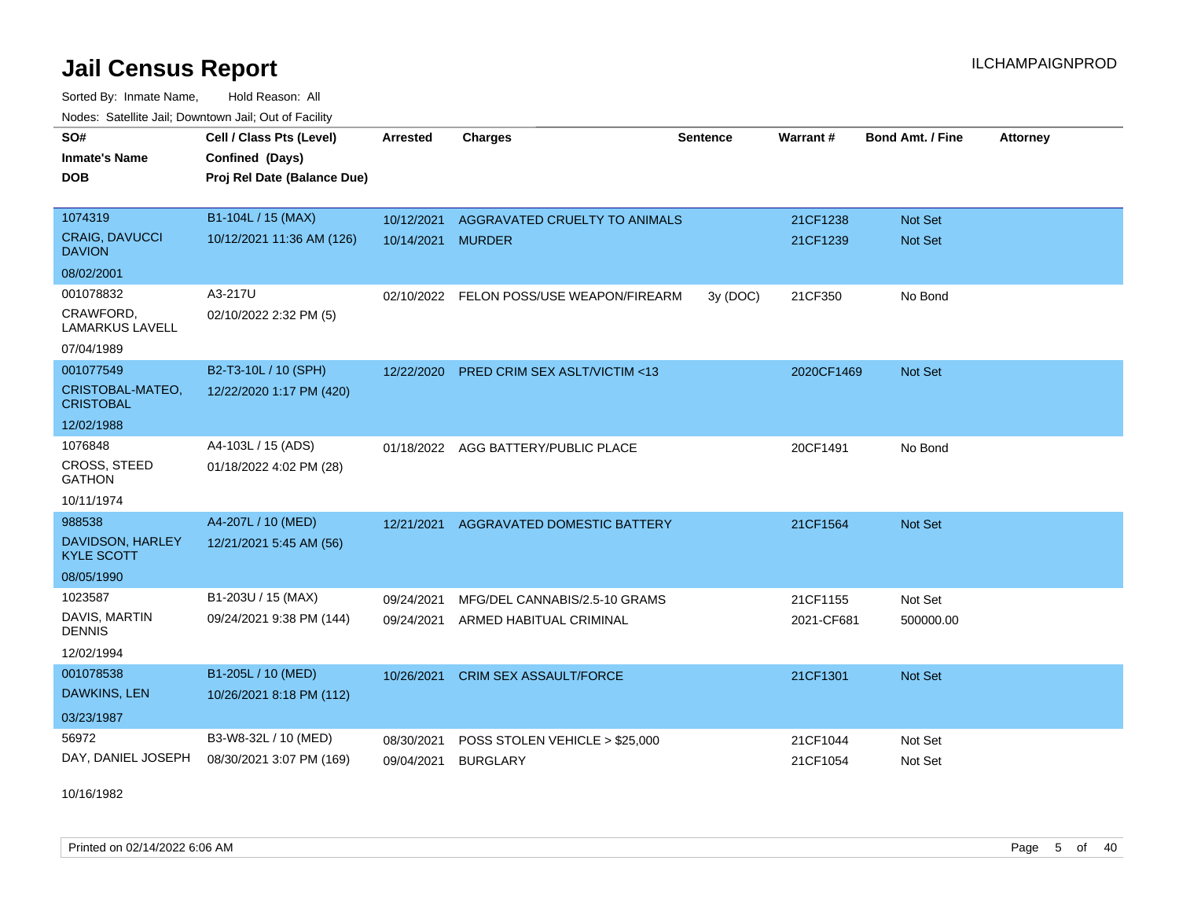Sorted By: Inmate Name, Hold Reason: All Nodes: Satellite Jail; Downtown Jail; Out of Facility

| SO#                                   | Cell / Class Pts (Level)    | <b>Arrested</b> | <b>Charges</b>                           | <b>Sentence</b> | <b>Warrant#</b> | <b>Bond Amt. / Fine</b> | <b>Attorney</b> |
|---------------------------------------|-----------------------------|-----------------|------------------------------------------|-----------------|-----------------|-------------------------|-----------------|
| <b>Inmate's Name</b>                  | Confined (Days)             |                 |                                          |                 |                 |                         |                 |
| <b>DOB</b>                            | Proj Rel Date (Balance Due) |                 |                                          |                 |                 |                         |                 |
|                                       |                             |                 |                                          |                 |                 |                         |                 |
| 1074319                               | B1-104L / 15 (MAX)          | 10/12/2021      | AGGRAVATED CRUELTY TO ANIMALS            |                 | 21CF1238        | Not Set                 |                 |
| CRAIG, DAVUCCI<br><b>DAVION</b>       | 10/12/2021 11:36 AM (126)   | 10/14/2021      | <b>MURDER</b>                            |                 | 21CF1239        | Not Set                 |                 |
| 08/02/2001                            |                             |                 |                                          |                 |                 |                         |                 |
| 001078832                             | A3-217U                     |                 | 02/10/2022 FELON POSS/USE WEAPON/FIREARM | 3y (DOC)        | 21CF350         | No Bond                 |                 |
| CRAWFORD,<br><b>LAMARKUS LAVELL</b>   | 02/10/2022 2:32 PM (5)      |                 |                                          |                 |                 |                         |                 |
| 07/04/1989                            |                             |                 |                                          |                 |                 |                         |                 |
| 001077549                             | B2-T3-10L / 10 (SPH)        | 12/22/2020      | <b>PRED CRIM SEX ASLT/VICTIM &lt;13</b>  |                 | 2020CF1469      | <b>Not Set</b>          |                 |
| CRISTOBAL-MATEO,<br><b>CRISTOBAL</b>  | 12/22/2020 1:17 PM (420)    |                 |                                          |                 |                 |                         |                 |
| 12/02/1988                            |                             |                 |                                          |                 |                 |                         |                 |
| 1076848                               | A4-103L / 15 (ADS)          |                 | 01/18/2022 AGG BATTERY/PUBLIC PLACE      |                 | 20CF1491        | No Bond                 |                 |
| <b>CROSS, STEED</b><br><b>GATHON</b>  | 01/18/2022 4:02 PM (28)     |                 |                                          |                 |                 |                         |                 |
| 10/11/1974                            |                             |                 |                                          |                 |                 |                         |                 |
| 988538                                | A4-207L / 10 (MED)          | 12/21/2021      | <b>AGGRAVATED DOMESTIC BATTERY</b>       |                 | 21CF1564        | <b>Not Set</b>          |                 |
| DAVIDSON, HARLEY<br><b>KYLE SCOTT</b> | 12/21/2021 5:45 AM (56)     |                 |                                          |                 |                 |                         |                 |
| 08/05/1990                            |                             |                 |                                          |                 |                 |                         |                 |
| 1023587                               | B1-203U / 15 (MAX)          | 09/24/2021      | MFG/DEL CANNABIS/2.5-10 GRAMS            |                 | 21CF1155        | Not Set                 |                 |
| DAVIS, MARTIN<br><b>DENNIS</b>        | 09/24/2021 9:38 PM (144)    | 09/24/2021      | ARMED HABITUAL CRIMINAL                  |                 | 2021-CF681      | 500000.00               |                 |
| 12/02/1994                            |                             |                 |                                          |                 |                 |                         |                 |
| 001078538                             | B1-205L / 10 (MED)          | 10/26/2021      | <b>CRIM SEX ASSAULT/FORCE</b>            |                 | 21CF1301        | Not Set                 |                 |
| DAWKINS, LEN                          | 10/26/2021 8:18 PM (112)    |                 |                                          |                 |                 |                         |                 |
| 03/23/1987                            |                             |                 |                                          |                 |                 |                         |                 |
| 56972                                 | B3-W8-32L / 10 (MED)        | 08/30/2021      | POSS STOLEN VEHICLE > \$25,000           |                 | 21CF1044        | Not Set                 |                 |
| DAY, DANIEL JOSEPH                    | 08/30/2021 3:07 PM (169)    | 09/04/2021      | <b>BURGLARY</b>                          |                 | 21CF1054        | Not Set                 |                 |

10/16/1982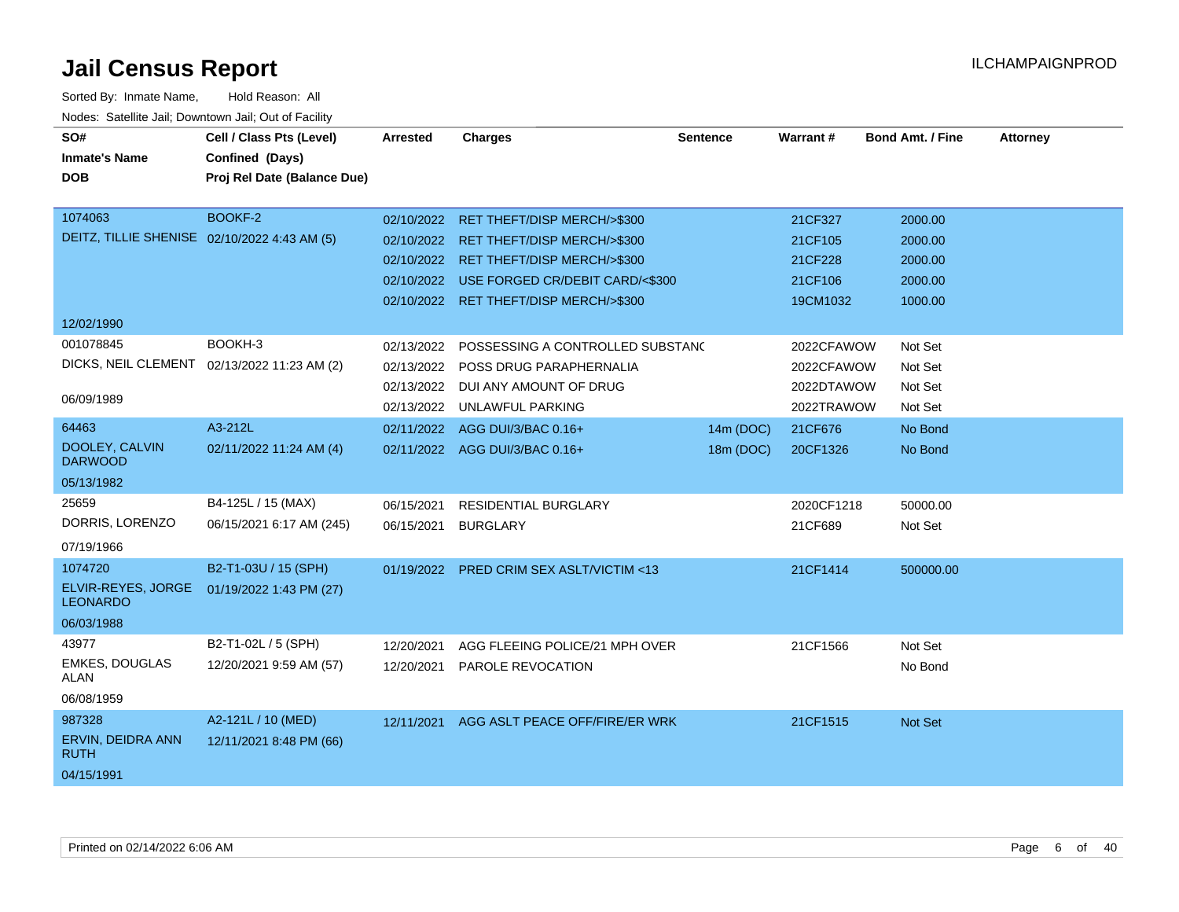| SO#                                          | Cell / Class Pts (Level)                    | <b>Arrested</b> | <b>Charges</b>                             | <b>Sentence</b> | Warrant#   | <b>Bond Amt. / Fine</b> | <b>Attorney</b> |
|----------------------------------------------|---------------------------------------------|-----------------|--------------------------------------------|-----------------|------------|-------------------------|-----------------|
| <b>Inmate's Name</b>                         | Confined (Days)                             |                 |                                            |                 |            |                         |                 |
| <b>DOB</b>                                   | Proj Rel Date (Balance Due)                 |                 |                                            |                 |            |                         |                 |
|                                              |                                             |                 |                                            |                 |            |                         |                 |
| 1074063                                      | BOOKF-2                                     |                 | 02/10/2022 RET THEFT/DISP MERCH/>\$300     |                 | 21CF327    | 2000.00                 |                 |
| DEITZ, TILLIE SHENISE 02/10/2022 4:43 AM (5) |                                             |                 | 02/10/2022 RET THEFT/DISP MERCH/>\$300     |                 | 21CF105    | 2000.00                 |                 |
|                                              |                                             |                 | 02/10/2022 RET THEFT/DISP MERCH/>\$300     |                 | 21CF228    | 2000.00                 |                 |
|                                              |                                             |                 | 02/10/2022 USE FORGED CR/DEBIT CARD/<\$300 |                 | 21CF106    | 2000.00                 |                 |
|                                              |                                             |                 | 02/10/2022 RET THEFT/DISP MERCH/>\$300     |                 | 19CM1032   | 1000.00                 |                 |
| 12/02/1990                                   |                                             |                 |                                            |                 |            |                         |                 |
| 001078845                                    | BOOKH-3                                     | 02/13/2022      | POSSESSING A CONTROLLED SUBSTANC           |                 | 2022CFAWOW | Not Set                 |                 |
|                                              | DICKS, NEIL CLEMENT 02/13/2022 11:23 AM (2) | 02/13/2022      | POSS DRUG PARAPHERNALIA                    |                 | 2022CFAWOW | Not Set                 |                 |
|                                              |                                             |                 | 02/13/2022 DUI ANY AMOUNT OF DRUG          |                 | 2022DTAWOW | Not Set                 |                 |
| 06/09/1989                                   |                                             |                 | 02/13/2022 UNLAWFUL PARKING                |                 | 2022TRAWOW | Not Set                 |                 |
| 64463                                        | A3-212L                                     | 02/11/2022      | AGG DUI/3/BAC 0.16+                        | 14m (DOC)       | 21CF676    | No Bond                 |                 |
| DOOLEY, CALVIN<br><b>DARWOOD</b>             | 02/11/2022 11:24 AM (4)                     |                 | 02/11/2022 AGG DUI/3/BAC 0.16+             | 18m (DOC)       | 20CF1326   | No Bond                 |                 |
| 05/13/1982                                   |                                             |                 |                                            |                 |            |                         |                 |
| 25659                                        | B4-125L / 15 (MAX)                          | 06/15/2021      | <b>RESIDENTIAL BURGLARY</b>                |                 | 2020CF1218 | 50000.00                |                 |
| DORRIS, LORENZO                              | 06/15/2021 6:17 AM (245)                    | 06/15/2021      | <b>BURGLARY</b>                            |                 | 21CF689    | Not Set                 |                 |
| 07/19/1966                                   |                                             |                 |                                            |                 |            |                         |                 |
| 1074720                                      | B2-T1-03U / 15 (SPH)                        | 01/19/2022      | <b>PRED CRIM SEX ASLT/VICTIM &lt;13</b>    |                 | 21CF1414   | 500000.00               |                 |
| ELVIR-REYES, JORGE<br><b>LEONARDO</b>        | 01/19/2022 1:43 PM (27)                     |                 |                                            |                 |            |                         |                 |
| 06/03/1988                                   |                                             |                 |                                            |                 |            |                         |                 |
| 43977                                        | B2-T1-02L / 5 (SPH)                         | 12/20/2021      | AGG FLEEING POLICE/21 MPH OVER             |                 | 21CF1566   | Not Set                 |                 |
| <b>EMKES, DOUGLAS</b><br><b>ALAN</b>         | 12/20/2021 9:59 AM (57)                     | 12/20/2021      | <b>PAROLE REVOCATION</b>                   |                 |            | No Bond                 |                 |
| 06/08/1959                                   |                                             |                 |                                            |                 |            |                         |                 |
| 987328                                       | A2-121L / 10 (MED)                          | 12/11/2021      | AGG ASLT PEACE OFF/FIRE/ER WRK             |                 | 21CF1515   | Not Set                 |                 |
| ERVIN, DEIDRA ANN<br><b>RUTH</b>             | 12/11/2021 8:48 PM (66)                     |                 |                                            |                 |            |                         |                 |
| 04/15/1991                                   |                                             |                 |                                            |                 |            |                         |                 |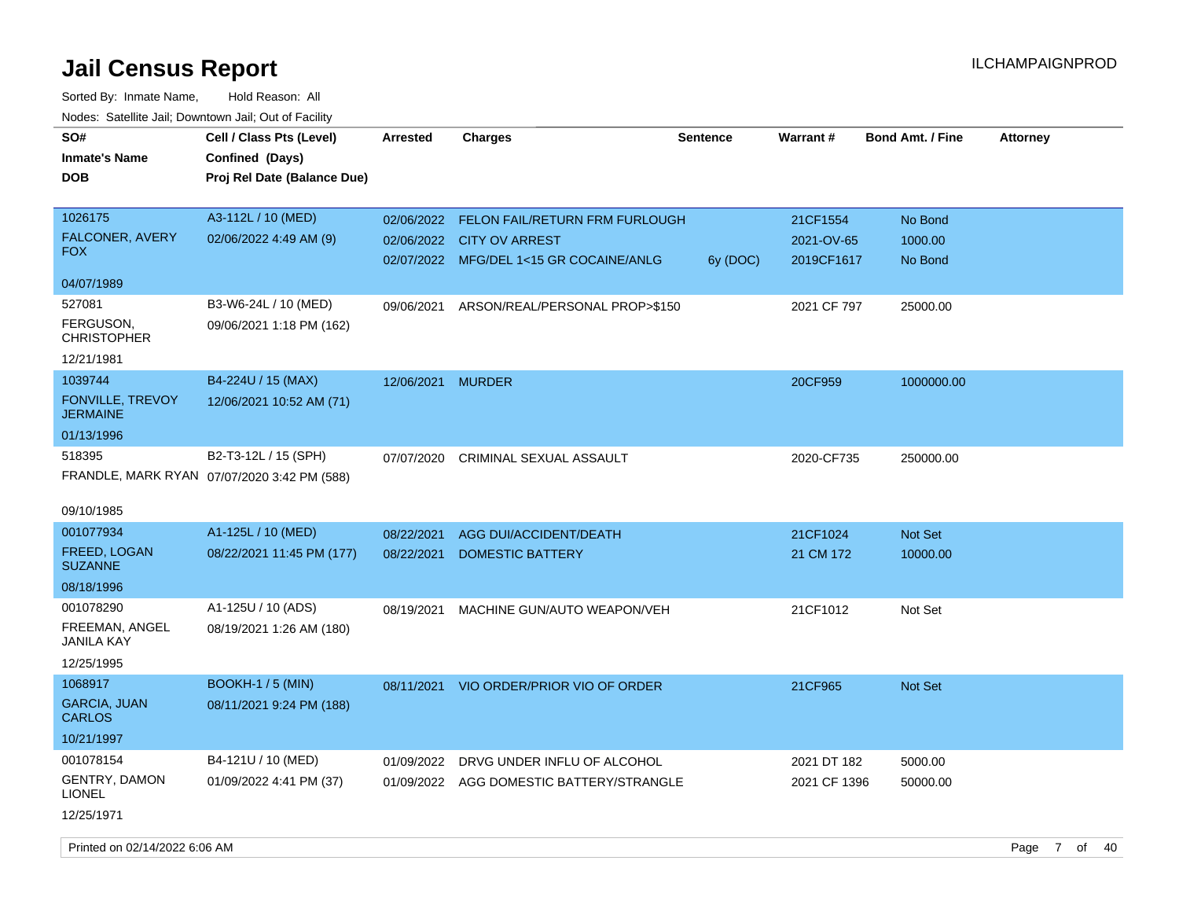Sorted By: Inmate Name, Hold Reason: All Nodes: Satellite Jail; Downtown Jail; Out of Facility

| SO#<br><b>Inmate's Name</b><br><b>DOB</b>               | Cell / Class Pts (Level)<br>Confined (Days)<br>Proj Rel Date (Balance Due) | Arrested          | <b>Charges</b>                                                                                                | <b>Sentence</b> | <b>Warrant#</b>                      | <b>Bond Amt. / Fine</b>       | <b>Attorney</b> |
|---------------------------------------------------------|----------------------------------------------------------------------------|-------------------|---------------------------------------------------------------------------------------------------------------|-----------------|--------------------------------------|-------------------------------|-----------------|
| 1026175<br>FALCONER, AVERY<br>FOX.                      | A3-112L / 10 (MED)<br>02/06/2022 4:49 AM (9)                               | 02/06/2022        | 02/06/2022 FELON FAIL/RETURN FRM FURLOUGH<br><b>CITY OV ARREST</b><br>02/07/2022 MFG/DEL 1<15 GR COCAINE/ANLG | 6y (DOC)        | 21CF1554<br>2021-OV-65<br>2019CF1617 | No Bond<br>1000.00<br>No Bond |                 |
| 04/07/1989                                              |                                                                            |                   |                                                                                                               |                 |                                      |                               |                 |
| 527081<br>FERGUSON,<br>CHRISTOPHER<br>12/21/1981        | B3-W6-24L / 10 (MED)<br>09/06/2021 1:18 PM (162)                           |                   | 09/06/2021 ARSON/REAL/PERSONAL PROP>\$150                                                                     |                 | 2021 CF 797                          | 25000.00                      |                 |
| 1039744<br><b>FONVILLE, TREVOY</b><br>JERMAINE          | B4-224U / 15 (MAX)<br>12/06/2021 10:52 AM (71)                             | 12/06/2021 MURDER |                                                                                                               |                 | 20CF959                              | 1000000.00                    |                 |
| 01/13/1996                                              |                                                                            |                   |                                                                                                               |                 |                                      |                               |                 |
| 518395<br>09/10/1985                                    | B2-T3-12L / 15 (SPH)<br>FRANDLE, MARK RYAN 07/07/2020 3:42 PM (588)        | 07/07/2020        | CRIMINAL SEXUAL ASSAULT                                                                                       |                 | 2020-CF735                           | 250000.00                     |                 |
| 001077934                                               | A1-125L / 10 (MED)                                                         | 08/22/2021        | AGG DUI/ACCIDENT/DEATH                                                                                        |                 | 21CF1024                             | Not Set                       |                 |
| FREED, LOGAN<br><b>SUZANNE</b>                          | 08/22/2021 11:45 PM (177)                                                  | 08/22/2021        | <b>DOMESTIC BATTERY</b>                                                                                       |                 | 21 CM 172                            | 10000.00                      |                 |
| 08/18/1996                                              |                                                                            |                   |                                                                                                               |                 |                                      |                               |                 |
| 001078290<br>FREEMAN, ANGEL<br>JANILA KAY<br>12/25/1995 | A1-125U / 10 (ADS)<br>08/19/2021 1:26 AM (180)                             | 08/19/2021        | MACHINE GUN/AUTO WEAPON/VEH                                                                                   |                 | 21CF1012                             | Not Set                       |                 |
| 1068917                                                 | <b>BOOKH-1 / 5 (MIN)</b>                                                   |                   |                                                                                                               |                 |                                      |                               |                 |
| <b>GARCIA, JUAN</b><br>CARLOS                           | 08/11/2021 9:24 PM (188)                                                   | 08/11/2021        | VIO ORDER/PRIOR VIO OF ORDER                                                                                  |                 | 21CF965                              | <b>Not Set</b>                |                 |
| 10/21/1997                                              |                                                                            |                   |                                                                                                               |                 |                                      |                               |                 |
| 001078154                                               | B4-121U / 10 (MED)                                                         | 01/09/2022        | DRVG UNDER INFLU OF ALCOHOL                                                                                   |                 | 2021 DT 182                          | 5000.00                       |                 |
| <b>GENTRY, DAMON</b><br>LIONEL<br>12/25/1971            | 01/09/2022 4:41 PM (37)                                                    |                   | 01/09/2022 AGG DOMESTIC BATTERY/STRANGLE                                                                      |                 | 2021 CF 1396                         | 50000.00                      |                 |
|                                                         |                                                                            |                   |                                                                                                               |                 |                                      |                               |                 |

Printed on 02/14/2022 6:06 AM Page 7 of 40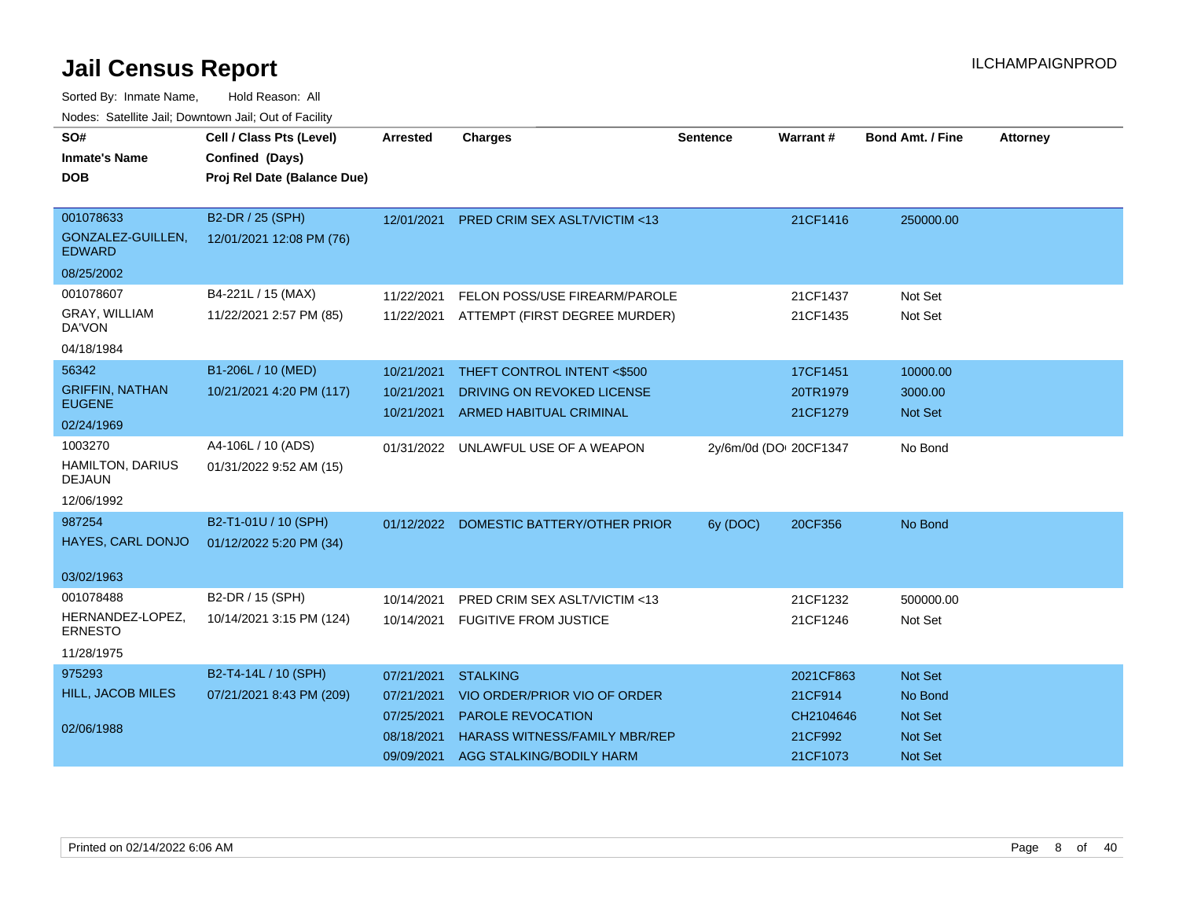| SO#<br><b>Inmate's Name</b><br><b>DOB</b>       | Cell / Class Pts (Level)<br>Confined (Days)<br>Proj Rel Date (Balance Due) | <b>Arrested</b> | <b>Charges</b>                           | <b>Sentence</b>        | <b>Warrant#</b> | <b>Bond Amt. / Fine</b> | <b>Attorney</b> |
|-------------------------------------------------|----------------------------------------------------------------------------|-----------------|------------------------------------------|------------------------|-----------------|-------------------------|-----------------|
| 001078633<br>GONZALEZ-GUILLEN,<br><b>EDWARD</b> | B2-DR / 25 (SPH)<br>12/01/2021 12:08 PM (76)                               | 12/01/2021      | <b>PRED CRIM SEX ASLT/VICTIM &lt;13</b>  |                        | 21CF1416        | 250000.00               |                 |
| 08/25/2002                                      |                                                                            |                 |                                          |                        |                 |                         |                 |
| 001078607                                       | B4-221L / 15 (MAX)                                                         | 11/22/2021      | FELON POSS/USE FIREARM/PAROLE            |                        | 21CF1437        | Not Set                 |                 |
| GRAY, WILLIAM<br>DA'VON                         | 11/22/2021 2:57 PM (85)                                                    |                 | 11/22/2021 ATTEMPT (FIRST DEGREE MURDER) |                        | 21CF1435        | Not Set                 |                 |
| 04/18/1984                                      |                                                                            |                 |                                          |                        |                 |                         |                 |
| 56342                                           | B1-206L / 10 (MED)                                                         | 10/21/2021      | THEFT CONTROL INTENT <\$500              |                        | 17CF1451        | 10000.00                |                 |
| <b>GRIFFIN, NATHAN</b>                          | 10/21/2021 4:20 PM (117)                                                   | 10/21/2021      | DRIVING ON REVOKED LICENSE               |                        | 20TR1979        | 3000.00                 |                 |
| <b>EUGENE</b>                                   |                                                                            | 10/21/2021      | <b>ARMED HABITUAL CRIMINAL</b>           |                        | 21CF1279        | <b>Not Set</b>          |                 |
| 02/24/1969                                      |                                                                            |                 |                                          |                        |                 |                         |                 |
| 1003270                                         | A4-106L / 10 (ADS)                                                         | 01/31/2022      | UNLAWFUL USE OF A WEAPON                 | 2y/6m/0d (DOI 20CF1347 |                 | No Bond                 |                 |
| HAMILTON, DARIUS<br><b>DEJAUN</b>               | 01/31/2022 9:52 AM (15)                                                    |                 |                                          |                        |                 |                         |                 |
| 12/06/1992                                      |                                                                            |                 |                                          |                        |                 |                         |                 |
| 987254                                          | B2-T1-01U / 10 (SPH)                                                       |                 | 01/12/2022 DOMESTIC BATTERY/OTHER PRIOR  | 6y (DOC)               | 20CF356         | No Bond                 |                 |
| HAYES, CARL DONJO                               | 01/12/2022 5:20 PM (34)                                                    |                 |                                          |                        |                 |                         |                 |
| 03/02/1963                                      |                                                                            |                 |                                          |                        |                 |                         |                 |
| 001078488                                       | B2-DR / 15 (SPH)                                                           | 10/14/2021      | PRED CRIM SEX ASLT/VICTIM <13            |                        | 21CF1232        | 500000.00               |                 |
| HERNANDEZ-LOPEZ,<br><b>ERNESTO</b>              | 10/14/2021 3:15 PM (124)                                                   | 10/14/2021      | <b>FUGITIVE FROM JUSTICE</b>             |                        | 21CF1246        | Not Set                 |                 |
| 11/28/1975                                      |                                                                            |                 |                                          |                        |                 |                         |                 |
| 975293                                          | B2-T4-14L / 10 (SPH)                                                       | 07/21/2021      | <b>STALKING</b>                          |                        | 2021CF863       | Not Set                 |                 |
| <b>HILL, JACOB MILES</b>                        | 07/21/2021 8:43 PM (209)                                                   | 07/21/2021      | VIO ORDER/PRIOR VIO OF ORDER             |                        | 21CF914         | No Bond                 |                 |
|                                                 |                                                                            | 07/25/2021      | PAROLE REVOCATION                        |                        | CH2104646       | Not Set                 |                 |
| 02/06/1988                                      |                                                                            | 08/18/2021      | <b>HARASS WITNESS/FAMILY MBR/REP</b>     |                        | 21CF992         | Not Set                 |                 |
|                                                 |                                                                            | 09/09/2021      | <b>AGG STALKING/BODILY HARM</b>          |                        | 21CF1073        | <b>Not Set</b>          |                 |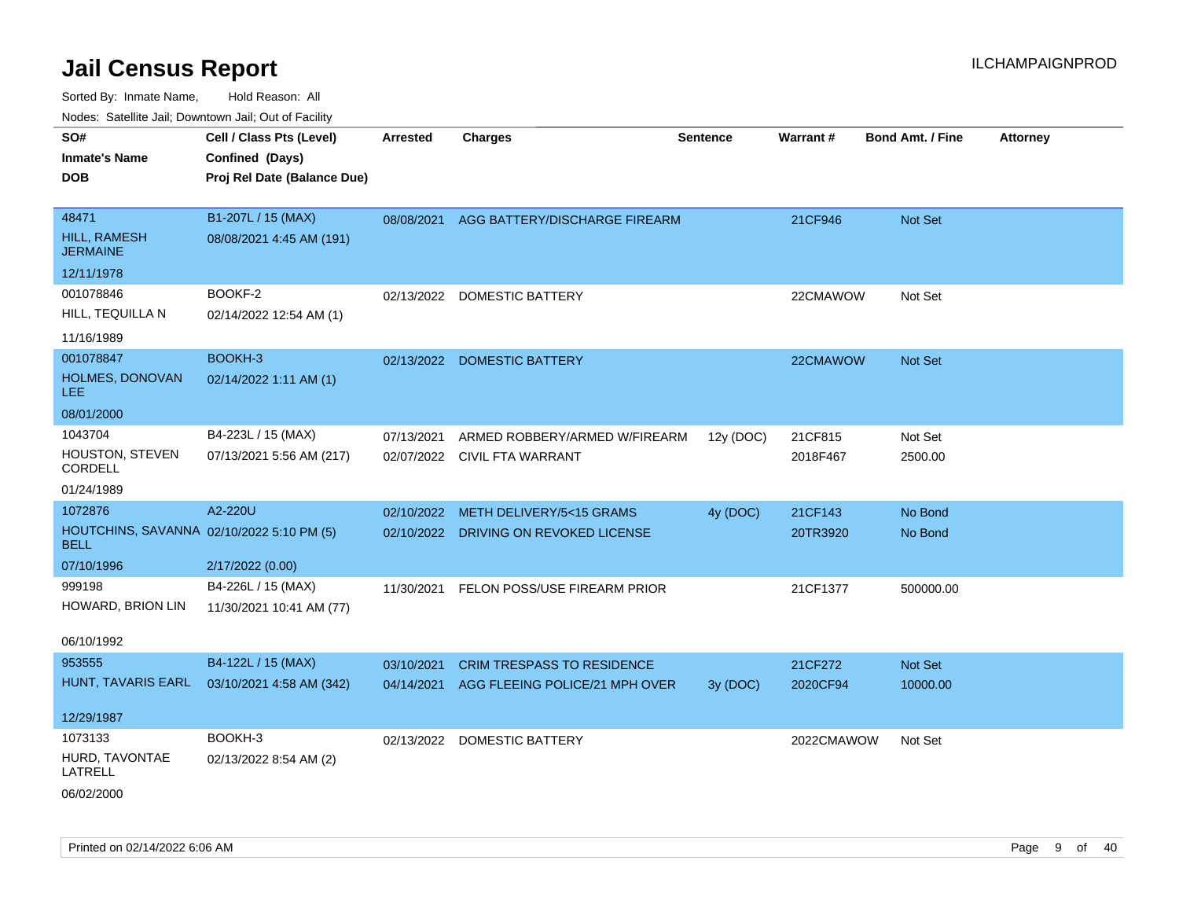| <b>Nouro:</b> Catoline Jan, Downtown Jan, Out of Fability |                             |                 |                                          |                 |            |                         |                 |
|-----------------------------------------------------------|-----------------------------|-----------------|------------------------------------------|-----------------|------------|-------------------------|-----------------|
| SO#                                                       | Cell / Class Pts (Level)    | <b>Arrested</b> | <b>Charges</b>                           | <b>Sentence</b> | Warrant#   | <b>Bond Amt. / Fine</b> | <b>Attorney</b> |
| <b>Inmate's Name</b>                                      | Confined (Days)             |                 |                                          |                 |            |                         |                 |
| <b>DOB</b>                                                | Proj Rel Date (Balance Due) |                 |                                          |                 |            |                         |                 |
|                                                           |                             |                 |                                          |                 |            |                         |                 |
| 48471                                                     | B1-207L / 15 (MAX)          |                 | 08/08/2021 AGG BATTERY/DISCHARGE FIREARM |                 | 21CF946    | <b>Not Set</b>          |                 |
| HILL, RAMESH<br><b>JERMAINE</b>                           | 08/08/2021 4:45 AM (191)    |                 |                                          |                 |            |                         |                 |
| 12/11/1978                                                |                             |                 |                                          |                 |            |                         |                 |
| 001078846                                                 | BOOKF-2                     |                 | 02/13/2022 DOMESTIC BATTERY              |                 | 22CMAWOW   | Not Set                 |                 |
| HILL, TEQUILLA N                                          | 02/14/2022 12:54 AM (1)     |                 |                                          |                 |            |                         |                 |
| 11/16/1989                                                |                             |                 |                                          |                 |            |                         |                 |
| 001078847                                                 | BOOKH-3                     |                 | 02/13/2022 DOMESTIC BATTERY              |                 | 22CMAWOW   | <b>Not Set</b>          |                 |
| HOLMES, DONOVAN<br>LEE.                                   | 02/14/2022 1:11 AM (1)      |                 |                                          |                 |            |                         |                 |
| 08/01/2000                                                |                             |                 |                                          |                 |            |                         |                 |
| 1043704                                                   | B4-223L / 15 (MAX)          | 07/13/2021      | ARMED ROBBERY/ARMED W/FIREARM            | 12y (DOC)       | 21CF815    | Not Set                 |                 |
| HOUSTON, STEVEN<br><b>CORDELL</b>                         | 07/13/2021 5:56 AM (217)    |                 | 02/07/2022 CIVIL FTA WARRANT             |                 | 2018F467   | 2500.00                 |                 |
| 01/24/1989                                                |                             |                 |                                          |                 |            |                         |                 |
| 1072876                                                   | A2-220U                     | 02/10/2022      | METH DELIVERY/5<15 GRAMS                 | 4y (DOC)        | 21CF143    | No Bond                 |                 |
| HOUTCHINS, SAVANNA 02/10/2022 5:10 PM (5)<br><b>BELL</b>  |                             |                 | 02/10/2022 DRIVING ON REVOKED LICENSE    |                 | 20TR3920   | No Bond                 |                 |
| 07/10/1996                                                | 2/17/2022 (0.00)            |                 |                                          |                 |            |                         |                 |
| 999198                                                    | B4-226L / 15 (MAX)          | 11/30/2021      | FELON POSS/USE FIREARM PRIOR             |                 | 21CF1377   | 500000.00               |                 |
| HOWARD, BRION LIN                                         | 11/30/2021 10:41 AM (77)    |                 |                                          |                 |            |                         |                 |
|                                                           |                             |                 |                                          |                 |            |                         |                 |
| 06/10/1992                                                |                             |                 |                                          |                 |            |                         |                 |
| 953555                                                    | B4-122L / 15 (MAX)          | 03/10/2021      | <b>CRIM TRESPASS TO RESIDENCE</b>        |                 | 21CF272    | Not Set                 |                 |
| HUNT, TAVARIS EARL                                        | 03/10/2021 4:58 AM (342)    | 04/14/2021      | AGG FLEEING POLICE/21 MPH OVER           | 3y(DOC)         | 2020CF94   | 10000.00                |                 |
| 12/29/1987                                                |                             |                 |                                          |                 |            |                         |                 |
|                                                           | BOOKH-3                     |                 |                                          |                 |            |                         |                 |
| 1073133                                                   |                             |                 | 02/13/2022 DOMESTIC BATTERY              |                 | 2022CMAWOW | Not Set                 |                 |
| HURD, TAVONTAE<br>LATRELL                                 | 02/13/2022 8:54 AM (2)      |                 |                                          |                 |            |                         |                 |
| 06/02/2000                                                |                             |                 |                                          |                 |            |                         |                 |
|                                                           |                             |                 |                                          |                 |            |                         |                 |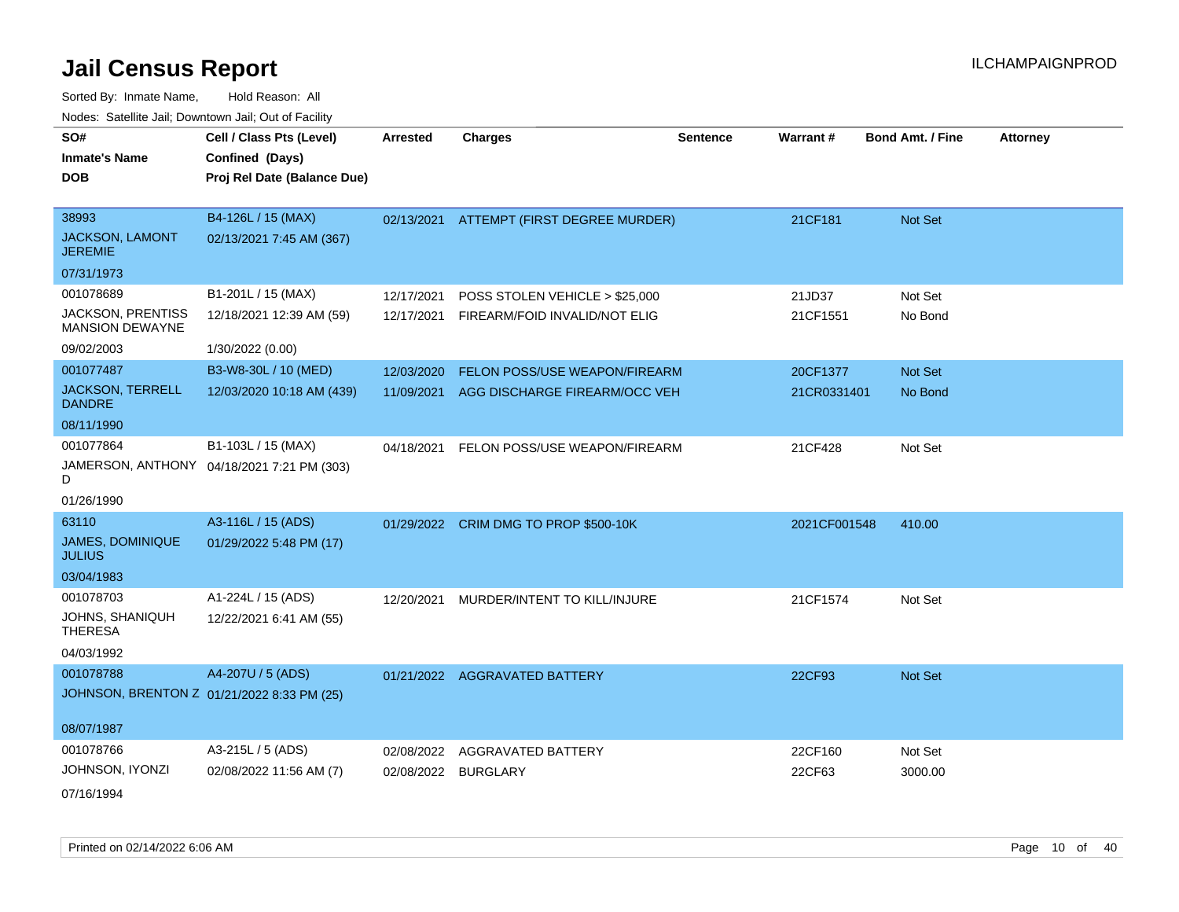| SO#<br><b>Inmate's Name</b>                        | Cell / Class Pts (Level)<br>Confined (Days) | <b>Arrested</b> | <b>Charges</b>                           | <b>Sentence</b> | Warrant#     | <b>Bond Amt. / Fine</b> | <b>Attorney</b> |
|----------------------------------------------------|---------------------------------------------|-----------------|------------------------------------------|-----------------|--------------|-------------------------|-----------------|
| <b>DOB</b>                                         | Proj Rel Date (Balance Due)                 |                 |                                          |                 |              |                         |                 |
| 38993                                              | B4-126L / 15 (MAX)                          |                 |                                          |                 |              |                         |                 |
| JACKSON, LAMONT<br><b>JEREMIE</b>                  | 02/13/2021 7:45 AM (367)                    |                 | 02/13/2021 ATTEMPT (FIRST DEGREE MURDER) |                 | 21CF181      | Not Set                 |                 |
| 07/31/1973                                         |                                             |                 |                                          |                 |              |                         |                 |
| 001078689                                          | B1-201L / 15 (MAX)                          | 12/17/2021      | POSS STOLEN VEHICLE > \$25,000           |                 | 21JD37       | Not Set                 |                 |
| <b>JACKSON, PRENTISS</b><br><b>MANSION DEWAYNE</b> | 12/18/2021 12:39 AM (59)                    | 12/17/2021      | FIREARM/FOID INVALID/NOT ELIG            |                 | 21CF1551     | No Bond                 |                 |
| 09/02/2003                                         | 1/30/2022 (0.00)                            |                 |                                          |                 |              |                         |                 |
| 001077487                                          | B3-W8-30L / 10 (MED)                        | 12/03/2020      | FELON POSS/USE WEAPON/FIREARM            |                 | 20CF1377     | Not Set                 |                 |
| <b>JACKSON, TERRELL</b><br><b>DANDRE</b>           | 12/03/2020 10:18 AM (439)                   |                 | 11/09/2021 AGG DISCHARGE FIREARM/OCC VEH |                 | 21CR0331401  | No Bond                 |                 |
| 08/11/1990                                         |                                             |                 |                                          |                 |              |                         |                 |
| 001077864                                          | B1-103L / 15 (MAX)                          | 04/18/2021      | FELON POSS/USE WEAPON/FIREARM            |                 | 21CF428      | Not Set                 |                 |
| D                                                  | JAMERSON, ANTHONY 04/18/2021 7:21 PM (303)  |                 |                                          |                 |              |                         |                 |
| 01/26/1990                                         |                                             |                 |                                          |                 |              |                         |                 |
| 63110                                              | A3-116L / 15 (ADS)                          |                 | 01/29/2022 CRIM DMG TO PROP \$500-10K    |                 | 2021CF001548 | 410.00                  |                 |
| <b>JAMES, DOMINIQUE</b><br><b>JULIUS</b>           | 01/29/2022 5:48 PM (17)                     |                 |                                          |                 |              |                         |                 |
| 03/04/1983                                         |                                             |                 |                                          |                 |              |                         |                 |
| 001078703                                          | A1-224L / 15 (ADS)                          | 12/20/2021      | MURDER/INTENT TO KILL/INJURE             |                 | 21CF1574     | Not Set                 |                 |
| JOHNS, SHANIQUH<br><b>THERESA</b>                  | 12/22/2021 6:41 AM (55)                     |                 |                                          |                 |              |                         |                 |
| 04/03/1992                                         |                                             |                 |                                          |                 |              |                         |                 |
| 001078788                                          | A4-207U / 5 (ADS)                           |                 | 01/21/2022 AGGRAVATED BATTERY            |                 | 22CF93       | Not Set                 |                 |
|                                                    | JOHNSON, BRENTON Z 01/21/2022 8:33 PM (25)  |                 |                                          |                 |              |                         |                 |
| 08/07/1987                                         |                                             |                 |                                          |                 |              |                         |                 |
| 001078766                                          | A3-215L / 5 (ADS)                           | 02/08/2022      | AGGRAVATED BATTERY                       |                 | 22CF160      | Not Set                 |                 |
| JOHNSON, IYONZI                                    | 02/08/2022 11:56 AM (7)                     | 02/08/2022      | <b>BURGLARY</b>                          |                 | 22CF63       | 3000.00                 |                 |
| 07/16/1994                                         |                                             |                 |                                          |                 |              |                         |                 |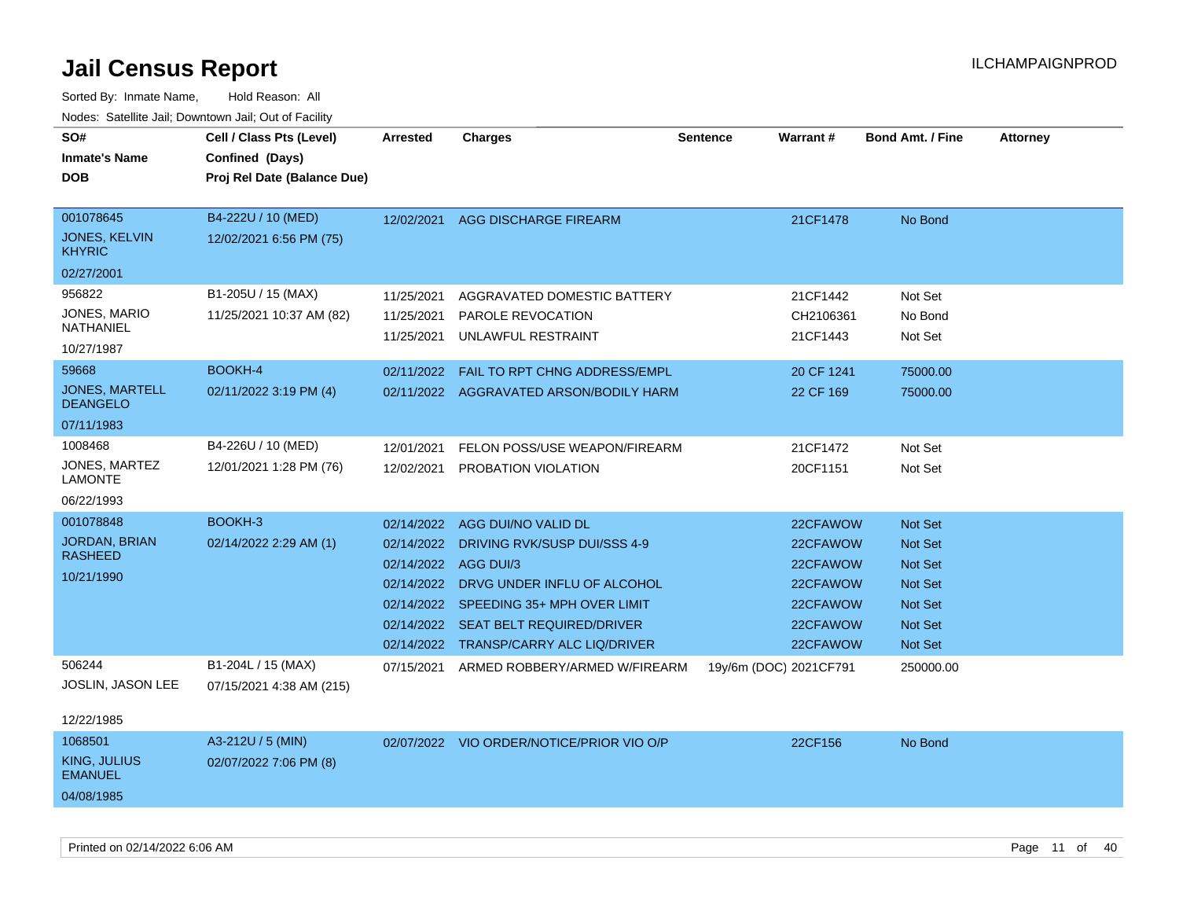| SO#<br><b>Inmate's Name</b><br><b>DOB</b>                                                                                                 | Cell / Class Pts (Level)<br>Confined (Days)<br>Proj Rel Date (Balance Due)                 | Arrested                                                                     | <b>Charges</b>                                                                                                                                                                                      | <b>Sentence</b>        | Warrant#                                                                         | <b>Bond Amt. / Fine</b>                                                                               | <b>Attorney</b> |
|-------------------------------------------------------------------------------------------------------------------------------------------|--------------------------------------------------------------------------------------------|------------------------------------------------------------------------------|-----------------------------------------------------------------------------------------------------------------------------------------------------------------------------------------------------|------------------------|----------------------------------------------------------------------------------|-------------------------------------------------------------------------------------------------------|-----------------|
| 001078645<br><b>JONES, KELVIN</b><br><b>KHYRIC</b>                                                                                        | B4-222U / 10 (MED)<br>12/02/2021 6:56 PM (75)                                              | 12/02/2021                                                                   | AGG DISCHARGE FIREARM                                                                                                                                                                               |                        | 21CF1478                                                                         | No Bond                                                                                               |                 |
| 02/27/2001<br>956822<br><b>JONES, MARIO</b><br><b>NATHANIEL</b><br>10/27/1987<br>59668<br>JONES, MARTELL<br><b>DEANGELO</b><br>07/11/1983 | B1-205U / 15 (MAX)<br>11/25/2021 10:37 AM (82)<br><b>BOOKH-4</b><br>02/11/2022 3:19 PM (4) | 11/25/2021<br>11/25/2021<br>11/25/2021<br>02/11/2022                         | AGGRAVATED DOMESTIC BATTERY<br><b>PAROLE REVOCATION</b><br>UNLAWFUL RESTRAINT<br>FAIL TO RPT CHNG ADDRESS/EMPL<br>02/11/2022 AGGRAVATED ARSON/BODILY HARM                                           |                        | 21CF1442<br>CH2106361<br>21CF1443<br>20 CF 1241<br>22 CF 169                     | Not Set<br>No Bond<br>Not Set<br>75000.00<br>75000.00                                                 |                 |
| 1008468<br>JONES, MARTEZ<br><b>LAMONTE</b><br>06/22/1993                                                                                  | B4-226U / 10 (MED)<br>12/01/2021 1:28 PM (76)                                              | 12/01/2021<br>12/02/2021                                                     | FELON POSS/USE WEAPON/FIREARM<br><b>PROBATION VIOLATION</b>                                                                                                                                         |                        | 21CF1472<br>20CF1151                                                             | Not Set<br>Not Set                                                                                    |                 |
| 001078848<br>JORDAN, BRIAN<br><b>RASHEED</b><br>10/21/1990                                                                                | BOOKH-3<br>02/14/2022 2:29 AM (1)                                                          | 02/14/2022<br>02/14/2022<br>02/14/2022 AGG DUI/3<br>02/14/2022<br>02/14/2022 | AGG DUI/NO VALID DL<br>DRIVING RVK/SUSP DUI/SSS 4-9<br>DRVG UNDER INFLU OF ALCOHOL<br>02/14/2022 SPEEDING 35+ MPH OVER LIMIT<br>02/14/2022 SEAT BELT REQUIRED/DRIVER<br>TRANSP/CARRY ALC LIQ/DRIVER |                        | 22CFAWOW<br>22CFAWOW<br>22CFAWOW<br>22CFAWOW<br>22CFAWOW<br>22CFAWOW<br>22CFAWOW | Not Set<br><b>Not Set</b><br><b>Not Set</b><br><b>Not Set</b><br><b>Not Set</b><br>Not Set<br>Not Set |                 |
| 506244<br>JOSLIN, JASON LEE<br>12/22/1985                                                                                                 | B1-204L / 15 (MAX)<br>07/15/2021 4:38 AM (215)                                             |                                                                              | 07/15/2021 ARMED ROBBERY/ARMED W/FIREARM                                                                                                                                                            | 19y/6m (DOC) 2021CF791 |                                                                                  | 250000.00                                                                                             |                 |
| 1068501<br>KING, JULIUS<br><b>EMANUEL</b><br>04/08/1985                                                                                   | A3-212U / 5 (MIN)<br>02/07/2022 7:06 PM (8)                                                |                                                                              | 02/07/2022 VIO ORDER/NOTICE/PRIOR VIO O/P                                                                                                                                                           |                        | 22CF156                                                                          | No Bond                                                                                               |                 |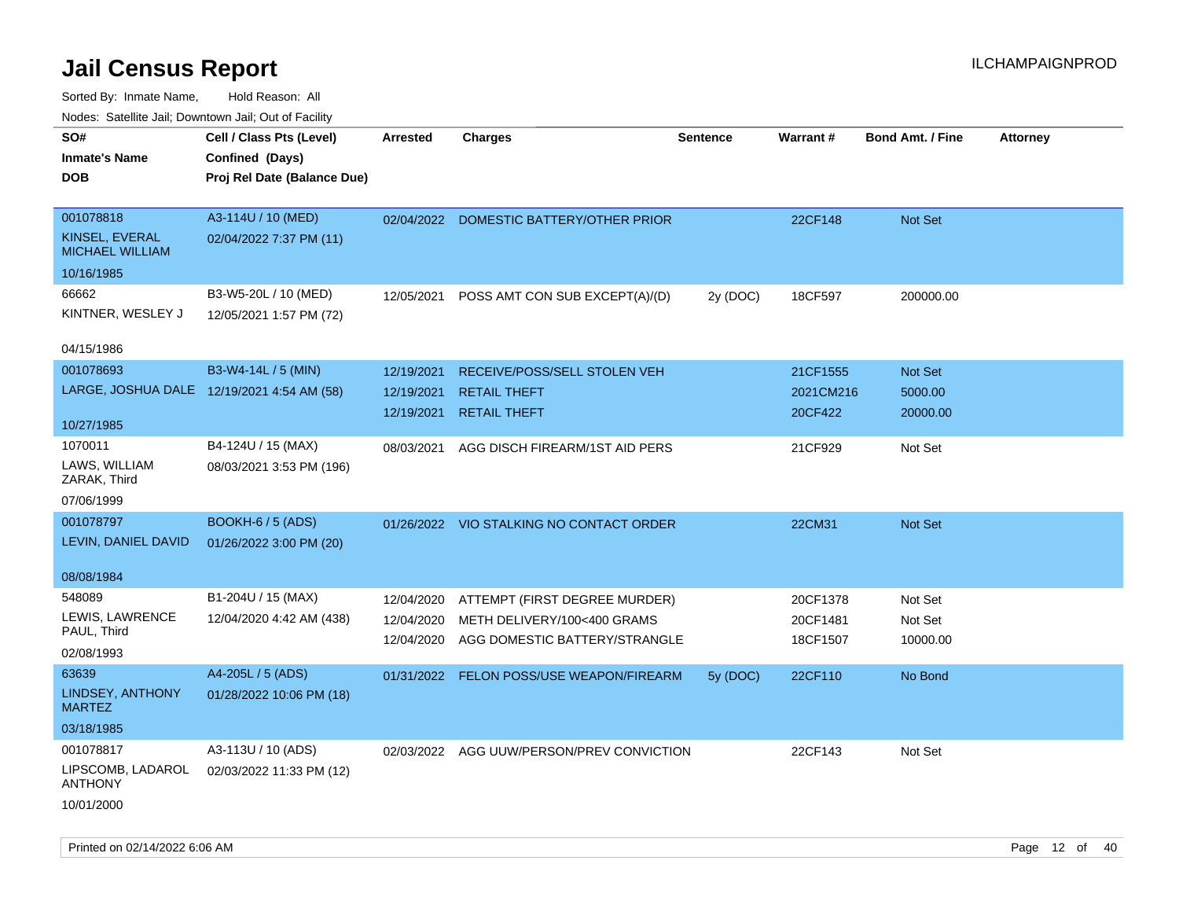| rouce. Calcinic Jan, Downtown Jan, Out or Facility |                                            |                 |                                           |          |           |                         |                 |
|----------------------------------------------------|--------------------------------------------|-----------------|-------------------------------------------|----------|-----------|-------------------------|-----------------|
| SO#                                                | Cell / Class Pts (Level)                   | <b>Arrested</b> | <b>Charges</b>                            | Sentence | Warrant#  | <b>Bond Amt. / Fine</b> | <b>Attorney</b> |
| <b>Inmate's Name</b>                               | Confined (Days)                            |                 |                                           |          |           |                         |                 |
| DOB                                                | Proj Rel Date (Balance Due)                |                 |                                           |          |           |                         |                 |
|                                                    |                                            |                 |                                           |          |           |                         |                 |
| 001078818                                          | A3-114U / 10 (MED)                         |                 | 02/04/2022 DOMESTIC BATTERY/OTHER PRIOR   |          | 22CF148   | Not Set                 |                 |
| KINSEL, EVERAL<br><b>MICHAEL WILLIAM</b>           | 02/04/2022 7:37 PM (11)                    |                 |                                           |          |           |                         |                 |
| 10/16/1985                                         |                                            |                 |                                           |          |           |                         |                 |
| 66662                                              | B3-W5-20L / 10 (MED)                       | 12/05/2021      | POSS AMT CON SUB EXCEPT(A)/(D)            | 2y (DOC) | 18CF597   | 200000.00               |                 |
| KINTNER, WESLEY J                                  | 12/05/2021 1:57 PM (72)                    |                 |                                           |          |           |                         |                 |
|                                                    |                                            |                 |                                           |          |           |                         |                 |
| 04/15/1986                                         |                                            |                 |                                           |          |           |                         |                 |
| 001078693                                          | B3-W4-14L / 5 (MIN)                        | 12/19/2021      | RECEIVE/POSS/SELL STOLEN VEH              |          | 21CF1555  | <b>Not Set</b>          |                 |
|                                                    | LARGE, JOSHUA DALE 12/19/2021 4:54 AM (58) | 12/19/2021      | <b>RETAIL THEFT</b>                       |          | 2021CM216 | 5000.00                 |                 |
|                                                    |                                            | 12/19/2021      | <b>RETAIL THEFT</b>                       |          | 20CF422   | 20000.00                |                 |
| 10/27/1985                                         |                                            |                 |                                           |          |           |                         |                 |
| 1070011                                            | B4-124U / 15 (MAX)                         | 08/03/2021      | AGG DISCH FIREARM/1ST AID PERS            |          | 21CF929   | Not Set                 |                 |
| LAWS, WILLIAM<br>ZARAK, Third                      | 08/03/2021 3:53 PM (196)                   |                 |                                           |          |           |                         |                 |
| 07/06/1999                                         |                                            |                 |                                           |          |           |                         |                 |
| 001078797                                          | BOOKH-6 / 5 (ADS)                          |                 | 01/26/2022 VIO STALKING NO CONTACT ORDER  |          | 22CM31    | Not Set                 |                 |
| LEVIN, DANIEL DAVID                                | 01/26/2022 3:00 PM (20)                    |                 |                                           |          |           |                         |                 |
|                                                    |                                            |                 |                                           |          |           |                         |                 |
| 08/08/1984                                         |                                            |                 |                                           |          |           |                         |                 |
| 548089                                             | B1-204U / 15 (MAX)                         | 12/04/2020      | ATTEMPT (FIRST DEGREE MURDER)             |          | 20CF1378  | Not Set                 |                 |
| LEWIS, LAWRENCE<br>PAUL, Third                     | 12/04/2020 4:42 AM (438)                   | 12/04/2020      | METH DELIVERY/100<400 GRAMS               |          | 20CF1481  | Not Set                 |                 |
| 02/08/1993                                         |                                            | 12/04/2020      | AGG DOMESTIC BATTERY/STRANGLE             |          | 18CF1507  | 10000.00                |                 |
|                                                    |                                            |                 |                                           |          |           |                         |                 |
| 63639                                              | A4-205L / 5 (ADS)                          |                 | 01/31/2022 FELON POSS/USE WEAPON/FIREARM  | 5y(DOC)  | 22CF110   | No Bond                 |                 |
| LINDSEY, ANTHONY<br><b>MARTEZ</b>                  | 01/28/2022 10:06 PM (18)                   |                 |                                           |          |           |                         |                 |
| 03/18/1985                                         |                                            |                 |                                           |          |           |                         |                 |
| 001078817                                          | A3-113U / 10 (ADS)                         |                 | 02/03/2022 AGG UUW/PERSON/PREV CONVICTION |          | 22CF143   | Not Set                 |                 |
| LIPSCOMB, LADAROL<br><b>ANTHONY</b>                | 02/03/2022 11:33 PM (12)                   |                 |                                           |          |           |                         |                 |
| 10/01/2000                                         |                                            |                 |                                           |          |           |                         |                 |
|                                                    |                                            |                 |                                           |          |           |                         |                 |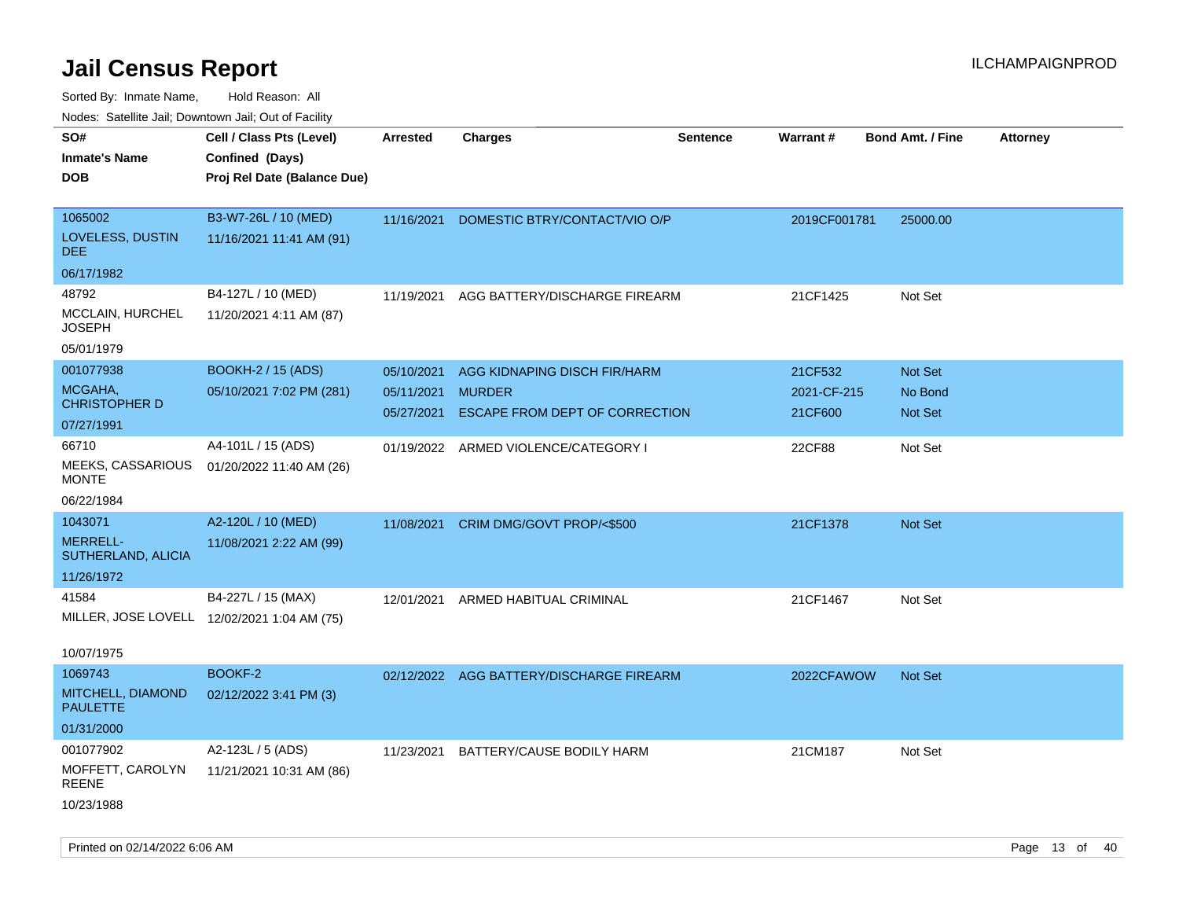| SO#<br>Cell / Class Pts (Level)<br><b>Charges</b><br><b>Sentence</b><br><b>Warrant#</b><br><b>Bond Amt. / Fine</b><br><b>Attorney</b><br><b>Arrested</b><br>Confined (Days)<br><b>Inmate's Name</b><br><b>DOB</b><br>Proj Rel Date (Balance Due)<br>1065002<br>B3-W7-26L / 10 (MED)<br>DOMESTIC BTRY/CONTACT/VIO O/P<br>11/16/2021<br>2019CF001781<br>25000.00<br>LOVELESS, DUSTIN<br>11/16/2021 11:41 AM (91)<br>DEE.<br>06/17/1982<br>48792<br>B4-127L / 10 (MED)<br>AGG BATTERY/DISCHARGE FIREARM<br>21CF1425<br>Not Set<br>11/19/2021<br>MCCLAIN, HURCHEL<br>11/20/2021 4:11 AM (87)<br>JOSEPH<br>05/01/1979<br>001077938<br><b>BOOKH-2 / 15 (ADS)</b><br>AGG KIDNAPING DISCH FIR/HARM<br>21CF532<br><b>Not Set</b><br>05/10/2021<br>MCGAHA,<br>05/10/2021 7:02 PM (281)<br><b>MURDER</b><br>05/11/2021<br>2021-CF-215<br>No Bond<br><b>CHRISTOPHER D</b><br>ESCAPE FROM DEPT OF CORRECTION<br>21CF600<br>05/27/2021<br><b>Not Set</b><br>07/27/1991<br>66710<br>A4-101L / 15 (ADS)<br>22CF88<br>Not Set<br>01/19/2022 ARMED VIOLENCE/CATEGORY I<br>MEEKS, CASSARIOUS<br>01/20/2022 11:40 AM (26)<br>MONTE<br>06/22/1984<br>A2-120L / 10 (MED)<br>1043071<br>11/08/2021<br>CRIM DMG/GOVT PROP/<\$500<br>21CF1378<br><b>Not Set</b><br><b>MERRELL-</b><br>11/08/2021 2:22 AM (99)<br>SUTHERLAND, ALICIA<br>11/26/1972<br>41584<br>B4-227L / 15 (MAX)<br>ARMED HABITUAL CRIMINAL<br>21CF1467<br>Not Set<br>12/01/2021<br>MILLER, JOSE LOVELL 12/02/2021 1:04 AM (75)<br>10/07/1975<br>BOOKF-2<br>1069743<br>02/12/2022 AGG BATTERY/DISCHARGE FIREARM<br>2022CFAWOW<br><b>Not Set</b> |  |
|----------------------------------------------------------------------------------------------------------------------------------------------------------------------------------------------------------------------------------------------------------------------------------------------------------------------------------------------------------------------------------------------------------------------------------------------------------------------------------------------------------------------------------------------------------------------------------------------------------------------------------------------------------------------------------------------------------------------------------------------------------------------------------------------------------------------------------------------------------------------------------------------------------------------------------------------------------------------------------------------------------------------------------------------------------------------------------------------------------------------------------------------------------------------------------------------------------------------------------------------------------------------------------------------------------------------------------------------------------------------------------------------------------------------------------------------------------------------------------------------------------------------------------------------------------------------------------------|--|
|                                                                                                                                                                                                                                                                                                                                                                                                                                                                                                                                                                                                                                                                                                                                                                                                                                                                                                                                                                                                                                                                                                                                                                                                                                                                                                                                                                                                                                                                                                                                                                                        |  |
|                                                                                                                                                                                                                                                                                                                                                                                                                                                                                                                                                                                                                                                                                                                                                                                                                                                                                                                                                                                                                                                                                                                                                                                                                                                                                                                                                                                                                                                                                                                                                                                        |  |
|                                                                                                                                                                                                                                                                                                                                                                                                                                                                                                                                                                                                                                                                                                                                                                                                                                                                                                                                                                                                                                                                                                                                                                                                                                                                                                                                                                                                                                                                                                                                                                                        |  |
|                                                                                                                                                                                                                                                                                                                                                                                                                                                                                                                                                                                                                                                                                                                                                                                                                                                                                                                                                                                                                                                                                                                                                                                                                                                                                                                                                                                                                                                                                                                                                                                        |  |
|                                                                                                                                                                                                                                                                                                                                                                                                                                                                                                                                                                                                                                                                                                                                                                                                                                                                                                                                                                                                                                                                                                                                                                                                                                                                                                                                                                                                                                                                                                                                                                                        |  |
|                                                                                                                                                                                                                                                                                                                                                                                                                                                                                                                                                                                                                                                                                                                                                                                                                                                                                                                                                                                                                                                                                                                                                                                                                                                                                                                                                                                                                                                                                                                                                                                        |  |
|                                                                                                                                                                                                                                                                                                                                                                                                                                                                                                                                                                                                                                                                                                                                                                                                                                                                                                                                                                                                                                                                                                                                                                                                                                                                                                                                                                                                                                                                                                                                                                                        |  |
|                                                                                                                                                                                                                                                                                                                                                                                                                                                                                                                                                                                                                                                                                                                                                                                                                                                                                                                                                                                                                                                                                                                                                                                                                                                                                                                                                                                                                                                                                                                                                                                        |  |
|                                                                                                                                                                                                                                                                                                                                                                                                                                                                                                                                                                                                                                                                                                                                                                                                                                                                                                                                                                                                                                                                                                                                                                                                                                                                                                                                                                                                                                                                                                                                                                                        |  |
|                                                                                                                                                                                                                                                                                                                                                                                                                                                                                                                                                                                                                                                                                                                                                                                                                                                                                                                                                                                                                                                                                                                                                                                                                                                                                                                                                                                                                                                                                                                                                                                        |  |
|                                                                                                                                                                                                                                                                                                                                                                                                                                                                                                                                                                                                                                                                                                                                                                                                                                                                                                                                                                                                                                                                                                                                                                                                                                                                                                                                                                                                                                                                                                                                                                                        |  |
|                                                                                                                                                                                                                                                                                                                                                                                                                                                                                                                                                                                                                                                                                                                                                                                                                                                                                                                                                                                                                                                                                                                                                                                                                                                                                                                                                                                                                                                                                                                                                                                        |  |
|                                                                                                                                                                                                                                                                                                                                                                                                                                                                                                                                                                                                                                                                                                                                                                                                                                                                                                                                                                                                                                                                                                                                                                                                                                                                                                                                                                                                                                                                                                                                                                                        |  |
|                                                                                                                                                                                                                                                                                                                                                                                                                                                                                                                                                                                                                                                                                                                                                                                                                                                                                                                                                                                                                                                                                                                                                                                                                                                                                                                                                                                                                                                                                                                                                                                        |  |
|                                                                                                                                                                                                                                                                                                                                                                                                                                                                                                                                                                                                                                                                                                                                                                                                                                                                                                                                                                                                                                                                                                                                                                                                                                                                                                                                                                                                                                                                                                                                                                                        |  |
|                                                                                                                                                                                                                                                                                                                                                                                                                                                                                                                                                                                                                                                                                                                                                                                                                                                                                                                                                                                                                                                                                                                                                                                                                                                                                                                                                                                                                                                                                                                                                                                        |  |
|                                                                                                                                                                                                                                                                                                                                                                                                                                                                                                                                                                                                                                                                                                                                                                                                                                                                                                                                                                                                                                                                                                                                                                                                                                                                                                                                                                                                                                                                                                                                                                                        |  |
|                                                                                                                                                                                                                                                                                                                                                                                                                                                                                                                                                                                                                                                                                                                                                                                                                                                                                                                                                                                                                                                                                                                                                                                                                                                                                                                                                                                                                                                                                                                                                                                        |  |
|                                                                                                                                                                                                                                                                                                                                                                                                                                                                                                                                                                                                                                                                                                                                                                                                                                                                                                                                                                                                                                                                                                                                                                                                                                                                                                                                                                                                                                                                                                                                                                                        |  |
|                                                                                                                                                                                                                                                                                                                                                                                                                                                                                                                                                                                                                                                                                                                                                                                                                                                                                                                                                                                                                                                                                                                                                                                                                                                                                                                                                                                                                                                                                                                                                                                        |  |
|                                                                                                                                                                                                                                                                                                                                                                                                                                                                                                                                                                                                                                                                                                                                                                                                                                                                                                                                                                                                                                                                                                                                                                                                                                                                                                                                                                                                                                                                                                                                                                                        |  |
|                                                                                                                                                                                                                                                                                                                                                                                                                                                                                                                                                                                                                                                                                                                                                                                                                                                                                                                                                                                                                                                                                                                                                                                                                                                                                                                                                                                                                                                                                                                                                                                        |  |
|                                                                                                                                                                                                                                                                                                                                                                                                                                                                                                                                                                                                                                                                                                                                                                                                                                                                                                                                                                                                                                                                                                                                                                                                                                                                                                                                                                                                                                                                                                                                                                                        |  |
|                                                                                                                                                                                                                                                                                                                                                                                                                                                                                                                                                                                                                                                                                                                                                                                                                                                                                                                                                                                                                                                                                                                                                                                                                                                                                                                                                                                                                                                                                                                                                                                        |  |
| MITCHELL, DIAMOND<br>02/12/2022 3:41 PM (3)<br><b>PAULETTE</b>                                                                                                                                                                                                                                                                                                                                                                                                                                                                                                                                                                                                                                                                                                                                                                                                                                                                                                                                                                                                                                                                                                                                                                                                                                                                                                                                                                                                                                                                                                                         |  |
| 01/31/2000                                                                                                                                                                                                                                                                                                                                                                                                                                                                                                                                                                                                                                                                                                                                                                                                                                                                                                                                                                                                                                                                                                                                                                                                                                                                                                                                                                                                                                                                                                                                                                             |  |
| 001077902<br>A2-123L / 5 (ADS)<br>BATTERY/CAUSE BODILY HARM<br>21CM187<br>11/23/2021<br>Not Set                                                                                                                                                                                                                                                                                                                                                                                                                                                                                                                                                                                                                                                                                                                                                                                                                                                                                                                                                                                                                                                                                                                                                                                                                                                                                                                                                                                                                                                                                        |  |
| MOFFETT, CAROLYN<br>11/21/2021 10:31 AM (86)<br>REENE                                                                                                                                                                                                                                                                                                                                                                                                                                                                                                                                                                                                                                                                                                                                                                                                                                                                                                                                                                                                                                                                                                                                                                                                                                                                                                                                                                                                                                                                                                                                  |  |
| 10/23/1988                                                                                                                                                                                                                                                                                                                                                                                                                                                                                                                                                                                                                                                                                                                                                                                                                                                                                                                                                                                                                                                                                                                                                                                                                                                                                                                                                                                                                                                                                                                                                                             |  |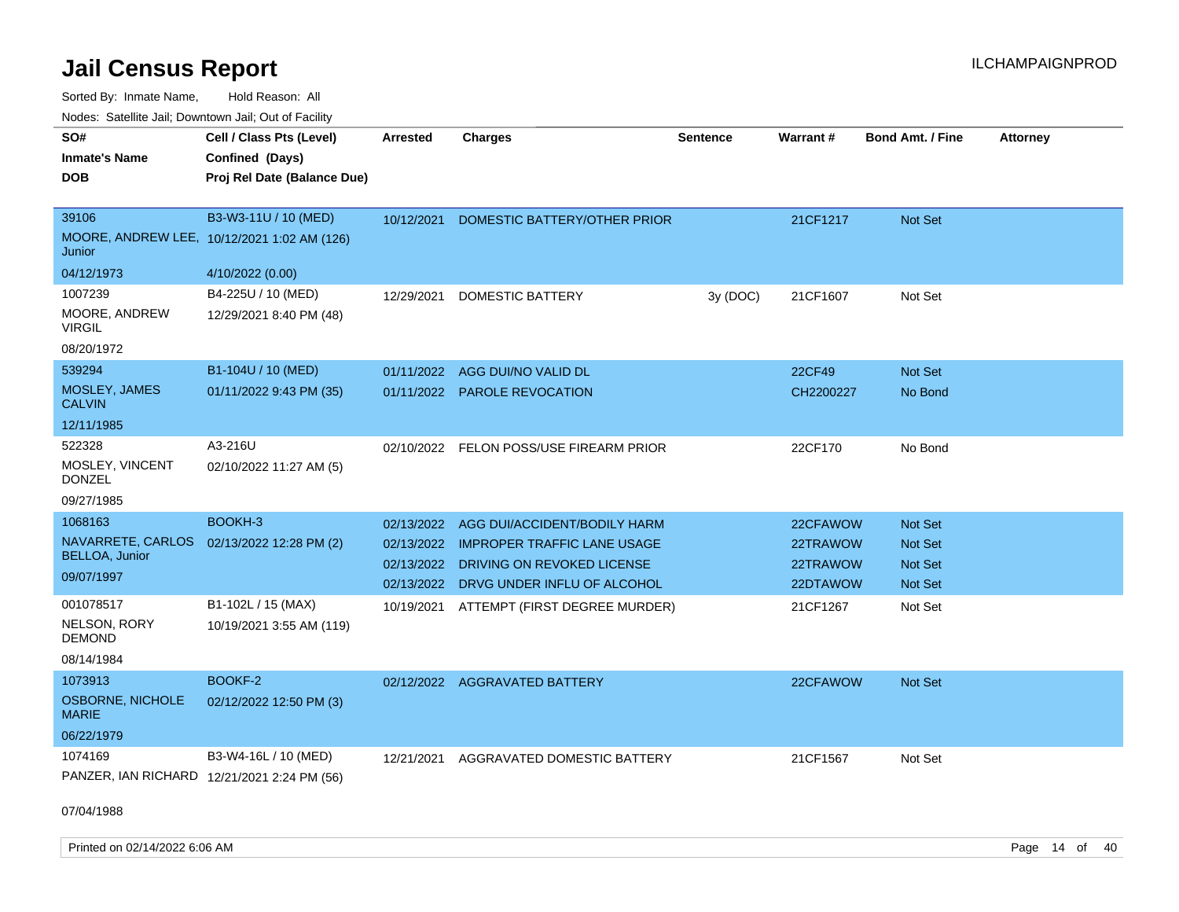Sorted By: Inmate Name, Hold Reason: All Nodes: Satellite Jail; Downtown Jail; Out of Facility

| SO#<br><b>Inmate's Name</b><br><b>DOB</b>                        | Cell / Class Pts (Level)<br>Confined (Days)<br>Proj Rel Date (Balance Due) | Arrested                 | <b>Charges</b>                                                                                      | <b>Sentence</b> | Warrant#                         | <b>Bond Amt. / Fine</b>              | <b>Attorney</b> |
|------------------------------------------------------------------|----------------------------------------------------------------------------|--------------------------|-----------------------------------------------------------------------------------------------------|-----------------|----------------------------------|--------------------------------------|-----------------|
| 39106<br>Junior                                                  | B3-W3-11U / 10 (MED)<br>MOORE, ANDREW LEE, 10/12/2021 1:02 AM (126)        | 10/12/2021               | DOMESTIC BATTERY/OTHER PRIOR                                                                        |                 | 21CF1217                         | Not Set                              |                 |
| 04/12/1973                                                       | 4/10/2022 (0.00)                                                           |                          |                                                                                                     |                 |                                  |                                      |                 |
| 1007239<br>MOORE, ANDREW<br><b>VIRGIL</b><br>08/20/1972          | B4-225U / 10 (MED)<br>12/29/2021 8:40 PM (48)                              | 12/29/2021               | <b>DOMESTIC BATTERY</b>                                                                             | 3y (DOC)        | 21CF1607                         | Not Set                              |                 |
| 539294                                                           | B1-104U / 10 (MED)                                                         |                          |                                                                                                     |                 |                                  |                                      |                 |
| MOSLEY, JAMES<br><b>CALVIN</b>                                   | 01/11/2022 9:43 PM (35)                                                    | 01/11/2022               | AGG DUI/NO VALID DL<br>01/11/2022 PAROLE REVOCATION                                                 |                 | 22CF49<br>CH2200227              | Not Set<br>No Bond                   |                 |
| 12/11/1985                                                       |                                                                            |                          |                                                                                                     |                 |                                  |                                      |                 |
| 522328<br>MOSLEY, VINCENT<br><b>DONZEL</b><br>09/27/1985         | A3-216U<br>02/10/2022 11:27 AM (5)                                         |                          | 02/10/2022 FELON POSS/USE FIREARM PRIOR                                                             |                 | 22CF170                          | No Bond                              |                 |
| 1068163                                                          | BOOKH-3                                                                    |                          | 02/13/2022 AGG DUI/ACCIDENT/BODILY HARM                                                             |                 | 22CFAWOW                         | <b>Not Set</b>                       |                 |
| NAVARRETE, CARLOS<br><b>BELLOA, Junior</b><br>09/07/1997         | 02/13/2022 12:28 PM (2)                                                    | 02/13/2022<br>02/13/2022 | 02/13/2022 IMPROPER TRAFFIC LANE USAGE<br>DRIVING ON REVOKED LICENSE<br>DRVG UNDER INFLU OF ALCOHOL |                 | 22TRAWOW<br>22TRAWOW<br>22DTAWOW | Not Set<br><b>Not Set</b><br>Not Set |                 |
| 001078517<br>NELSON, RORY<br><b>DEMOND</b><br>08/14/1984         | B1-102L / 15 (MAX)<br>10/19/2021 3:55 AM (119)                             | 10/19/2021               | ATTEMPT (FIRST DEGREE MURDER)                                                                       |                 | 21CF1267                         | Not Set                              |                 |
| 1073913<br><b>OSBORNE, NICHOLE</b><br><b>MARIE</b><br>06/22/1979 | BOOKF-2<br>02/12/2022 12:50 PM (3)                                         |                          | 02/12/2022 AGGRAVATED BATTERY                                                                       |                 | 22CFAWOW                         | Not Set                              |                 |
| 1074169<br>PANZER, IAN RICHARD                                   | B3-W4-16L / 10 (MED)<br>12/21/2021 2:24 PM (56)                            | 12/21/2021               | AGGRAVATED DOMESTIC BATTERY                                                                         |                 | 21CF1567                         | Not Set                              |                 |

07/04/1988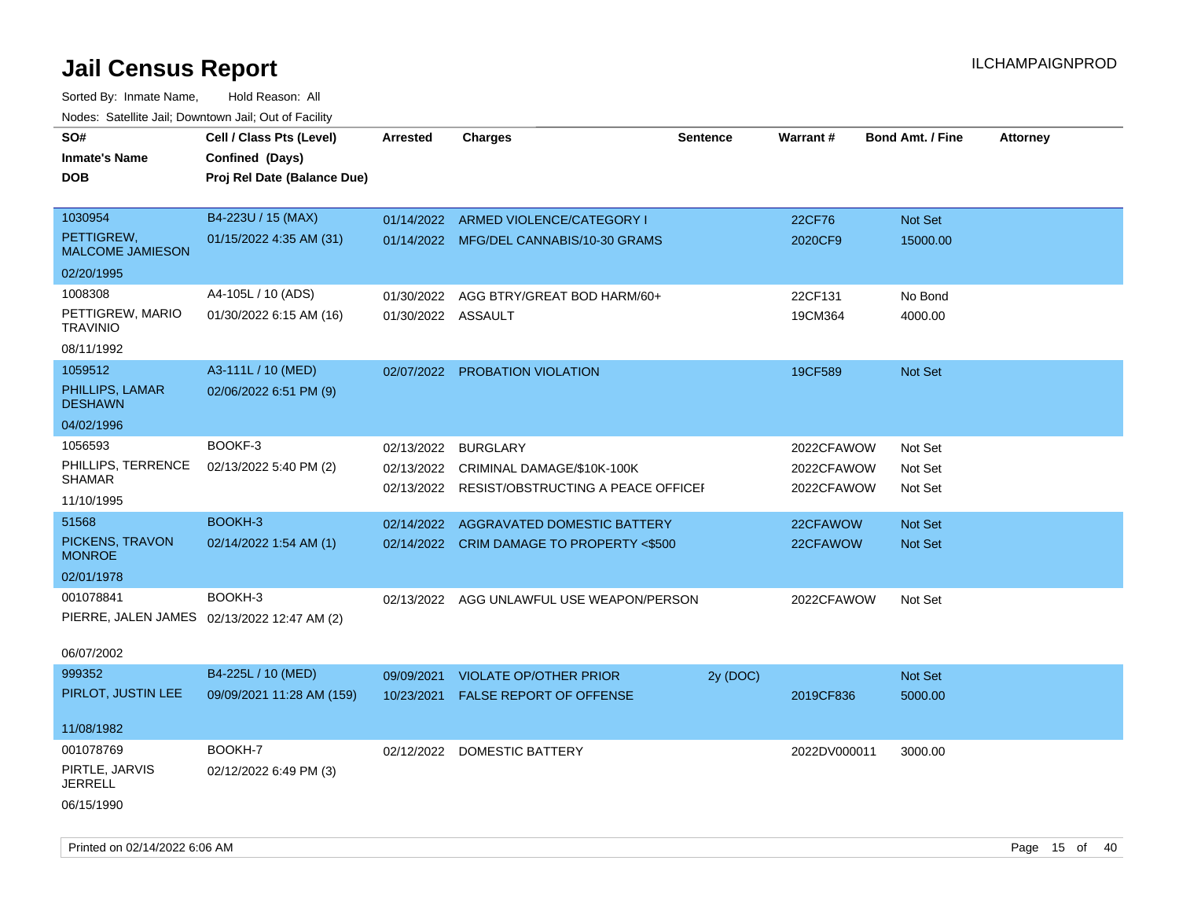Sorted By: Inmate Name, Hold Reason: All Nodes: Satellite Jail; Downtown Jail; Out of Facility

| Todoo: Catolino can, Bomnomii can, Oat of Faoint<br>SO#<br><b>Inmate's Name</b><br><b>DOB</b> | Cell / Class Pts (Level)<br>Confined (Days)<br>Proj Rel Date (Balance Due) | Arrested           | <b>Charges</b>                            | <b>Sentence</b> | <b>Warrant#</b> | <b>Bond Amt. / Fine</b> | <b>Attorney</b> |
|-----------------------------------------------------------------------------------------------|----------------------------------------------------------------------------|--------------------|-------------------------------------------|-----------------|-----------------|-------------------------|-----------------|
| 1030954                                                                                       | B4-223U / 15 (MAX)                                                         |                    | 01/14/2022 ARMED VIOLENCE/CATEGORY I      |                 | 22CF76          | <b>Not Set</b>          |                 |
| PETTIGREW.<br><b>MALCOME JAMIESON</b>                                                         | 01/15/2022 4:35 AM (31)                                                    |                    | 01/14/2022 MFG/DEL CANNABIS/10-30 GRAMS   |                 | 2020CF9         | 15000.00                |                 |
| 02/20/1995                                                                                    |                                                                            |                    |                                           |                 |                 |                         |                 |
| 1008308                                                                                       | A4-105L / 10 (ADS)                                                         | 01/30/2022         | AGG BTRY/GREAT BOD HARM/60+               |                 | 22CF131         | No Bond                 |                 |
| PETTIGREW, MARIO<br><b>TRAVINIO</b>                                                           | 01/30/2022 6:15 AM (16)                                                    | 01/30/2022 ASSAULT |                                           |                 | 19CM364         | 4000.00                 |                 |
| 08/11/1992                                                                                    |                                                                            |                    |                                           |                 |                 |                         |                 |
| 1059512                                                                                       | A3-111L / 10 (MED)                                                         |                    | 02/07/2022 PROBATION VIOLATION            |                 | 19CF589         | Not Set                 |                 |
| PHILLIPS, LAMAR<br><b>DESHAWN</b>                                                             | 02/06/2022 6:51 PM (9)                                                     |                    |                                           |                 |                 |                         |                 |
| 04/02/1996                                                                                    |                                                                            |                    |                                           |                 |                 |                         |                 |
| 1056593                                                                                       | BOOKF-3                                                                    | 02/13/2022         | <b>BURGLARY</b>                           |                 | 2022CFAWOW      | Not Set                 |                 |
| PHILLIPS, TERRENCE<br><b>SHAMAR</b>                                                           | 02/13/2022 5:40 PM (2)                                                     | 02/13/2022         | CRIMINAL DAMAGE/\$10K-100K                |                 | 2022CFAWOW      | Not Set                 |                 |
| 11/10/1995                                                                                    |                                                                            | 02/13/2022         | RESIST/OBSTRUCTING A PEACE OFFICEF        |                 | 2022CFAWOW      | Not Set                 |                 |
| 51568                                                                                         | BOOKH-3                                                                    | 02/14/2022         | <b>AGGRAVATED DOMESTIC BATTERY</b>        |                 | 22CFAWOW        | <b>Not Set</b>          |                 |
| PICKENS, TRAVON<br><b>MONROE</b>                                                              | 02/14/2022 1:54 AM (1)                                                     |                    | 02/14/2022 CRIM DAMAGE TO PROPERTY <\$500 |                 | 22CFAWOW        | Not Set                 |                 |
| 02/01/1978                                                                                    |                                                                            |                    |                                           |                 |                 |                         |                 |
| 001078841                                                                                     | BOOKH-3                                                                    |                    | 02/13/2022 AGG UNLAWFUL USE WEAPON/PERSON |                 | 2022CFAWOW      | Not Set                 |                 |
| PIERRE, JALEN JAMES 02/13/2022 12:47 AM (2)                                                   |                                                                            |                    |                                           |                 |                 |                         |                 |
| 06/07/2002                                                                                    |                                                                            |                    |                                           |                 |                 |                         |                 |
| 999352                                                                                        | B4-225L / 10 (MED)                                                         | 09/09/2021         | <b>VIOLATE OP/OTHER PRIOR</b>             | 2y (DOC)        |                 | Not Set                 |                 |
| PIRLOT, JUSTIN LEE                                                                            | 09/09/2021 11:28 AM (159)                                                  | 10/23/2021         | FALSE REPORT OF OFFENSE                   |                 | 2019CF836       | 5000.00                 |                 |
| 11/08/1982                                                                                    |                                                                            |                    |                                           |                 |                 |                         |                 |
| 001078769                                                                                     | BOOKH-7                                                                    |                    | 02/12/2022 DOMESTIC BATTERY               |                 | 2022DV000011    | 3000.00                 |                 |
| PIRTLE, JARVIS<br><b>JERRELL</b>                                                              | 02/12/2022 6:49 PM (3)                                                     |                    |                                           |                 |                 |                         |                 |
| 06/15/1990                                                                                    |                                                                            |                    |                                           |                 |                 |                         |                 |

Printed on 02/14/2022 6:06 AM Page 15 of 40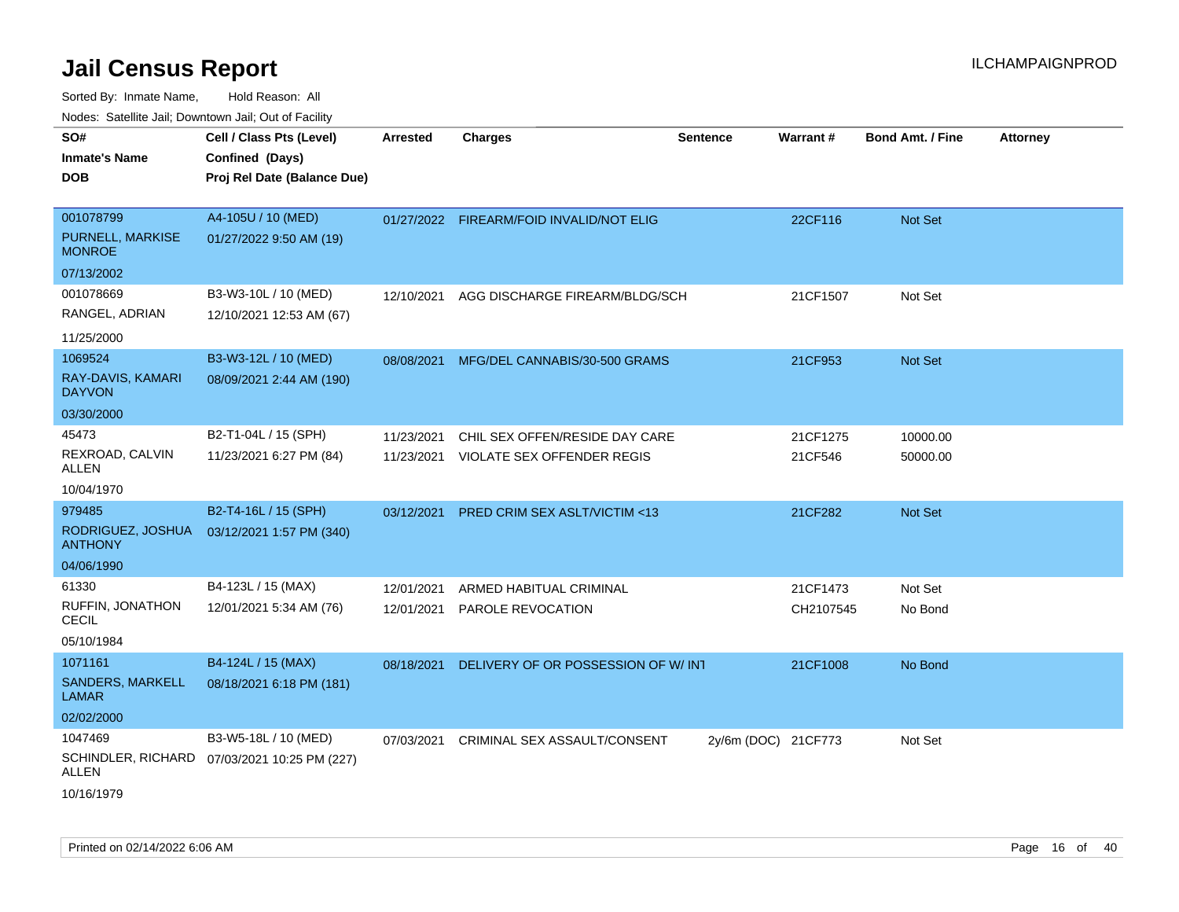| <b>NOULD:</b> Catoline can, Downtown can, Out of Fability |                                                                            |                          |                                                              |                     |                     |                         |                 |
|-----------------------------------------------------------|----------------------------------------------------------------------------|--------------------------|--------------------------------------------------------------|---------------------|---------------------|-------------------------|-----------------|
| SO#<br><b>Inmate's Name</b><br><b>DOB</b>                 | Cell / Class Pts (Level)<br>Confined (Days)<br>Proj Rel Date (Balance Due) | <b>Arrested</b>          | <b>Charges</b>                                               | <b>Sentence</b>     | Warrant#            | <b>Bond Amt. / Fine</b> | <b>Attorney</b> |
| 001078799<br>PURNELL, MARKISE<br><b>MONROE</b>            | A4-105U / 10 (MED)<br>01/27/2022 9:50 AM (19)                              |                          | 01/27/2022 FIREARM/FOID INVALID/NOT ELIG                     |                     | 22CF116             | <b>Not Set</b>          |                 |
| 07/13/2002                                                |                                                                            |                          |                                                              |                     |                     |                         |                 |
| 001078669<br>RANGEL, ADRIAN                               | B3-W3-10L / 10 (MED)<br>12/10/2021 12:53 AM (67)                           | 12/10/2021               | AGG DISCHARGE FIREARM/BLDG/SCH                               |                     | 21CF1507            | Not Set                 |                 |
| 11/25/2000                                                |                                                                            |                          |                                                              |                     |                     |                         |                 |
| 1069524<br>RAY-DAVIS, KAMARI<br><b>DAYVON</b>             | B3-W3-12L / 10 (MED)<br>08/09/2021 2:44 AM (190)                           | 08/08/2021               | MFG/DEL CANNABIS/30-500 GRAMS                                |                     | 21CF953             | <b>Not Set</b>          |                 |
| 03/30/2000                                                |                                                                            |                          |                                                              |                     |                     |                         |                 |
| 45473<br>REXROAD, CALVIN<br>ALLEN                         | B2-T1-04L / 15 (SPH)<br>11/23/2021 6:27 PM (84)                            | 11/23/2021<br>11/23/2021 | CHIL SEX OFFEN/RESIDE DAY CARE<br>VIOLATE SEX OFFENDER REGIS |                     | 21CF1275<br>21CF546 | 10000.00<br>50000.00    |                 |
| 10/04/1970                                                |                                                                            |                          |                                                              |                     |                     |                         |                 |
| 979485                                                    | B2-T4-16L / 15 (SPH)                                                       | 03/12/2021               | <b>PRED CRIM SEX ASLT/VICTIM &lt;13</b>                      |                     | 21CF282             | <b>Not Set</b>          |                 |
| RODRIGUEZ, JOSHUA<br><b>ANTHONY</b>                       | 03/12/2021 1:57 PM (340)                                                   |                          |                                                              |                     |                     |                         |                 |
| 04/06/1990                                                |                                                                            |                          |                                                              |                     |                     |                         |                 |
| 61330                                                     | B4-123L / 15 (MAX)                                                         | 12/01/2021               | ARMED HABITUAL CRIMINAL                                      |                     | 21CF1473            | Not Set                 |                 |
| RUFFIN, JONATHON<br><b>CECIL</b>                          | 12/01/2021 5:34 AM (76)                                                    | 12/01/2021               | PAROLE REVOCATION                                            |                     | CH2107545           | No Bond                 |                 |
| 05/10/1984                                                |                                                                            |                          |                                                              |                     |                     |                         |                 |
| 1071161<br><b>SANDERS, MARKELL</b><br><b>LAMAR</b>        | B4-124L / 15 (MAX)<br>08/18/2021 6:18 PM (181)                             | 08/18/2021               | DELIVERY OF OR POSSESSION OF W/INT                           |                     | 21CF1008            | No Bond                 |                 |
| 02/02/2000                                                |                                                                            |                          |                                                              |                     |                     |                         |                 |
| 1047469                                                   | B3-W5-18L / 10 (MED)                                                       | 07/03/2021               | CRIMINAL SEX ASSAULT/CONSENT                                 | 2y/6m (DOC) 21CF773 |                     | Not Set                 |                 |
| ALLEN                                                     | SCHINDLER, RICHARD 07/03/2021 10:25 PM (227)                               |                          |                                                              |                     |                     |                         |                 |
| 10/16/1979                                                |                                                                            |                          |                                                              |                     |                     |                         |                 |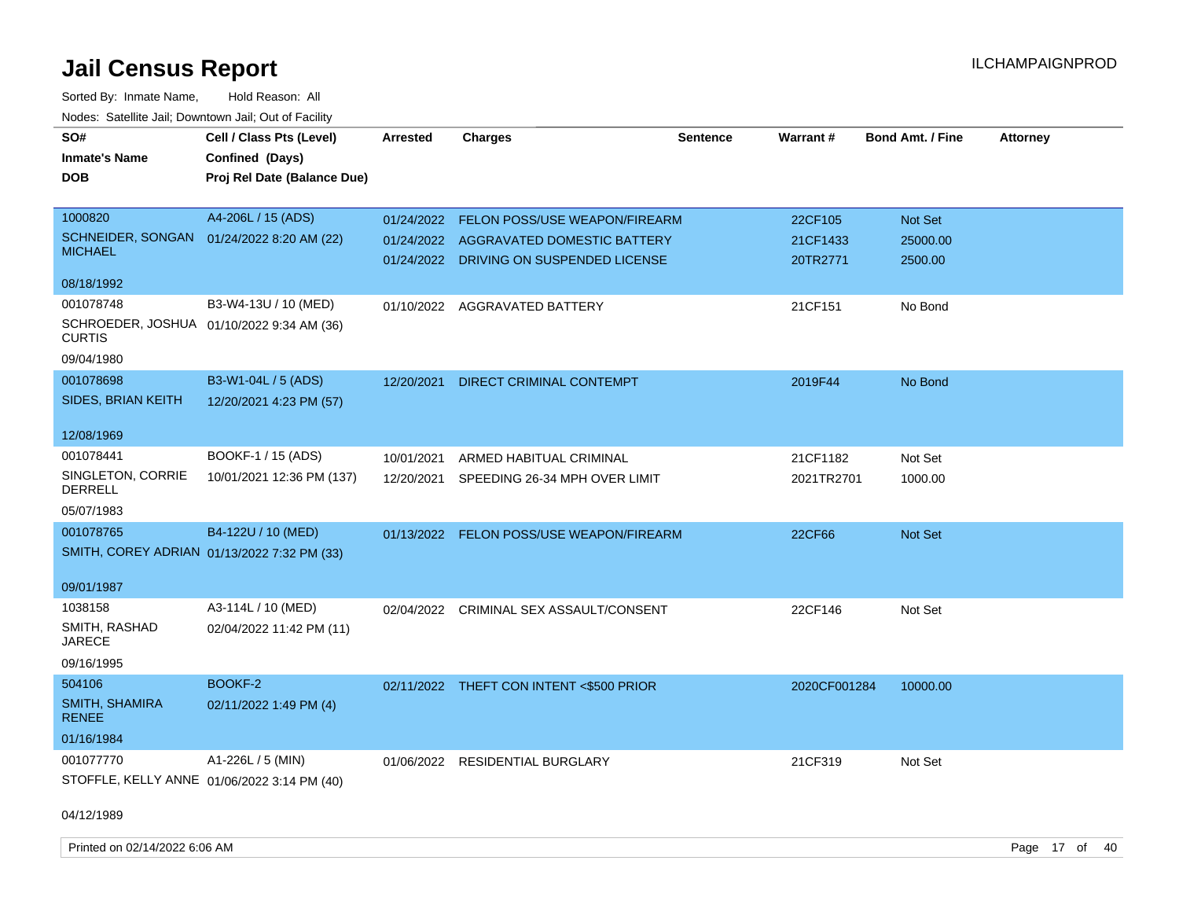| SO#                                 | Cell / Class Pts (Level)                    | <b>Arrested</b> | <b>Charges</b>                           | <b>Sentence</b> | <b>Warrant#</b> | Bond Amt. / Fine | <b>Attorney</b> |
|-------------------------------------|---------------------------------------------|-----------------|------------------------------------------|-----------------|-----------------|------------------|-----------------|
| <b>Inmate's Name</b>                | Confined (Days)                             |                 |                                          |                 |                 |                  |                 |
| <b>DOB</b>                          | Proj Rel Date (Balance Due)                 |                 |                                          |                 |                 |                  |                 |
|                                     |                                             |                 |                                          |                 |                 |                  |                 |
| 1000820                             | A4-206L / 15 (ADS)                          |                 | 01/24/2022 FELON POSS/USE WEAPON/FIREARM |                 | 22CF105         | Not Set          |                 |
| SCHNEIDER, SONGAN<br><b>MICHAEL</b> | 01/24/2022 8:20 AM (22)                     |                 | 01/24/2022 AGGRAVATED DOMESTIC BATTERY   |                 | 21CF1433        | 25000.00         |                 |
|                                     |                                             |                 | 01/24/2022 DRIVING ON SUSPENDED LICENSE  |                 | 20TR2771        | 2500.00          |                 |
| 08/18/1992                          |                                             |                 |                                          |                 |                 |                  |                 |
| 001078748                           | B3-W4-13U / 10 (MED)                        | 01/10/2022      | <b>AGGRAVATED BATTERY</b>                |                 | 21CF151         | No Bond          |                 |
| <b>CURTIS</b>                       | SCHROEDER, JOSHUA 01/10/2022 9:34 AM (36)   |                 |                                          |                 |                 |                  |                 |
| 09/04/1980                          |                                             |                 |                                          |                 |                 |                  |                 |
| 001078698                           | B3-W1-04L / 5 (ADS)                         | 12/20/2021      | DIRECT CRIMINAL CONTEMPT                 |                 | 2019F44         | No Bond          |                 |
| SIDES, BRIAN KEITH                  | 12/20/2021 4:23 PM (57)                     |                 |                                          |                 |                 |                  |                 |
|                                     |                                             |                 |                                          |                 |                 |                  |                 |
| 12/08/1969                          |                                             |                 |                                          |                 |                 |                  |                 |
| 001078441                           | BOOKF-1 / 15 (ADS)                          | 10/01/2021      | ARMED HABITUAL CRIMINAL                  |                 | 21CF1182        | Not Set          |                 |
| SINGLETON, CORRIE<br><b>DERRELL</b> | 10/01/2021 12:36 PM (137)                   |                 | 12/20/2021 SPEEDING 26-34 MPH OVER LIMIT |                 | 2021TR2701      | 1000.00          |                 |
| 05/07/1983                          |                                             |                 |                                          |                 |                 |                  |                 |
| 001078765                           | B4-122U / 10 (MED)                          |                 | 01/13/2022 FELON POSS/USE WEAPON/FIREARM |                 | 22CF66          | Not Set          |                 |
|                                     | SMITH, COREY ADRIAN 01/13/2022 7:32 PM (33) |                 |                                          |                 |                 |                  |                 |
|                                     |                                             |                 |                                          |                 |                 |                  |                 |
| 09/01/1987                          |                                             |                 |                                          |                 |                 |                  |                 |
| 1038158                             | A3-114L / 10 (MED)                          |                 | 02/04/2022 CRIMINAL SEX ASSAULT/CONSENT  |                 | 22CF146         | Not Set          |                 |
| SMITH, RASHAD<br><b>JARECE</b>      | 02/04/2022 11:42 PM (11)                    |                 |                                          |                 |                 |                  |                 |
| 09/16/1995                          |                                             |                 |                                          |                 |                 |                  |                 |
| 504106                              | BOOKF-2                                     |                 | 02/11/2022 THEFT CON INTENT <\$500 PRIOR |                 | 2020CF001284    | 10000.00         |                 |
| SMITH, SHAMIRA                      | 02/11/2022 1:49 PM (4)                      |                 |                                          |                 |                 |                  |                 |
| <b>RENEE</b>                        |                                             |                 |                                          |                 |                 |                  |                 |
| 01/16/1984                          |                                             |                 |                                          |                 |                 |                  |                 |
| 001077770                           | A1-226L / 5 (MIN)                           |                 | 01/06/2022 RESIDENTIAL BURGLARY          |                 | 21CF319         | Not Set          |                 |
|                                     | STOFFLE, KELLY ANNE 01/06/2022 3:14 PM (40) |                 |                                          |                 |                 |                  |                 |
|                                     |                                             |                 |                                          |                 |                 |                  |                 |
| 04/12/1989                          |                                             |                 |                                          |                 |                 |                  |                 |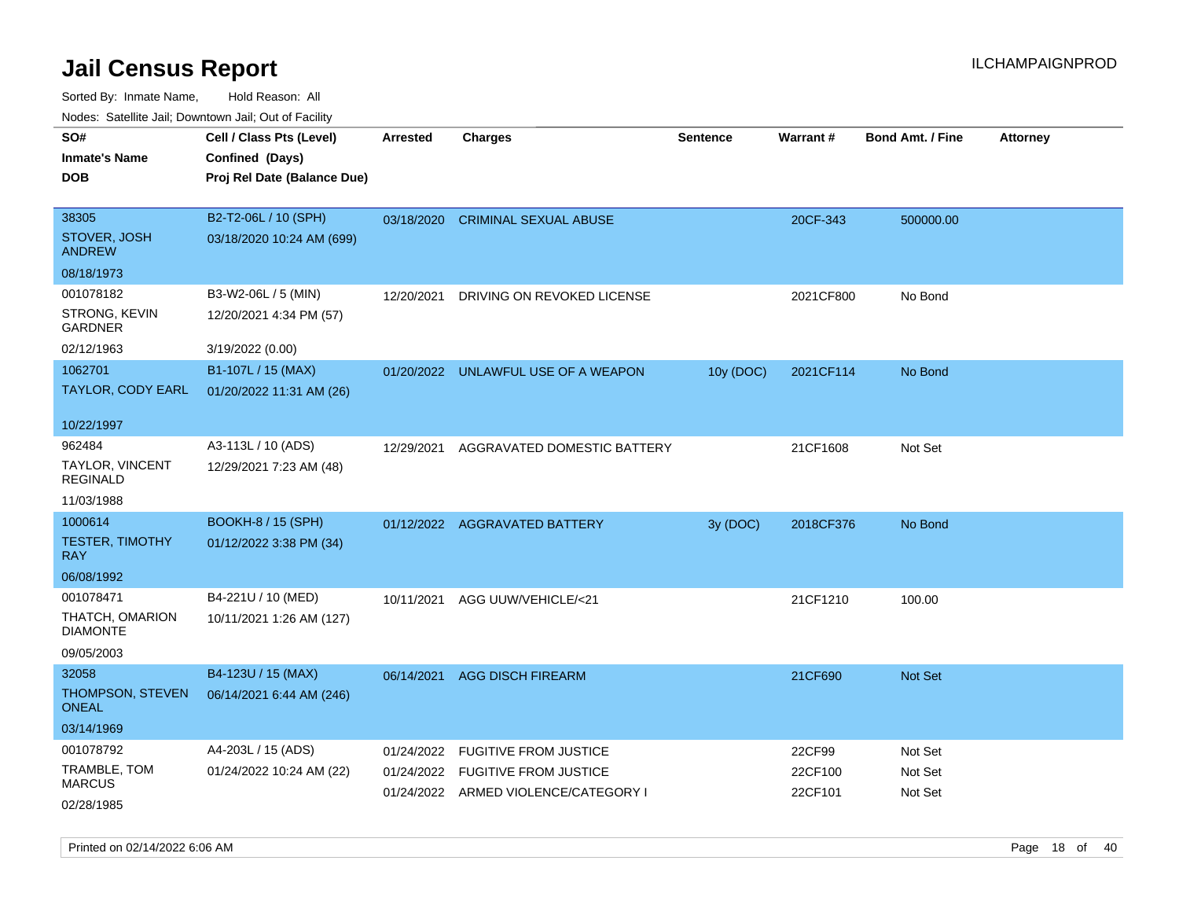Sorted By: Inmate Name, Hold Reason: All Nodes: Satellite Jail; Downtown Jail; Out of Facility

| roaco. Catolino dall, Downtown dall, Out of Fability |                             |            |                                      |                 |                 |                         |                 |
|------------------------------------------------------|-----------------------------|------------|--------------------------------------|-----------------|-----------------|-------------------------|-----------------|
| SO#                                                  | Cell / Class Pts (Level)    | Arrested   | Charges                              | <b>Sentence</b> | <b>Warrant#</b> | <b>Bond Amt. / Fine</b> | <b>Attorney</b> |
| <b>Inmate's Name</b>                                 | Confined (Days)             |            |                                      |                 |                 |                         |                 |
| <b>DOB</b>                                           | Proj Rel Date (Balance Due) |            |                                      |                 |                 |                         |                 |
|                                                      |                             |            |                                      |                 |                 |                         |                 |
| 38305                                                | B2-T2-06L / 10 (SPH)        |            | 03/18/2020 CRIMINAL SEXUAL ABUSE     |                 | 20CF-343        | 500000.00               |                 |
| STOVER, JOSH<br><b>ANDREW</b>                        | 03/18/2020 10:24 AM (699)   |            |                                      |                 |                 |                         |                 |
| 08/18/1973                                           |                             |            |                                      |                 |                 |                         |                 |
| 001078182                                            | B3-W2-06L / 5 (MIN)         | 12/20/2021 | DRIVING ON REVOKED LICENSE           |                 | 2021CF800       | No Bond                 |                 |
| STRONG, KEVIN<br>GARDNER                             | 12/20/2021 4:34 PM (57)     |            |                                      |                 |                 |                         |                 |
| 02/12/1963                                           | 3/19/2022 (0.00)            |            |                                      |                 |                 |                         |                 |
| 1062701                                              | B1-107L / 15 (MAX)          |            | 01/20/2022 UNLAWFUL USE OF A WEAPON  | 10y (DOC)       | 2021CF114       | No Bond                 |                 |
| TAYLOR, CODY EARL                                    | 01/20/2022 11:31 AM (26)    |            |                                      |                 |                 |                         |                 |
|                                                      |                             |            |                                      |                 |                 |                         |                 |
| 10/22/1997                                           |                             |            |                                      |                 |                 |                         |                 |
| 962484                                               | A3-113L / 10 (ADS)          | 12/29/2021 | AGGRAVATED DOMESTIC BATTERY          |                 | 21CF1608        | Not Set                 |                 |
| <b>TAYLOR, VINCENT</b><br><b>REGINALD</b>            | 12/29/2021 7:23 AM (48)     |            |                                      |                 |                 |                         |                 |
| 11/03/1988                                           |                             |            |                                      |                 |                 |                         |                 |
| 1000614                                              | <b>BOOKH-8 / 15 (SPH)</b>   |            | 01/12/2022 AGGRAVATED BATTERY        | 3y (DOC)        | 2018CF376       | No Bond                 |                 |
| <b>TESTER, TIMOTHY</b><br>RAY.                       | 01/12/2022 3:38 PM (34)     |            |                                      |                 |                 |                         |                 |
| 06/08/1992                                           |                             |            |                                      |                 |                 |                         |                 |
| 001078471                                            | B4-221U / 10 (MED)          | 10/11/2021 | AGG UUW/VEHICLE/<21                  |                 | 21CF1210        | 100.00                  |                 |
| THATCH, OMARION<br><b>DIAMONTE</b>                   | 10/11/2021 1:26 AM (127)    |            |                                      |                 |                 |                         |                 |
| 09/05/2003                                           |                             |            |                                      |                 |                 |                         |                 |
| 32058                                                | B4-123U / 15 (MAX)          | 06/14/2021 | <b>AGG DISCH FIREARM</b>             |                 | 21CF690         | <b>Not Set</b>          |                 |
| THOMPSON, STEVEN<br>ONEAL                            | 06/14/2021 6:44 AM (246)    |            |                                      |                 |                 |                         |                 |
| 03/14/1969                                           |                             |            |                                      |                 |                 |                         |                 |
| 001078792                                            | A4-203L / 15 (ADS)          | 01/24/2022 | <b>FUGITIVE FROM JUSTICE</b>         |                 | 22CF99          | Not Set                 |                 |
| TRAMBLE, TOM                                         | 01/24/2022 10:24 AM (22)    | 01/24/2022 | <b>FUGITIVE FROM JUSTICE</b>         |                 | 22CF100         | Not Set                 |                 |
| <b>MARCUS</b>                                        |                             |            | 01/24/2022 ARMED VIOLENCE/CATEGORY I |                 | 22CF101         | Not Set                 |                 |
| 02/28/1985                                           |                             |            |                                      |                 |                 |                         |                 |

Printed on 02/14/2022 6:06 AM Page 18 of 40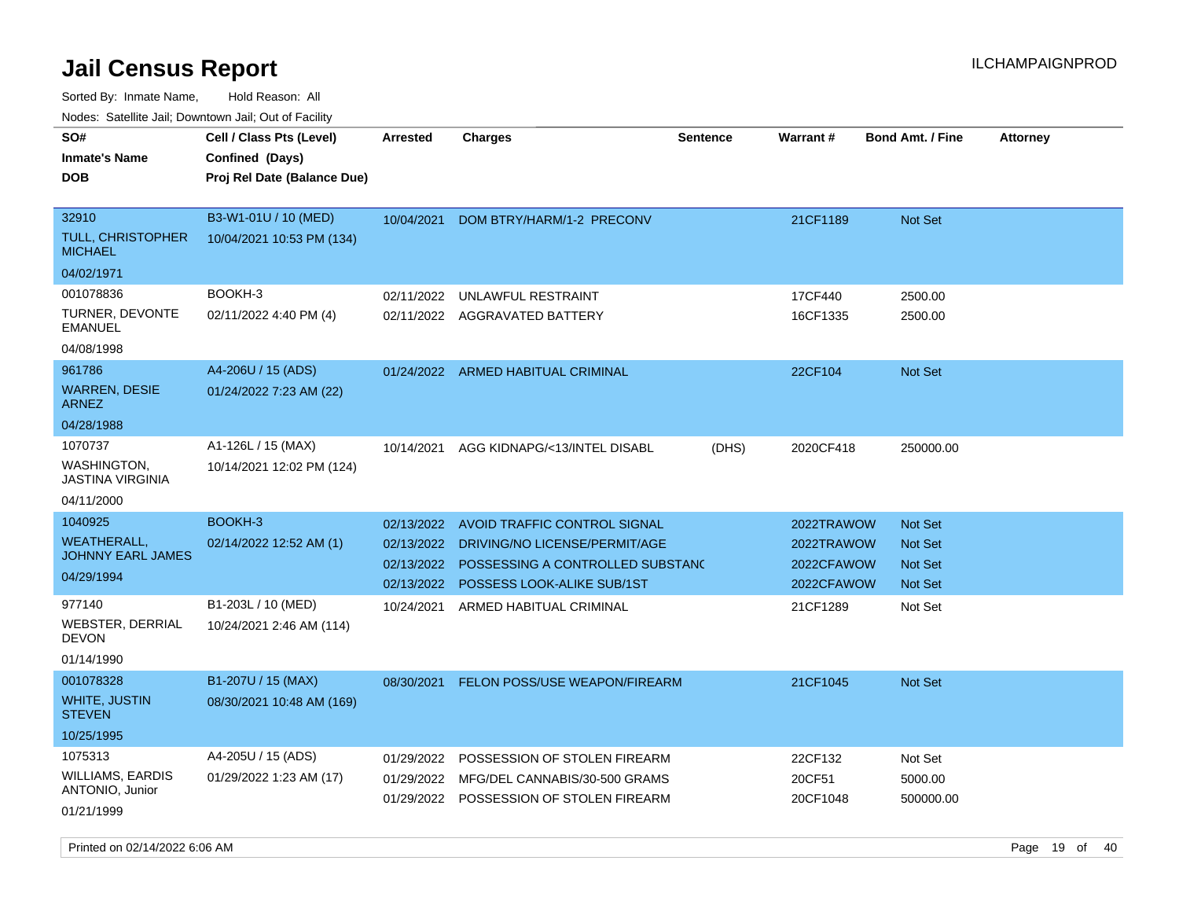Sorted By: Inmate Name, Hold Reason: All

| Nodes: Satellite Jail; Downtown Jail; Out of Facility |                                                                            |                 |                                         |                 |            |                  |                 |
|-------------------------------------------------------|----------------------------------------------------------------------------|-----------------|-----------------------------------------|-----------------|------------|------------------|-----------------|
| SO#<br><b>Inmate's Name</b><br><b>DOB</b>             | Cell / Class Pts (Level)<br>Confined (Days)<br>Proj Rel Date (Balance Due) | <b>Arrested</b> | <b>Charges</b>                          | <b>Sentence</b> | Warrant#   | Bond Amt. / Fine | <b>Attorney</b> |
|                                                       |                                                                            |                 |                                         |                 |            |                  |                 |
| 32910                                                 | B3-W1-01U / 10 (MED)                                                       | 10/04/2021      | DOM BTRY/HARM/1-2 PRECONV               |                 | 21CF1189   | Not Set          |                 |
| <b>TULL, CHRISTOPHER</b><br><b>MICHAEL</b>            | 10/04/2021 10:53 PM (134)                                                  |                 |                                         |                 |            |                  |                 |
| 04/02/1971                                            |                                                                            |                 |                                         |                 |            |                  |                 |
| 001078836                                             | BOOKH-3                                                                    | 02/11/2022      | UNLAWFUL RESTRAINT                      |                 | 17CF440    | 2500.00          |                 |
| TURNER, DEVONTE<br><b>EMANUEL</b>                     | 02/11/2022 4:40 PM (4)                                                     |                 | 02/11/2022 AGGRAVATED BATTERY           |                 | 16CF1335   | 2500.00          |                 |
| 04/08/1998                                            |                                                                            |                 |                                         |                 |            |                  |                 |
| 961786                                                | A4-206U / 15 (ADS)                                                         |                 | 01/24/2022 ARMED HABITUAL CRIMINAL      |                 | 22CF104    | Not Set          |                 |
| <b>WARREN, DESIE</b><br><b>ARNEZ</b>                  | 01/24/2022 7:23 AM (22)                                                    |                 |                                         |                 |            |                  |                 |
| 04/28/1988                                            |                                                                            |                 |                                         |                 |            |                  |                 |
| 1070737                                               | A1-126L / 15 (MAX)                                                         | 10/14/2021      | AGG KIDNAPG/<13/INTEL DISABL            | (DHS)           | 2020CF418  | 250000.00        |                 |
| <b>WASHINGTON.</b><br><b>JASTINA VIRGINIA</b>         | 10/14/2021 12:02 PM (124)                                                  |                 |                                         |                 |            |                  |                 |
| 04/11/2000                                            |                                                                            |                 |                                         |                 |            |                  |                 |
| 1040925                                               | BOOKH-3                                                                    | 02/13/2022      | AVOID TRAFFIC CONTROL SIGNAL            |                 | 2022TRAWOW | <b>Not Set</b>   |                 |
| <b>WEATHERALL,</b><br><b>JOHNNY EARL JAMES</b>        | 02/14/2022 12:52 AM (1)                                                    | 02/13/2022      | DRIVING/NO LICENSE/PERMIT/AGE           |                 | 2022TRAWOW | <b>Not Set</b>   |                 |
|                                                       |                                                                            | 02/13/2022      | POSSESSING A CONTROLLED SUBSTAND        |                 | 2022CFAWOW | Not Set          |                 |
| 04/29/1994                                            |                                                                            | 02/13/2022      | POSSESS LOOK-ALIKE SUB/1ST              |                 | 2022CFAWOW | <b>Not Set</b>   |                 |
| 977140                                                | B1-203L / 10 (MED)                                                         | 10/24/2021      | ARMED HABITUAL CRIMINAL                 |                 | 21CF1289   | Not Set          |                 |
| <b>WEBSTER, DERRIAL</b><br><b>DEVON</b>               | 10/24/2021 2:46 AM (114)                                                   |                 |                                         |                 |            |                  |                 |
| 01/14/1990                                            |                                                                            |                 |                                         |                 |            |                  |                 |
| 001078328                                             | B1-207U / 15 (MAX)                                                         | 08/30/2021      | FELON POSS/USE WEAPON/FIREARM           |                 | 21CF1045   | <b>Not Set</b>   |                 |
| WHITE, JUSTIN<br><b>STEVEN</b>                        | 08/30/2021 10:48 AM (169)                                                  |                 |                                         |                 |            |                  |                 |
| 10/25/1995                                            |                                                                            |                 |                                         |                 |            |                  |                 |
| 1075313                                               | A4-205U / 15 (ADS)                                                         | 01/29/2022      | POSSESSION OF STOLEN FIREARM            |                 | 22CF132    | Not Set          |                 |
| <b>WILLIAMS, EARDIS</b>                               | 01/29/2022 1:23 AM (17)                                                    | 01/29/2022      | MFG/DEL CANNABIS/30-500 GRAMS           |                 | 20CF51     | 5000.00          |                 |
| ANTONIO, Junior<br>01/21/1999                         |                                                                            |                 | 01/29/2022 POSSESSION OF STOLEN FIREARM |                 | 20CF1048   | 500000.00        |                 |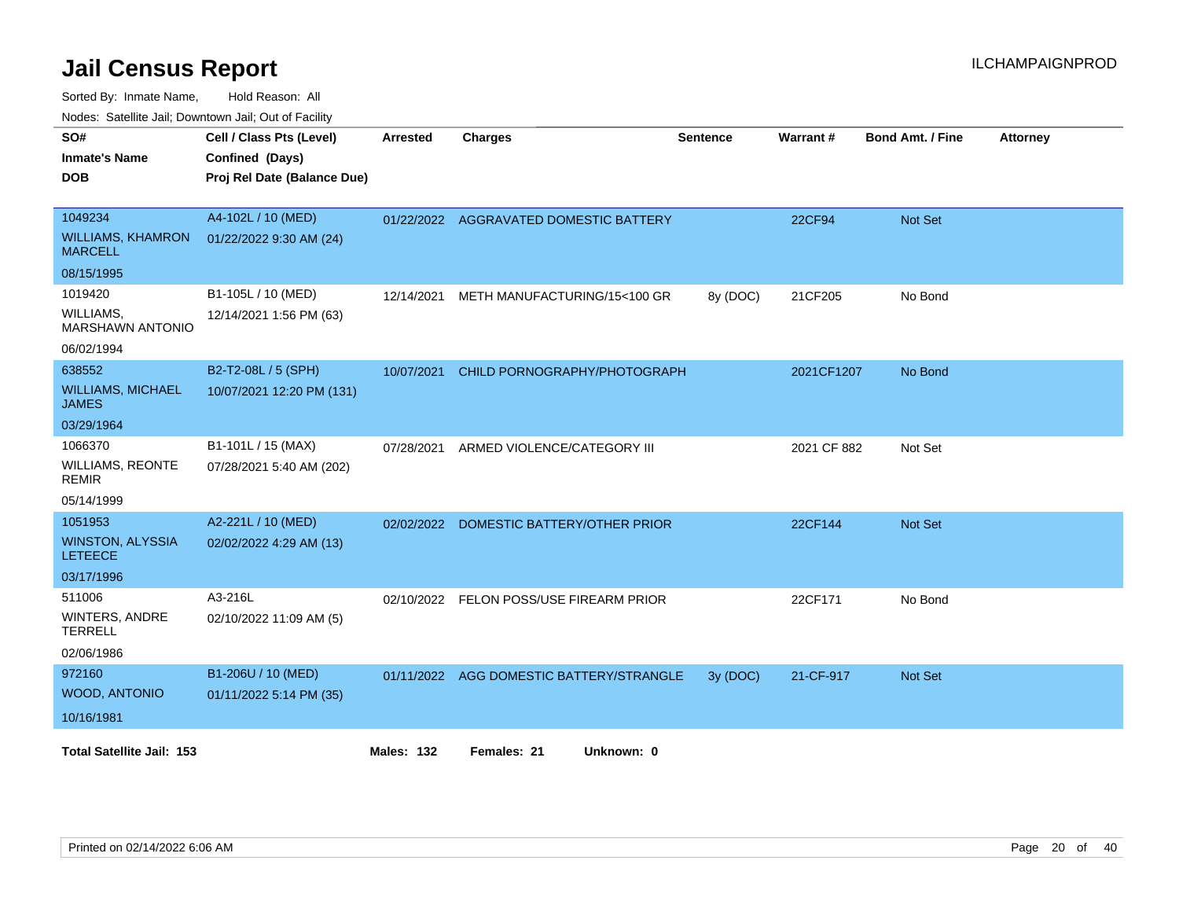Sorted By: Inmate Name, Hold Reason: All

| Nodes: Satellite Jail; Downtown Jail; Out of Facility |  |
|-------------------------------------------------------|--|
|                                                       |  |

| SO#<br><b>Inmate's Name</b><br><b>DOB</b>             | Cell / Class Pts (Level)<br>Confined (Days)<br>Proj Rel Date (Balance Due) | <b>Arrested</b>   | <b>Charges</b>                           | <b>Sentence</b> | Warrant#      | <b>Bond Amt. / Fine</b> | <b>Attorney</b> |
|-------------------------------------------------------|----------------------------------------------------------------------------|-------------------|------------------------------------------|-----------------|---------------|-------------------------|-----------------|
| 1049234<br><b>WILLIAMS, KHAMRON</b><br><b>MARCELL</b> | A4-102L / 10 (MED)<br>01/22/2022 9:30 AM (24)                              |                   | 01/22/2022 AGGRAVATED DOMESTIC BATTERY   |                 | <b>22CF94</b> | <b>Not Set</b>          |                 |
| 08/15/1995                                            |                                                                            |                   |                                          |                 |               |                         |                 |
| 1019420                                               | B1-105L / 10 (MED)                                                         | 12/14/2021        | METH MANUFACTURING/15<100 GR             | 8y (DOC)        | 21CF205       | No Bond                 |                 |
| WILLIAMS,<br><b>MARSHAWN ANTONIO</b>                  | 12/14/2021 1:56 PM (63)                                                    |                   |                                          |                 |               |                         |                 |
| 06/02/1994                                            |                                                                            |                   |                                          |                 |               |                         |                 |
| 638552                                                | B2-T2-08L / 5 (SPH)                                                        | 10/07/2021        | CHILD PORNOGRAPHY/PHOTOGRAPH             |                 | 2021CF1207    | No Bond                 |                 |
| <b>WILLIAMS, MICHAEL</b><br><b>JAMES</b>              | 10/07/2021 12:20 PM (131)                                                  |                   |                                          |                 |               |                         |                 |
| 03/29/1964                                            |                                                                            |                   |                                          |                 |               |                         |                 |
| 1066370                                               | B1-101L / 15 (MAX)                                                         | 07/28/2021        | ARMED VIOLENCE/CATEGORY III              |                 | 2021 CF 882   | Not Set                 |                 |
| <b>WILLIAMS, REONTE</b><br><b>REMIR</b>               | 07/28/2021 5:40 AM (202)                                                   |                   |                                          |                 |               |                         |                 |
| 05/14/1999                                            |                                                                            |                   |                                          |                 |               |                         |                 |
| 1051953                                               | A2-221L / 10 (MED)                                                         | 02/02/2022        | DOMESTIC BATTERY/OTHER PRIOR             |                 | 22CF144       | <b>Not Set</b>          |                 |
| <b>WINSTON, ALYSSIA</b><br><b>LETEECE</b>             | 02/02/2022 4:29 AM (13)                                                    |                   |                                          |                 |               |                         |                 |
| 03/17/1996                                            |                                                                            |                   |                                          |                 |               |                         |                 |
| 511006                                                | A3-216L                                                                    | 02/10/2022        | FELON POSS/USE FIREARM PRIOR             |                 | 22CF171       | No Bond                 |                 |
| <b>WINTERS, ANDRE</b><br><b>TERRELL</b>               | 02/10/2022 11:09 AM (5)                                                    |                   |                                          |                 |               |                         |                 |
| 02/06/1986                                            |                                                                            |                   |                                          |                 |               |                         |                 |
| 972160                                                | B1-206U / 10 (MED)                                                         |                   | 01/11/2022 AGG DOMESTIC BATTERY/STRANGLE | 3y (DOC)        | 21-CF-917     | <b>Not Set</b>          |                 |
| <b>WOOD, ANTONIO</b>                                  | 01/11/2022 5:14 PM (35)                                                    |                   |                                          |                 |               |                         |                 |
| 10/16/1981                                            |                                                                            |                   |                                          |                 |               |                         |                 |
| <b>Total Satellite Jail: 153</b>                      |                                                                            | <b>Males: 132</b> | Females: 21<br>Unknown: 0                |                 |               |                         |                 |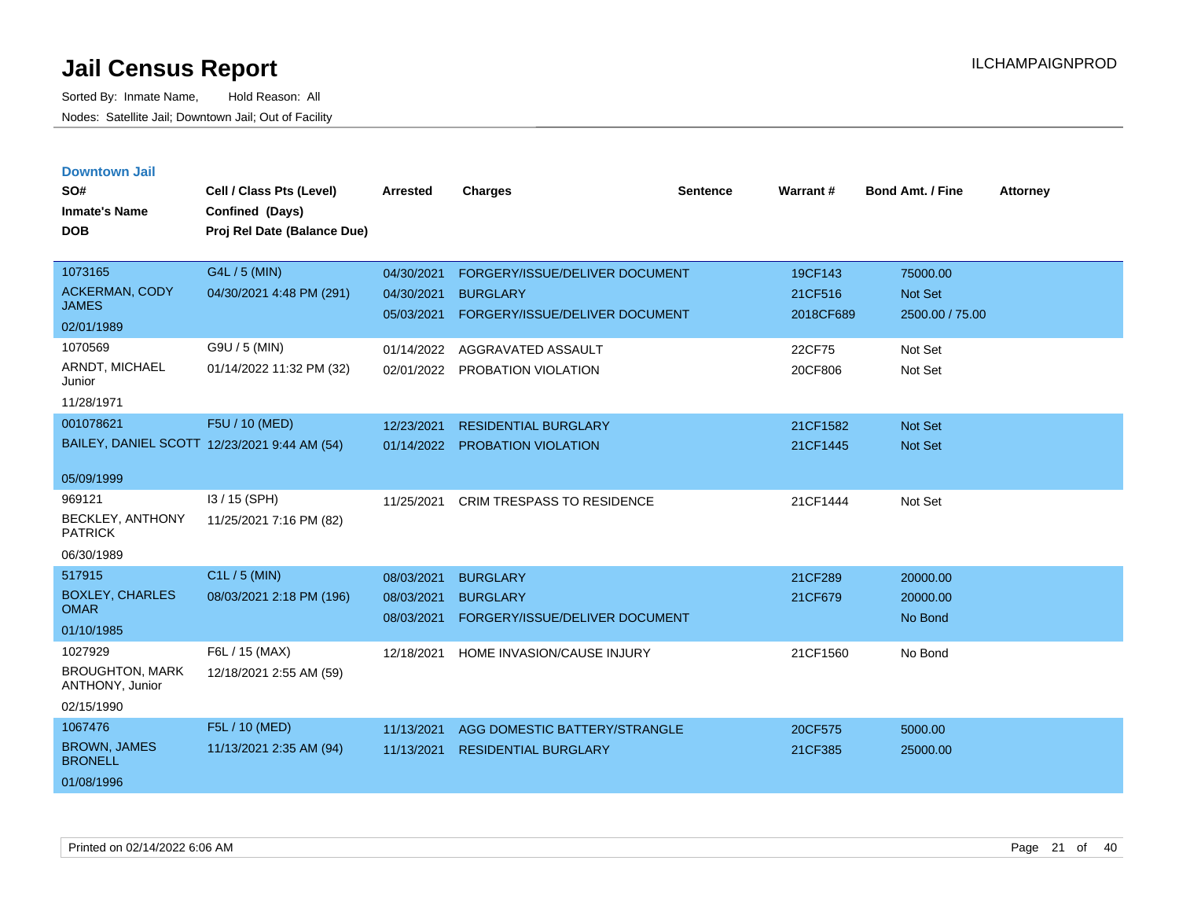| <b>Downtown Jail</b> |  |
|----------------------|--|
|                      |  |
|                      |  |

| SO#<br><b>Inmate's Name</b><br><b>DOB</b> | Cell / Class Pts (Level)<br>Confined (Days)<br>Proj Rel Date (Balance Due) | <b>Arrested</b> | <b>Charges</b>                    | <b>Sentence</b> | <b>Warrant#</b> | <b>Bond Amt. / Fine</b> | <b>Attorney</b> |
|-------------------------------------------|----------------------------------------------------------------------------|-----------------|-----------------------------------|-----------------|-----------------|-------------------------|-----------------|
| 1073165                                   | G4L / 5 (MIN)                                                              | 04/30/2021      | FORGERY/ISSUE/DELIVER DOCUMENT    |                 | 19CF143         | 75000.00                |                 |
| <b>ACKERMAN, CODY</b><br><b>JAMES</b>     | 04/30/2021 4:48 PM (291)                                                   | 04/30/2021      | <b>BURGLARY</b>                   |                 | 21CF516         | Not Set                 |                 |
| 02/01/1989                                |                                                                            | 05/03/2021      | FORGERY/ISSUE/DELIVER DOCUMENT    |                 | 2018CF689       | 2500.00 / 75.00         |                 |
| 1070569                                   | G9U / 5 (MIN)                                                              | 01/14/2022      | AGGRAVATED ASSAULT                |                 | 22CF75          | Not Set                 |                 |
| ARNDT, MICHAEL<br>Junior                  | 01/14/2022 11:32 PM (32)                                                   | 02/01/2022      | PROBATION VIOLATION               |                 | 20CF806         | Not Set                 |                 |
| 11/28/1971                                |                                                                            |                 |                                   |                 |                 |                         |                 |
| 001078621                                 | F5U / 10 (MED)                                                             | 12/23/2021      | <b>RESIDENTIAL BURGLARY</b>       |                 | 21CF1582        | <b>Not Set</b>          |                 |
|                                           | BAILEY, DANIEL SCOTT 12/23/2021 9:44 AM (54)                               | 01/14/2022      | <b>PROBATION VIOLATION</b>        |                 | 21CF1445        | Not Set                 |                 |
| 05/09/1999                                |                                                                            |                 |                                   |                 |                 |                         |                 |
| 969121                                    | I3 / 15 (SPH)                                                              | 11/25/2021      | <b>CRIM TRESPASS TO RESIDENCE</b> |                 | 21CF1444        | Not Set                 |                 |
| BECKLEY, ANTHONY<br><b>PATRICK</b>        | 11/25/2021 7:16 PM (82)                                                    |                 |                                   |                 |                 |                         |                 |
| 06/30/1989                                |                                                                            |                 |                                   |                 |                 |                         |                 |
| 517915                                    | C1L / 5 (MIN)                                                              | 08/03/2021      | <b>BURGLARY</b>                   |                 | 21CF289         | 20000.00                |                 |
| <b>BOXLEY, CHARLES</b><br><b>OMAR</b>     | 08/03/2021 2:18 PM (196)                                                   | 08/03/2021      | <b>BURGLARY</b>                   |                 | 21CF679         | 20000.00                |                 |
| 01/10/1985                                |                                                                            | 08/03/2021      | FORGERY/ISSUE/DELIVER DOCUMENT    |                 |                 | No Bond                 |                 |
| 1027929                                   | F6L / 15 (MAX)                                                             | 12/18/2021      | HOME INVASION/CAUSE INJURY        |                 | 21CF1560        | No Bond                 |                 |
| <b>BROUGHTON, MARK</b><br>ANTHONY, Junior | 12/18/2021 2:55 AM (59)                                                    |                 |                                   |                 |                 |                         |                 |
| 02/15/1990                                |                                                                            |                 |                                   |                 |                 |                         |                 |
| 1067476                                   | F5L / 10 (MED)                                                             | 11/13/2021      | AGG DOMESTIC BATTERY/STRANGLE     |                 | 20CF575         | 5000.00                 |                 |
| <b>BROWN, JAMES</b><br><b>BRONELL</b>     | 11/13/2021 2:35 AM (94)                                                    | 11/13/2021      | <b>RESIDENTIAL BURGLARY</b>       |                 | 21CF385         | 25000.00                |                 |
| 01/08/1996                                |                                                                            |                 |                                   |                 |                 |                         |                 |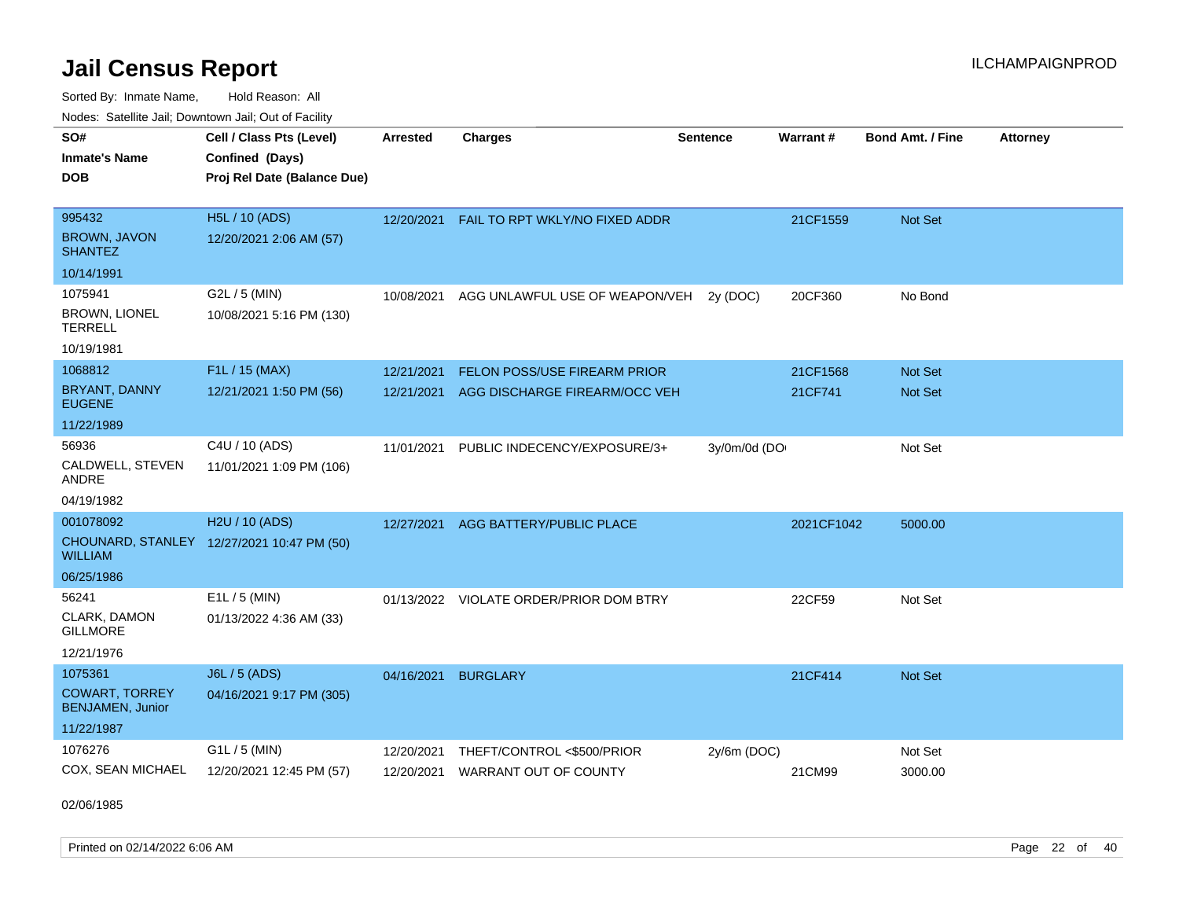Sorted By: Inmate Name, Hold Reason: All Nodes: Satellite Jail; Downtown Jail; Out of Facility

| SO#                                       | Cell / Class Pts (Level)                   | <b>Arrested</b> | <b>Charges</b>                          | <b>Sentence</b> | Warrant#   | <b>Bond Amt. / Fine</b> | <b>Attorney</b> |
|-------------------------------------------|--------------------------------------------|-----------------|-----------------------------------------|-----------------|------------|-------------------------|-----------------|
| <b>Inmate's Name</b>                      | Confined (Days)                            |                 |                                         |                 |            |                         |                 |
| <b>DOB</b>                                | Proj Rel Date (Balance Due)                |                 |                                         |                 |            |                         |                 |
|                                           |                                            |                 |                                         |                 |            |                         |                 |
| 995432<br><b>BROWN, JAVON</b>             | H5L / 10 (ADS)                             | 12/20/2021      | FAIL TO RPT WKLY/NO FIXED ADDR          |                 | 21CF1559   | Not Set                 |                 |
| <b>SHANTEZ</b>                            | 12/20/2021 2:06 AM (57)                    |                 |                                         |                 |            |                         |                 |
| 10/14/1991                                |                                            |                 |                                         |                 |            |                         |                 |
| 1075941                                   | G2L / 5 (MIN)                              | 10/08/2021      | AGG UNLAWFUL USE OF WEAPON/VEH          | 2y (DOC)        | 20CF360    | No Bond                 |                 |
| <b>BROWN, LIONEL</b><br><b>TERRELL</b>    | 10/08/2021 5:16 PM (130)                   |                 |                                         |                 |            |                         |                 |
| 10/19/1981                                |                                            |                 |                                         |                 |            |                         |                 |
| 1068812                                   | F1L / 15 (MAX)                             | 12/21/2021      | FELON POSS/USE FIREARM PRIOR            |                 | 21CF1568   | Not Set                 |                 |
| BRYANT, DANNY<br><b>EUGENE</b>            | 12/21/2021 1:50 PM (56)                    | 12/21/2021      | AGG DISCHARGE FIREARM/OCC VEH           |                 | 21CF741    | Not Set                 |                 |
| 11/22/1989                                |                                            |                 |                                         |                 |            |                         |                 |
| 56936                                     | C4U / 10 (ADS)                             | 11/01/2021      | PUBLIC INDECENCY/EXPOSURE/3+            | 3y/0m/0d (DO    |            | Not Set                 |                 |
| CALDWELL, STEVEN<br>ANDRE                 | 11/01/2021 1:09 PM (106)                   |                 |                                         |                 |            |                         |                 |
| 04/19/1982                                |                                            |                 |                                         |                 |            |                         |                 |
| 001078092                                 | H2U / 10 (ADS)                             | 12/27/2021      | AGG BATTERY/PUBLIC PLACE                |                 | 2021CF1042 | 5000.00                 |                 |
| <b>WILLIAM</b>                            | CHOUNARD, STANLEY 12/27/2021 10:47 PM (50) |                 |                                         |                 |            |                         |                 |
| 06/25/1986                                |                                            |                 |                                         |                 |            |                         |                 |
| 56241                                     | $E1L / 5$ (MIN)                            |                 | 01/13/2022 VIOLATE ORDER/PRIOR DOM BTRY |                 | 22CF59     | Not Set                 |                 |
| CLARK, DAMON<br><b>GILLMORE</b>           | 01/13/2022 4:36 AM (33)                    |                 |                                         |                 |            |                         |                 |
| 12/21/1976                                |                                            |                 |                                         |                 |            |                         |                 |
| 1075361                                   | J6L / 5 (ADS)                              | 04/16/2021      | <b>BURGLARY</b>                         |                 | 21CF414    | Not Set                 |                 |
| <b>COWART, TORREY</b><br>BENJAMEN, Junior | 04/16/2021 9:17 PM (305)                   |                 |                                         |                 |            |                         |                 |
| 11/22/1987                                |                                            |                 |                                         |                 |            |                         |                 |
| 1076276                                   | G1L / 5 (MIN)                              | 12/20/2021      | THEFT/CONTROL <\$500/PRIOR              | 2y/6m (DOC)     |            | Not Set                 |                 |
| COX, SEAN MICHAEL                         | 12/20/2021 12:45 PM (57)                   | 12/20/2021      | <b>WARRANT OUT OF COUNTY</b>            |                 | 21CM99     | 3000.00                 |                 |

02/06/1985

Printed on 02/14/2022 6:06 AM Page 22 of 40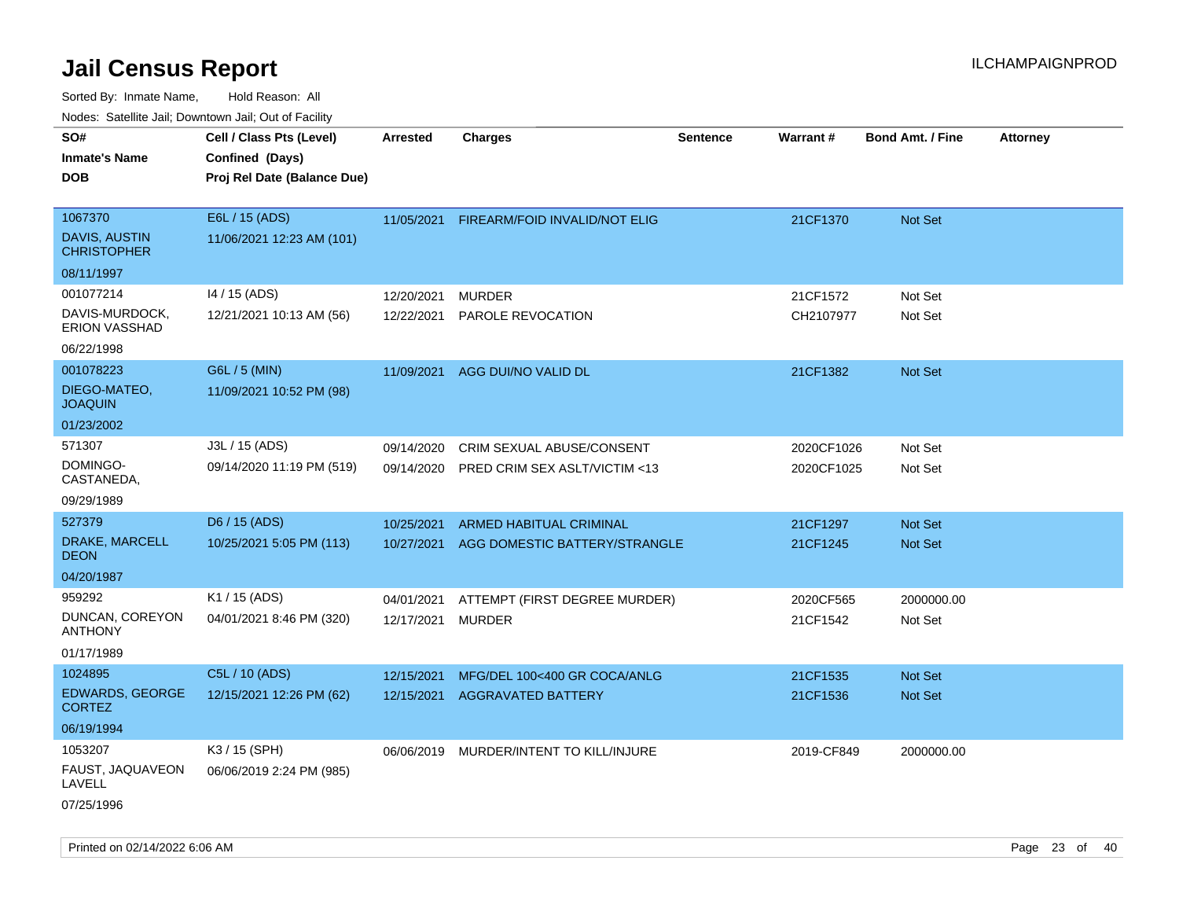| rouco. Calcillo Jali, Downtown Jali, Out of Facility                            |                                                                            |                          |                                                                   |                 |                          |                                  |                 |
|---------------------------------------------------------------------------------|----------------------------------------------------------------------------|--------------------------|-------------------------------------------------------------------|-----------------|--------------------------|----------------------------------|-----------------|
| SO#<br>Inmate's Name<br><b>DOB</b>                                              | Cell / Class Pts (Level)<br>Confined (Days)<br>Proj Rel Date (Balance Due) | <b>Arrested</b>          | <b>Charges</b>                                                    | <b>Sentence</b> | Warrant#                 | <b>Bond Amt. / Fine</b>          | <b>Attorney</b> |
| 1067370<br>DAVIS, AUSTIN<br><b>CHRISTOPHER</b>                                  | E6L / 15 (ADS)<br>11/06/2021 12:23 AM (101)                                | 11/05/2021               | FIREARM/FOID INVALID/NOT ELIG                                     |                 | 21CF1370                 | Not Set                          |                 |
| 08/11/1997<br>001077214<br>DAVIS-MURDOCK,<br><b>ERION VASSHAD</b><br>06/22/1998 | 14 / 15 (ADS)<br>12/21/2021 10:13 AM (56)                                  | 12/20/2021<br>12/22/2021 | <b>MURDER</b><br>PAROLE REVOCATION                                |                 | 21CF1572<br>CH2107977    | Not Set<br>Not Set               |                 |
| 001078223<br>DIEGO-MATEO,<br><b>JOAQUIN</b><br>01/23/2002                       | G6L / 5 (MIN)<br>11/09/2021 10:52 PM (98)                                  | 11/09/2021               | AGG DUI/NO VALID DL                                               |                 | 21CF1382                 | Not Set                          |                 |
| 571307<br>DOMINGO-<br>CASTANEDA,<br>09/29/1989                                  | J3L / 15 (ADS)<br>09/14/2020 11:19 PM (519)                                | 09/14/2020<br>09/14/2020 | <b>CRIM SEXUAL ABUSE/CONSENT</b><br>PRED CRIM SEX ASLT/VICTIM <13 |                 | 2020CF1026<br>2020CF1025 | Not Set<br>Not Set               |                 |
| 527379<br>DRAKE, MARCELL<br>DEON<br>04/20/1987                                  | D6 / 15 (ADS)<br>10/25/2021 5:05 PM (113)                                  | 10/25/2021<br>10/27/2021 | <b>ARMED HABITUAL CRIMINAL</b><br>AGG DOMESTIC BATTERY/STRANGLE   |                 | 21CF1297<br>21CF1245     | <b>Not Set</b><br><b>Not Set</b> |                 |
| 959292<br>DUNCAN, COREYON<br>ANTHONY<br>01/17/1989                              | K1 / 15 (ADS)<br>04/01/2021 8:46 PM (320)                                  | 04/01/2021<br>12/17/2021 | ATTEMPT (FIRST DEGREE MURDER)<br><b>MURDER</b>                    |                 | 2020CF565<br>21CF1542    | 2000000.00<br>Not Set            |                 |
| 1024895<br><b>EDWARDS, GEORGE</b><br>CORTEZ<br>06/19/1994                       | C5L / 10 (ADS)<br>12/15/2021 12:26 PM (62)                                 | 12/15/2021<br>12/15/2021 | MFG/DEL 100<400 GR COCA/ANLG<br>AGGRAVATED BATTERY                |                 | 21CF1535<br>21CF1536     | <b>Not Set</b><br><b>Not Set</b> |                 |
| 1053207<br>FAUST, JAQUAVEON<br>LAVELL<br>07/25/1996                             | K3 / 15 (SPH)<br>06/06/2019 2:24 PM (985)                                  |                          | 06/06/2019 MURDER/INTENT TO KILL/INJURE                           |                 | 2019-CF849               | 2000000.00                       |                 |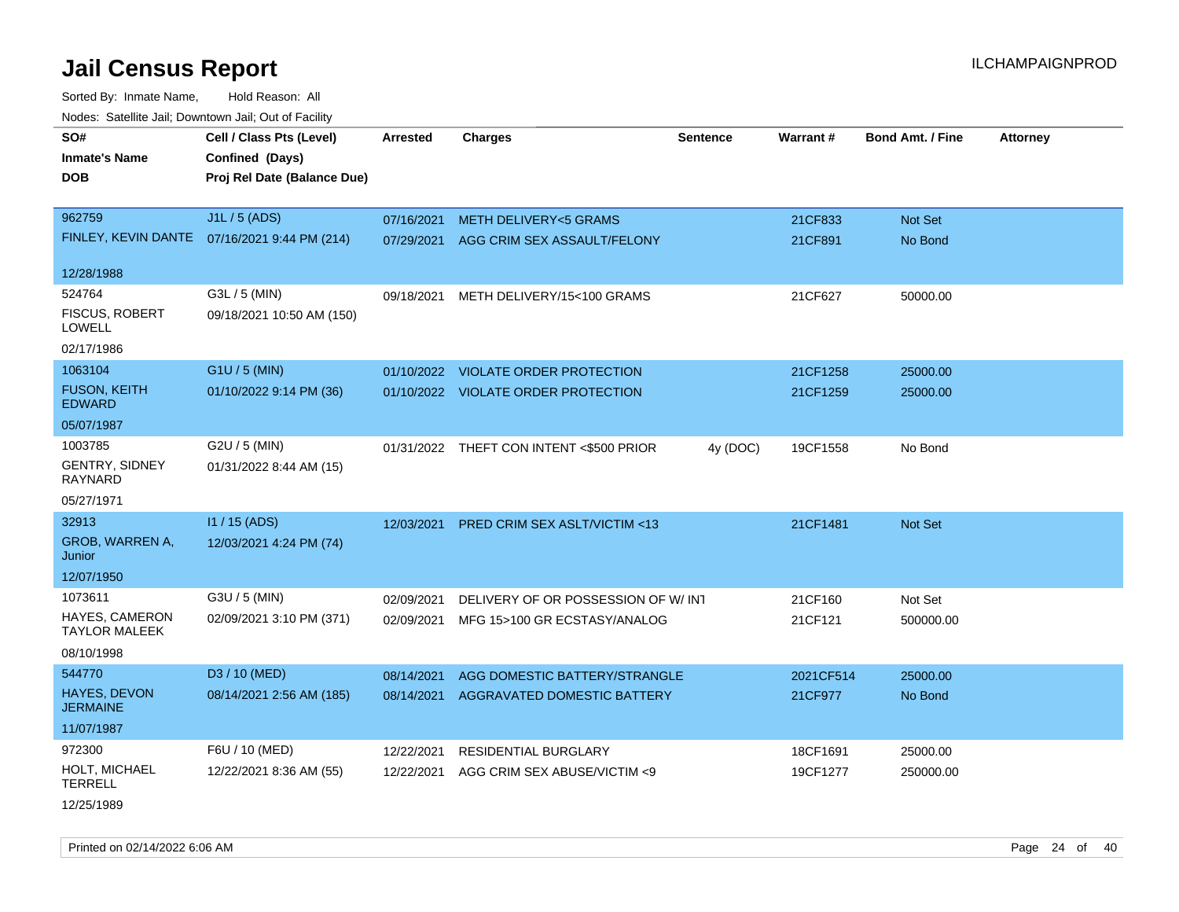Sorted By: Inmate Name, Hold Reason: All Nodes: Satellite Jail; Downtown Jail; Out of Facility

| rouce. Calcinic Jan, Downtown Jan, Out or Facility |                                              |                 |                                          |                 |           |                         |                 |
|----------------------------------------------------|----------------------------------------------|-----------------|------------------------------------------|-----------------|-----------|-------------------------|-----------------|
| SO#<br><b>Inmate's Name</b>                        | Cell / Class Pts (Level)<br>Confined (Days)  | <b>Arrested</b> | <b>Charges</b>                           | <b>Sentence</b> | Warrant#  | <b>Bond Amt. / Fine</b> | <b>Attorney</b> |
| <b>DOB</b>                                         | Proj Rel Date (Balance Due)                  |                 |                                          |                 |           |                         |                 |
| 962759                                             | J1L / 5 (ADS)                                | 07/16/2021      | <b>METH DELIVERY&lt;5 GRAMS</b>          |                 | 21CF833   | Not Set                 |                 |
|                                                    | FINLEY, KEVIN DANTE 07/16/2021 9:44 PM (214) | 07/29/2021      | AGG CRIM SEX ASSAULT/FELONY              |                 | 21CF891   | No Bond                 |                 |
| 12/28/1988                                         |                                              |                 |                                          |                 |           |                         |                 |
| 524764                                             | G3L / 5 (MIN)                                | 09/18/2021      | METH DELIVERY/15<100 GRAMS               |                 | 21CF627   | 50000.00                |                 |
| <b>FISCUS, ROBERT</b><br><b>LOWELL</b>             | 09/18/2021 10:50 AM (150)                    |                 |                                          |                 |           |                         |                 |
| 02/17/1986                                         |                                              |                 |                                          |                 |           |                         |                 |
| 1063104                                            | G1U / 5 (MIN)                                |                 | 01/10/2022 VIOLATE ORDER PROTECTION      |                 | 21CF1258  | 25000.00                |                 |
| <b>FUSON, KEITH</b><br><b>EDWARD</b>               | 01/10/2022 9:14 PM (36)                      |                 | 01/10/2022 VIOLATE ORDER PROTECTION      |                 | 21CF1259  | 25000.00                |                 |
| 05/07/1987                                         |                                              |                 |                                          |                 |           |                         |                 |
| 1003785                                            | G2U / 5 (MIN)                                |                 | 01/31/2022 THEFT CON INTENT <\$500 PRIOR | 4y (DOC)        | 19CF1558  | No Bond                 |                 |
| <b>GENTRY, SIDNEY</b><br>RAYNARD                   | 01/31/2022 8:44 AM (15)                      |                 |                                          |                 |           |                         |                 |
| 05/27/1971                                         |                                              |                 |                                          |                 |           |                         |                 |
| 32913                                              | I1 / 15 (ADS)                                | 12/03/2021      | PRED CRIM SEX ASLT/VICTIM <13            |                 | 21CF1481  | <b>Not Set</b>          |                 |
| GROB, WARREN A,<br>Junior                          | 12/03/2021 4:24 PM (74)                      |                 |                                          |                 |           |                         |                 |
| 12/07/1950                                         |                                              |                 |                                          |                 |           |                         |                 |
| 1073611                                            | G3U / 5 (MIN)                                | 02/09/2021      | DELIVERY OF OR POSSESSION OF W/INT       |                 | 21CF160   | Not Set                 |                 |
| <b>HAYES, CAMERON</b><br><b>TAYLOR MALEEK</b>      | 02/09/2021 3:10 PM (371)                     | 02/09/2021      | MFG 15>100 GR ECSTASY/ANALOG             |                 | 21CF121   | 500000.00               |                 |
| 08/10/1998                                         |                                              |                 |                                          |                 |           |                         |                 |
| 544770                                             | D3 / 10 (MED)                                | 08/14/2021      | AGG DOMESTIC BATTERY/STRANGLE            |                 | 2021CF514 | 25000.00                |                 |
| <b>HAYES, DEVON</b><br><b>JERMAINE</b>             | 08/14/2021 2:56 AM (185)                     | 08/14/2021      | <b>AGGRAVATED DOMESTIC BATTERY</b>       |                 | 21CF977   | No Bond                 |                 |
| 11/07/1987                                         |                                              |                 |                                          |                 |           |                         |                 |
| 972300                                             | F6U / 10 (MED)                               | 12/22/2021      | <b>RESIDENTIAL BURGLARY</b>              |                 | 18CF1691  | 25000.00                |                 |
| HOLT, MICHAEL<br><b>TERRELL</b>                    | 12/22/2021 8:36 AM (55)                      | 12/22/2021      | AGG CRIM SEX ABUSE/VICTIM <9             |                 | 19CF1277  | 250000.00               |                 |
|                                                    |                                              |                 |                                          |                 |           |                         |                 |

12/25/1989

Printed on 02/14/2022 6:06 AM Page 24 of 40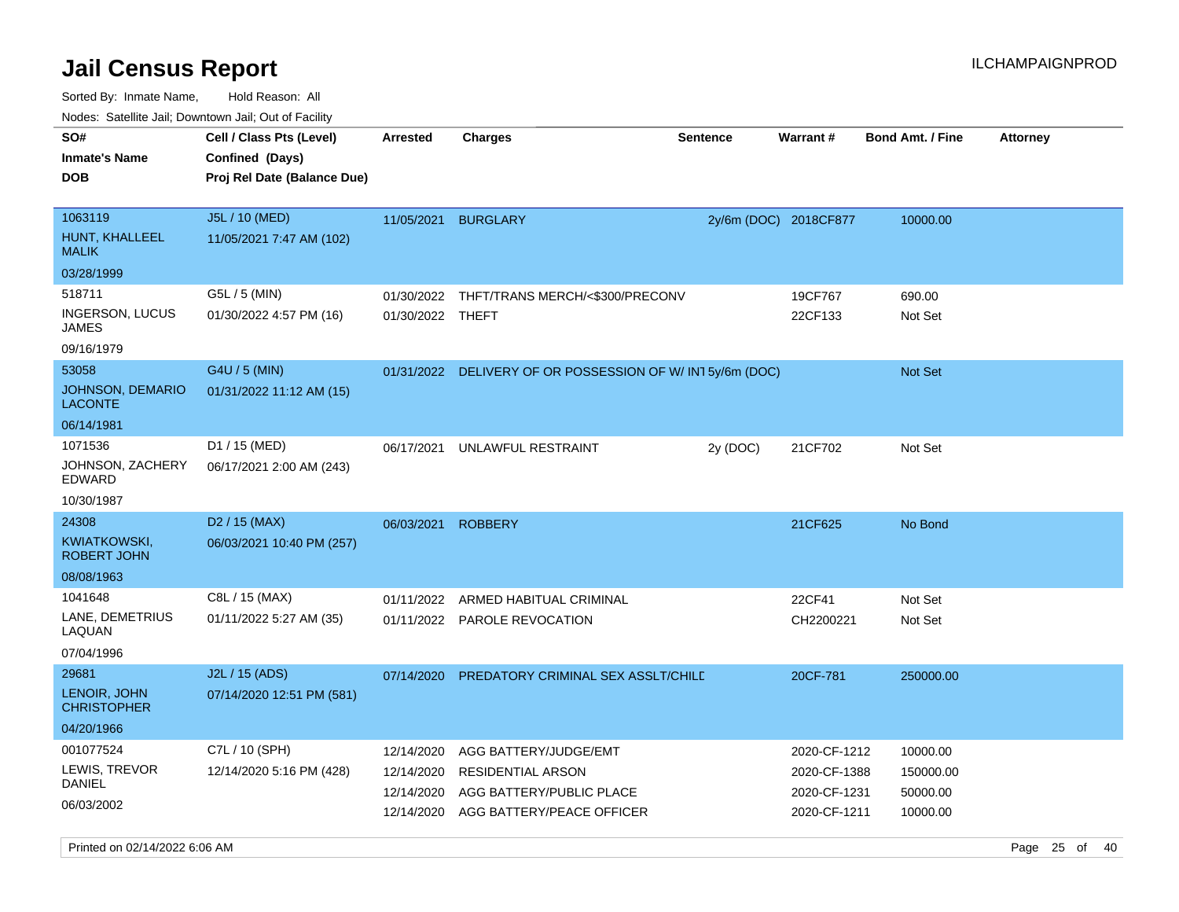Sorted By: Inmate Name, Hold Reason: All

| Nodes: Satellite Jail; Downtown Jail; Out of Facility |                                           |                  |                                                          |                 |                       |                         |                 |
|-------------------------------------------------------|-------------------------------------------|------------------|----------------------------------------------------------|-----------------|-----------------------|-------------------------|-----------------|
| SO#                                                   | Cell / Class Pts (Level)                  | <b>Arrested</b>  | <b>Charges</b>                                           | <b>Sentence</b> | Warrant#              | <b>Bond Amt. / Fine</b> | <b>Attorney</b> |
| <b>Inmate's Name</b>                                  | Confined (Days)                           |                  |                                                          |                 |                       |                         |                 |
| <b>DOB</b>                                            | Proj Rel Date (Balance Due)               |                  |                                                          |                 |                       |                         |                 |
|                                                       |                                           |                  |                                                          |                 |                       |                         |                 |
| 1063119                                               | J5L / 10 (MED)                            |                  | 11/05/2021 BURGLARY                                      |                 | 2y/6m (DOC) 2018CF877 | 10000.00                |                 |
| HUNT, KHALLEEL<br><b>MALIK</b>                        | 11/05/2021 7:47 AM (102)                  |                  |                                                          |                 |                       |                         |                 |
| 03/28/1999                                            |                                           |                  |                                                          |                 |                       |                         |                 |
| 518711                                                | G5L / 5 (MIN)                             |                  | 01/30/2022 THFT/TRANS MERCH/<\$300/PRECONV               |                 | 19CF767               | 690.00                  |                 |
| <b>INGERSON, LUCUS</b><br><b>JAMES</b>                | 01/30/2022 4:57 PM (16)                   | 01/30/2022 THEFT |                                                          |                 | 22CF133               | Not Set                 |                 |
| 09/16/1979                                            |                                           |                  |                                                          |                 |                       |                         |                 |
| 53058                                                 | G4U / 5 (MIN)                             |                  | 01/31/2022 DELIVERY OF OR POSSESSION OF W/IN15y/6m (DOC) |                 |                       | <b>Not Set</b>          |                 |
| <b>JOHNSON, DEMARIO</b><br><b>LACONTE</b>             | 01/31/2022 11:12 AM (15)                  |                  |                                                          |                 |                       |                         |                 |
| 06/14/1981                                            |                                           |                  |                                                          |                 |                       |                         |                 |
| 1071536<br>JOHNSON, ZACHERY<br><b>EDWARD</b>          | D1 / 15 (MED)<br>06/17/2021 2:00 AM (243) | 06/17/2021       | UNLAWFUL RESTRAINT                                       | 2y (DOC)        | 21CF702               | Not Set                 |                 |
| 10/30/1987                                            |                                           |                  |                                                          |                 |                       |                         |                 |
| 24308                                                 | $D2 / 15$ (MAX)                           | 06/03/2021       | <b>ROBBERY</b>                                           |                 | 21CF625               | No Bond                 |                 |
| <b>KWIATKOWSKI,</b><br><b>ROBERT JOHN</b>             | 06/03/2021 10:40 PM (257)                 |                  |                                                          |                 |                       |                         |                 |
| 08/08/1963                                            |                                           |                  |                                                          |                 |                       |                         |                 |
| 1041648                                               | C8L / 15 (MAX)                            | 01/11/2022       | ARMED HABITUAL CRIMINAL                                  |                 | 22CF41                | Not Set                 |                 |
| LANE, DEMETRIUS<br>LAQUAN                             | 01/11/2022 5:27 AM (35)                   |                  | 01/11/2022 PAROLE REVOCATION                             |                 | CH2200221             | Not Set                 |                 |
| 07/04/1996                                            |                                           |                  |                                                          |                 |                       |                         |                 |
| 29681                                                 | J2L / 15 (ADS)                            | 07/14/2020       | PREDATORY CRIMINAL SEX ASSLT/CHILD                       |                 | 20CF-781              | 250000.00               |                 |
| LENOIR, JOHN<br><b>CHRISTOPHER</b>                    | 07/14/2020 12:51 PM (581)                 |                  |                                                          |                 |                       |                         |                 |
| 04/20/1966                                            |                                           |                  |                                                          |                 |                       |                         |                 |
| 001077524                                             | C7L / 10 (SPH)                            | 12/14/2020       | AGG BATTERY/JUDGE/EMT                                    |                 | 2020-CF-1212          | 10000.00                |                 |
| LEWIS, TREVOR<br><b>DANIEL</b>                        | 12/14/2020 5:16 PM (428)                  | 12/14/2020       | <b>RESIDENTIAL ARSON</b>                                 |                 | 2020-CF-1388          | 150000.00               |                 |
|                                                       |                                           | 12/14/2020       | AGG BATTERY/PUBLIC PLACE                                 |                 | 2020-CF-1231          | 50000.00                |                 |
| 06/03/2002                                            |                                           | 12/14/2020       | AGG BATTERY/PEACE OFFICER                                |                 | 2020-CF-1211          | 10000.00                |                 |

Printed on 02/14/2022 6:06 AM Page 25 of 40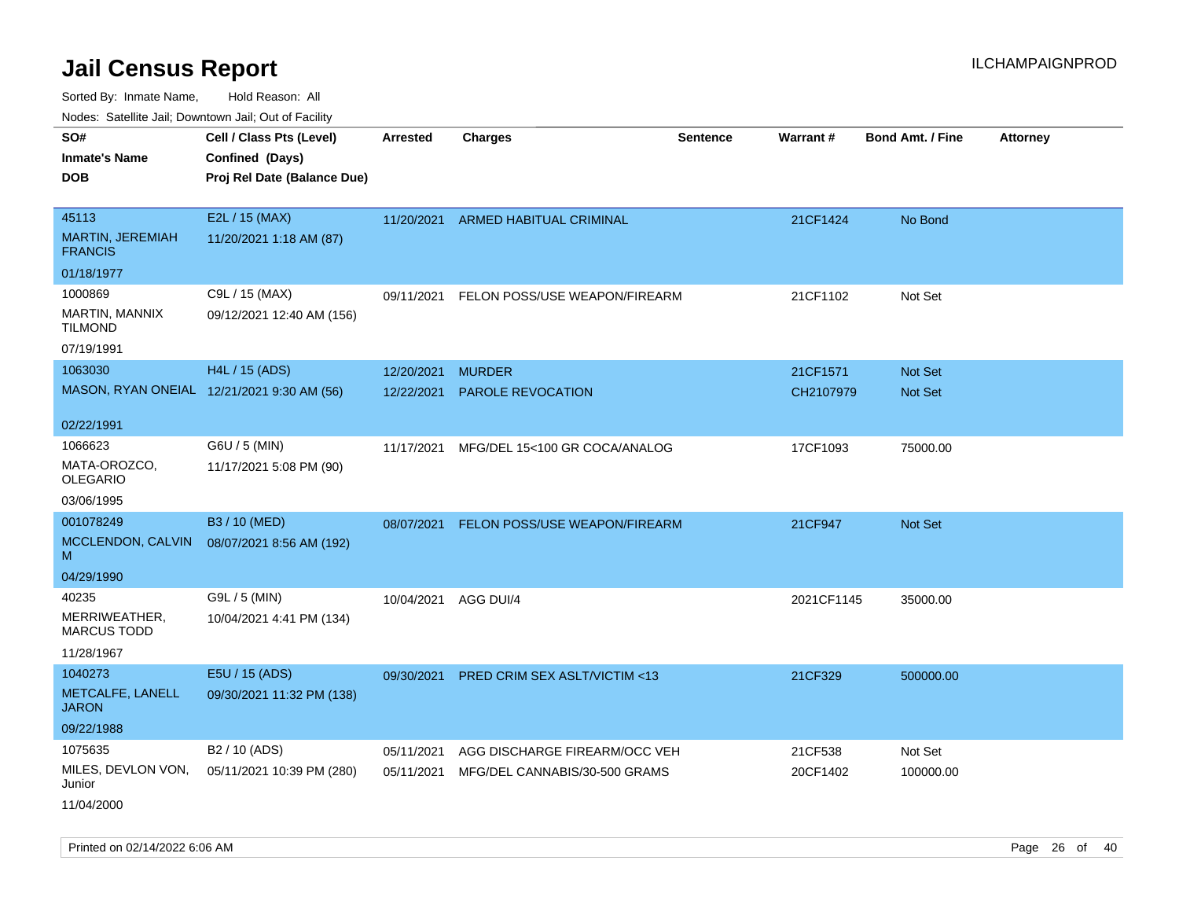Sorted By: Inmate Name, Hold Reason: All Nodes: Satellite Jail; Downtown Jail; Out of Facility

| roacs. Catellite Jall, Downtown Jall, Out of Facility     |                                                                            |                          |                                           |                 |                       |                                  |                 |
|-----------------------------------------------------------|----------------------------------------------------------------------------|--------------------------|-------------------------------------------|-----------------|-----------------------|----------------------------------|-----------------|
| SO#<br><b>Inmate's Name</b><br><b>DOB</b>                 | Cell / Class Pts (Level)<br>Confined (Days)<br>Proj Rel Date (Balance Due) | <b>Arrested</b>          | <b>Charges</b>                            | <b>Sentence</b> | Warrant#              | <b>Bond Amt. / Fine</b>          | <b>Attorney</b> |
| 45113<br>MARTIN, JEREMIAH<br><b>FRANCIS</b>               | E2L / 15 (MAX)<br>11/20/2021 1:18 AM (87)                                  |                          | 11/20/2021 ARMED HABITUAL CRIMINAL        |                 | 21CF1424              | No Bond                          |                 |
| 01/18/1977                                                |                                                                            |                          |                                           |                 |                       |                                  |                 |
| 1000869<br>MARTIN, MANNIX<br><b>TILMOND</b><br>07/19/1991 | C9L / 15 (MAX)<br>09/12/2021 12:40 AM (156)                                | 09/11/2021               | FELON POSS/USE WEAPON/FIREARM             |                 | 21CF1102              | Not Set                          |                 |
| 1063030                                                   | H4L / 15 (ADS)                                                             |                          |                                           |                 |                       |                                  |                 |
|                                                           | MASON, RYAN ONEIAL 12/21/2021 9:30 AM (56)                                 | 12/20/2021<br>12/22/2021 | <b>MURDER</b><br><b>PAROLE REVOCATION</b> |                 | 21CF1571<br>CH2107979 | <b>Not Set</b><br><b>Not Set</b> |                 |
| 02/22/1991                                                |                                                                            |                          |                                           |                 |                       |                                  |                 |
| 1066623<br>MATA-OROZCO,<br><b>OLEGARIO</b>                | G6U / 5 (MIN)<br>11/17/2021 5:08 PM (90)                                   | 11/17/2021               | MFG/DEL 15<100 GR COCA/ANALOG             |                 | 17CF1093              | 75000.00                         |                 |
| 03/06/1995                                                |                                                                            |                          |                                           |                 |                       |                                  |                 |
| 001078249<br>MCCLENDON, CALVIN<br>м                       | B3 / 10 (MED)<br>08/07/2021 8:56 AM (192)                                  | 08/07/2021               | <b>FELON POSS/USE WEAPON/FIREARM</b>      |                 | 21CF947               | Not Set                          |                 |
| 04/29/1990                                                |                                                                            |                          |                                           |                 |                       |                                  |                 |
| 40235<br>MERRIWEATHER,<br><b>MARCUS TODD</b>              | G9L / 5 (MIN)<br>10/04/2021 4:41 PM (134)                                  | 10/04/2021               | AGG DUI/4                                 |                 | 2021CF1145            | 35000.00                         |                 |
| 11/28/1967                                                |                                                                            |                          |                                           |                 |                       |                                  |                 |
| 1040273<br>METCALFE, LANELL<br><b>JARON</b>               | E5U / 15 (ADS)<br>09/30/2021 11:32 PM (138)                                | 09/30/2021               | PRED CRIM SEX ASLT/VICTIM <13             |                 | 21CF329               | 500000.00                        |                 |
| 09/22/1988                                                |                                                                            |                          |                                           |                 |                       |                                  |                 |
| 1075635                                                   | B <sub>2</sub> / 10 (ADS)                                                  | 05/11/2021               | AGG DISCHARGE FIREARM/OCC VEH             |                 | 21CF538               | Not Set                          |                 |
| MILES, DEVLON VON,<br>Junior<br>11/04/2000                | 05/11/2021 10:39 PM (280)                                                  | 05/11/2021               | MFG/DEL CANNABIS/30-500 GRAMS             |                 | 20CF1402              | 100000.00                        |                 |

Printed on 02/14/2022 6:06 AM Page 26 of 40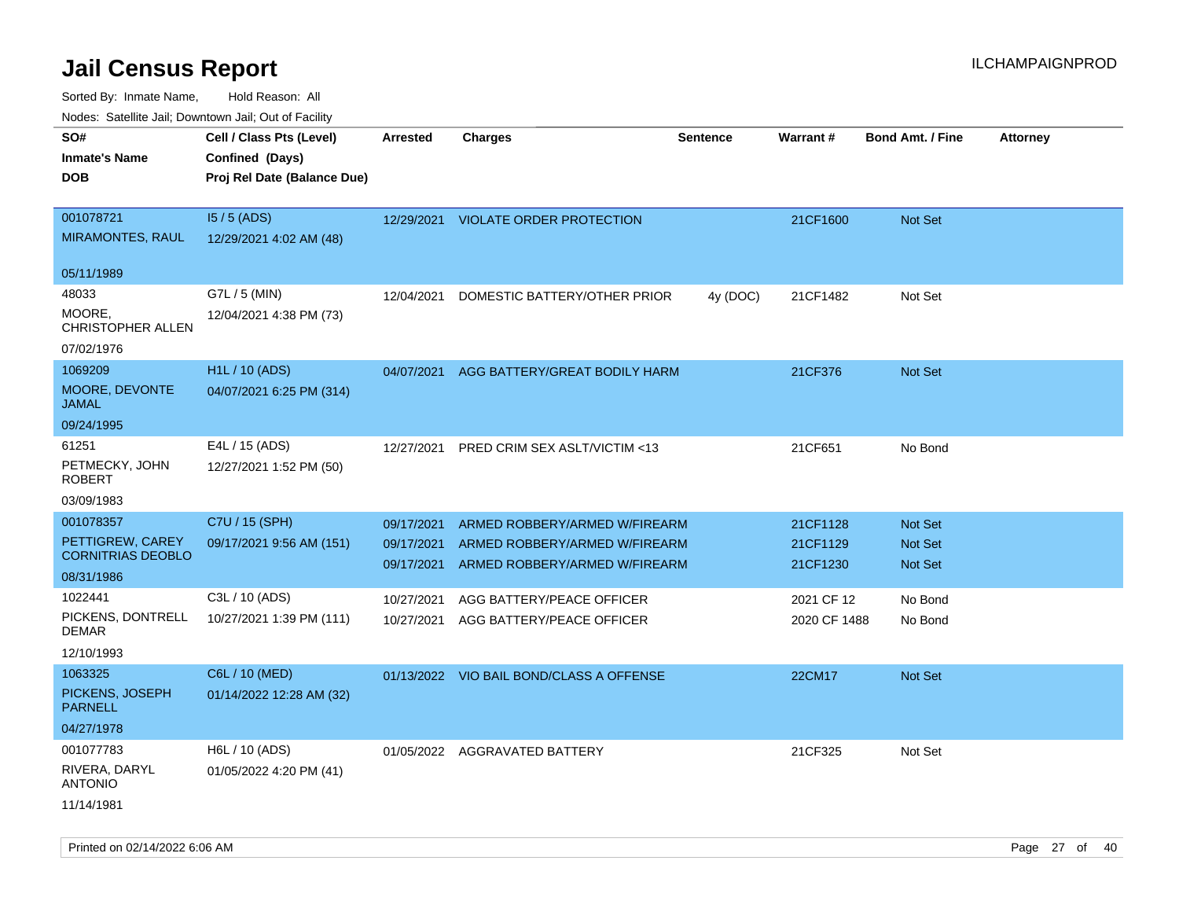Sorted By: Inmate Name, Hold Reason: All

| Nodes: Satellite Jail; Downtown Jail; Out of Facility |
|-------------------------------------------------------|
|                                                       |

| roaco. Calcinio dan, Downtown dan, Oal or Fability<br>SO# | Cell / Class Pts (Level)    | <b>Arrested</b> | <b>Charges</b>                           | <b>Sentence</b> | Warrant#     | <b>Bond Amt. / Fine</b> | <b>Attorney</b> |
|-----------------------------------------------------------|-----------------------------|-----------------|------------------------------------------|-----------------|--------------|-------------------------|-----------------|
| <b>Inmate's Name</b>                                      | Confined (Days)             |                 |                                          |                 |              |                         |                 |
| <b>DOB</b>                                                | Proj Rel Date (Balance Due) |                 |                                          |                 |              |                         |                 |
|                                                           |                             |                 |                                          |                 |              |                         |                 |
| 001078721                                                 | $15/5$ (ADS)                |                 | 12/29/2021 VIOLATE ORDER PROTECTION      |                 | 21CF1600     | Not Set                 |                 |
| <b>MIRAMONTES, RAUL</b>                                   | 12/29/2021 4:02 AM (48)     |                 |                                          |                 |              |                         |                 |
| 05/11/1989                                                |                             |                 |                                          |                 |              |                         |                 |
| 48033                                                     | G7L / 5 (MIN)               | 12/04/2021      | DOMESTIC BATTERY/OTHER PRIOR             | 4y (DOC)        | 21CF1482     | Not Set                 |                 |
| MOORE.                                                    | 12/04/2021 4:38 PM (73)     |                 |                                          |                 |              |                         |                 |
| CHRISTOPHER ALLEN                                         |                             |                 |                                          |                 |              |                         |                 |
| 07/02/1976                                                |                             |                 |                                          |                 |              |                         |                 |
| 1069209                                                   | H1L / 10 (ADS)              | 04/07/2021      | AGG BATTERY/GREAT BODILY HARM            |                 | 21CF376      | Not Set                 |                 |
| MOORE, DEVONTE<br><b>JAMAL</b>                            | 04/07/2021 6:25 PM (314)    |                 |                                          |                 |              |                         |                 |
| 09/24/1995                                                |                             |                 |                                          |                 |              |                         |                 |
| 61251                                                     | E4L / 15 (ADS)              | 12/27/2021      | PRED CRIM SEX ASLT/VICTIM <13            |                 | 21CF651      | No Bond                 |                 |
| PETMECKY, JOHN                                            | 12/27/2021 1:52 PM (50)     |                 |                                          |                 |              |                         |                 |
| <b>ROBERT</b>                                             |                             |                 |                                          |                 |              |                         |                 |
| 03/09/1983                                                |                             |                 |                                          |                 |              |                         |                 |
| 001078357                                                 | C7U / 15 (SPH)              | 09/17/2021      | ARMED ROBBERY/ARMED W/FIREARM            |                 | 21CF1128     | Not Set                 |                 |
| PETTIGREW, CAREY<br><b>CORNITRIAS DEOBLO</b>              | 09/17/2021 9:56 AM (151)    | 09/17/2021      | ARMED ROBBERY/ARMED W/FIREARM            |                 | 21CF1129     | Not Set                 |                 |
| 08/31/1986                                                |                             | 09/17/2021      | ARMED ROBBERY/ARMED W/FIREARM            |                 | 21CF1230     | <b>Not Set</b>          |                 |
| 1022441                                                   | C3L / 10 (ADS)              | 10/27/2021      | AGG BATTERY/PEACE OFFICER                |                 | 2021 CF 12   | No Bond                 |                 |
| PICKENS, DONTRELL                                         | 10/27/2021 1:39 PM (111)    | 10/27/2021      | AGG BATTERY/PEACE OFFICER                |                 | 2020 CF 1488 | No Bond                 |                 |
| <b>DEMAR</b>                                              |                             |                 |                                          |                 |              |                         |                 |
| 12/10/1993                                                |                             |                 |                                          |                 |              |                         |                 |
| 1063325<br>PICKENS, JOSEPH                                | C6L / 10 (MED)              |                 | 01/13/2022 VIO BAIL BOND/CLASS A OFFENSE |                 | 22CM17       | Not Set                 |                 |
| <b>PARNELL</b>                                            | 01/14/2022 12:28 AM (32)    |                 |                                          |                 |              |                         |                 |
| 04/27/1978                                                |                             |                 |                                          |                 |              |                         |                 |
| 001077783                                                 | H6L / 10 (ADS)              |                 | 01/05/2022 AGGRAVATED BATTERY            |                 | 21CF325      | Not Set                 |                 |
| RIVERA, DARYL                                             | 01/05/2022 4:20 PM (41)     |                 |                                          |                 |              |                         |                 |
| <b>ANTONIO</b>                                            |                             |                 |                                          |                 |              |                         |                 |
| 11/14/1981                                                |                             |                 |                                          |                 |              |                         |                 |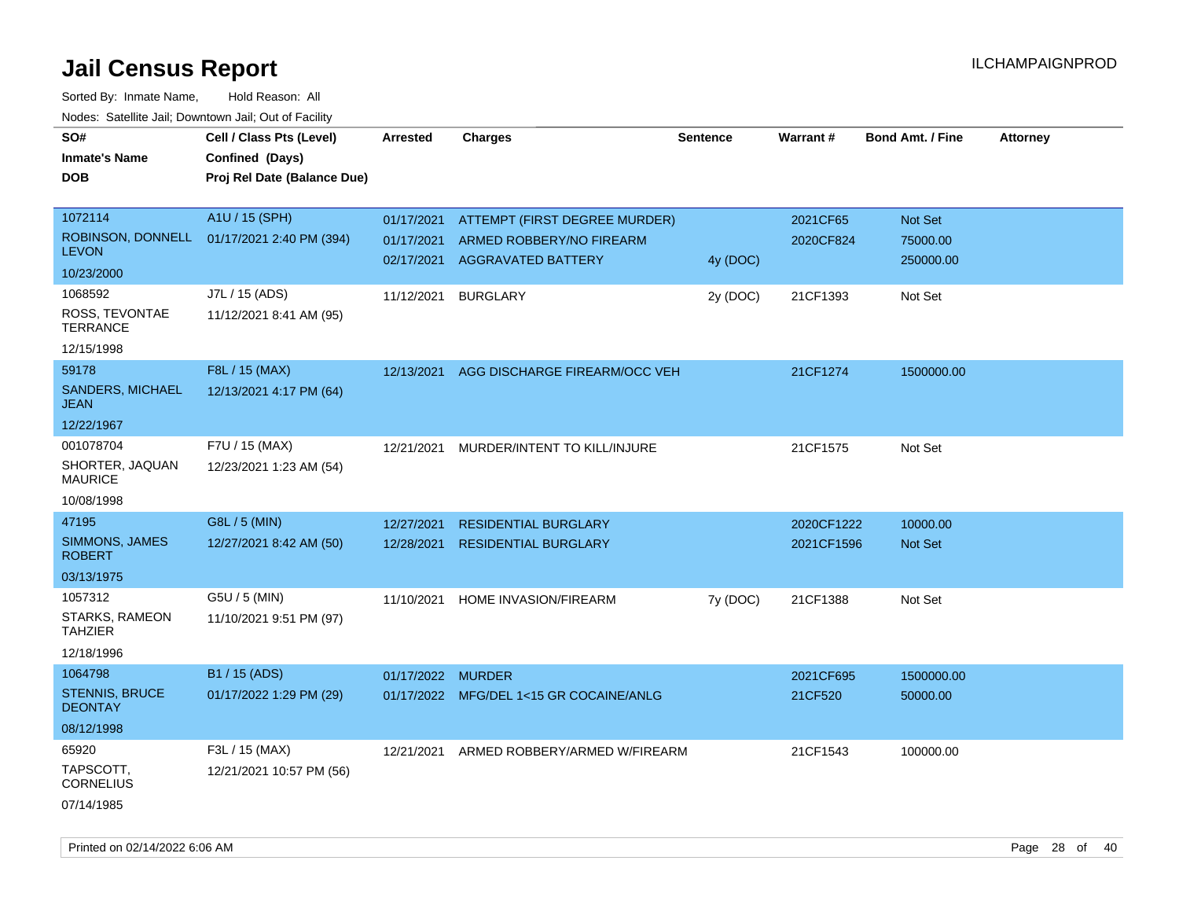Sorted By: Inmate Name, Hold Reason: All Nodes: Satellite Jail; Downtown Jail; Out of Facility

| SO#                                     | Cell / Class Pts (Level)    | <b>Arrested</b>   | <b>Charges</b>                          | <b>Sentence</b> | <b>Warrant#</b> | <b>Bond Amt. / Fine</b> | <b>Attorney</b> |
|-----------------------------------------|-----------------------------|-------------------|-----------------------------------------|-----------------|-----------------|-------------------------|-----------------|
| <b>Inmate's Name</b>                    | Confined (Days)             |                   |                                         |                 |                 |                         |                 |
| <b>DOB</b>                              | Proj Rel Date (Balance Due) |                   |                                         |                 |                 |                         |                 |
|                                         |                             |                   |                                         |                 |                 |                         |                 |
| 1072114                                 | A1U / 15 (SPH)              | 01/17/2021        | <b>ATTEMPT (FIRST DEGREE MURDER)</b>    |                 | 2021CF65        | Not Set                 |                 |
| ROBINSON, DONNELL                       | 01/17/2021 2:40 PM (394)    | 01/17/2021        | ARMED ROBBERY/NO FIREARM                |                 | 2020CF824       | 75000.00                |                 |
| <b>LEVON</b>                            |                             | 02/17/2021        | <b>AGGRAVATED BATTERY</b>               | 4y (DOC)        |                 | 250000.00               |                 |
| 10/23/2000                              |                             |                   |                                         |                 |                 |                         |                 |
| 1068592                                 | J7L / 15 (ADS)              | 11/12/2021        | <b>BURGLARY</b>                         | 2y (DOC)        | 21CF1393        | Not Set                 |                 |
| ROSS, TEVONTAE<br><b>TERRANCE</b>       | 11/12/2021 8:41 AM (95)     |                   |                                         |                 |                 |                         |                 |
| 12/15/1998                              |                             |                   |                                         |                 |                 |                         |                 |
| 59178                                   | F8L / 15 (MAX)              | 12/13/2021        | AGG DISCHARGE FIREARM/OCC VEH           |                 | 21CF1274        | 1500000.00              |                 |
| <b>SANDERS, MICHAEL</b><br><b>JEAN</b>  | 12/13/2021 4:17 PM (64)     |                   |                                         |                 |                 |                         |                 |
| 12/22/1967                              |                             |                   |                                         |                 |                 |                         |                 |
| 001078704                               | F7U / 15 (MAX)              | 12/21/2021        | MURDER/INTENT TO KILL/INJURE            |                 | 21CF1575        | Not Set                 |                 |
| SHORTER, JAQUAN<br><b>MAURICE</b>       | 12/23/2021 1:23 AM (54)     |                   |                                         |                 |                 |                         |                 |
| 10/08/1998                              |                             |                   |                                         |                 |                 |                         |                 |
| 47195                                   | G8L / 5 (MIN)               | 12/27/2021        | <b>RESIDENTIAL BURGLARY</b>             |                 | 2020CF1222      | 10000.00                |                 |
| SIMMONS, JAMES<br><b>ROBERT</b>         | 12/27/2021 8:42 AM (50)     | 12/28/2021        | <b>RESIDENTIAL BURGLARY</b>             |                 | 2021CF1596      | Not Set                 |                 |
| 03/13/1975                              |                             |                   |                                         |                 |                 |                         |                 |
| 1057312                                 | G5U / 5 (MIN)               | 11/10/2021        | HOME INVASION/FIREARM                   | 7y (DOC)        | 21CF1388        | Not Set                 |                 |
| STARKS, RAMEON<br><b>TAHZIER</b>        | 11/10/2021 9:51 PM (97)     |                   |                                         |                 |                 |                         |                 |
| 12/18/1996                              |                             |                   |                                         |                 |                 |                         |                 |
| 1064798                                 | B1 / 15 (ADS)               | 01/17/2022 MURDER |                                         |                 | 2021CF695       | 1500000.00              |                 |
| <b>STENNIS, BRUCE</b><br><b>DEONTAY</b> | 01/17/2022 1:29 PM (29)     |                   | 01/17/2022 MFG/DEL 1<15 GR COCAINE/ANLG |                 | 21CF520         | 50000.00                |                 |
| 08/12/1998                              |                             |                   |                                         |                 |                 |                         |                 |
| 65920                                   | F3L / 15 (MAX)              | 12/21/2021        | ARMED ROBBERY/ARMED W/FIREARM           |                 | 21CF1543        | 100000.00               |                 |
| TAPSCOTT,<br><b>CORNELIUS</b>           | 12/21/2021 10:57 PM (56)    |                   |                                         |                 |                 |                         |                 |
| 07/14/1985                              |                             |                   |                                         |                 |                 |                         |                 |

Printed on 02/14/2022 6:06 AM Page 28 of 40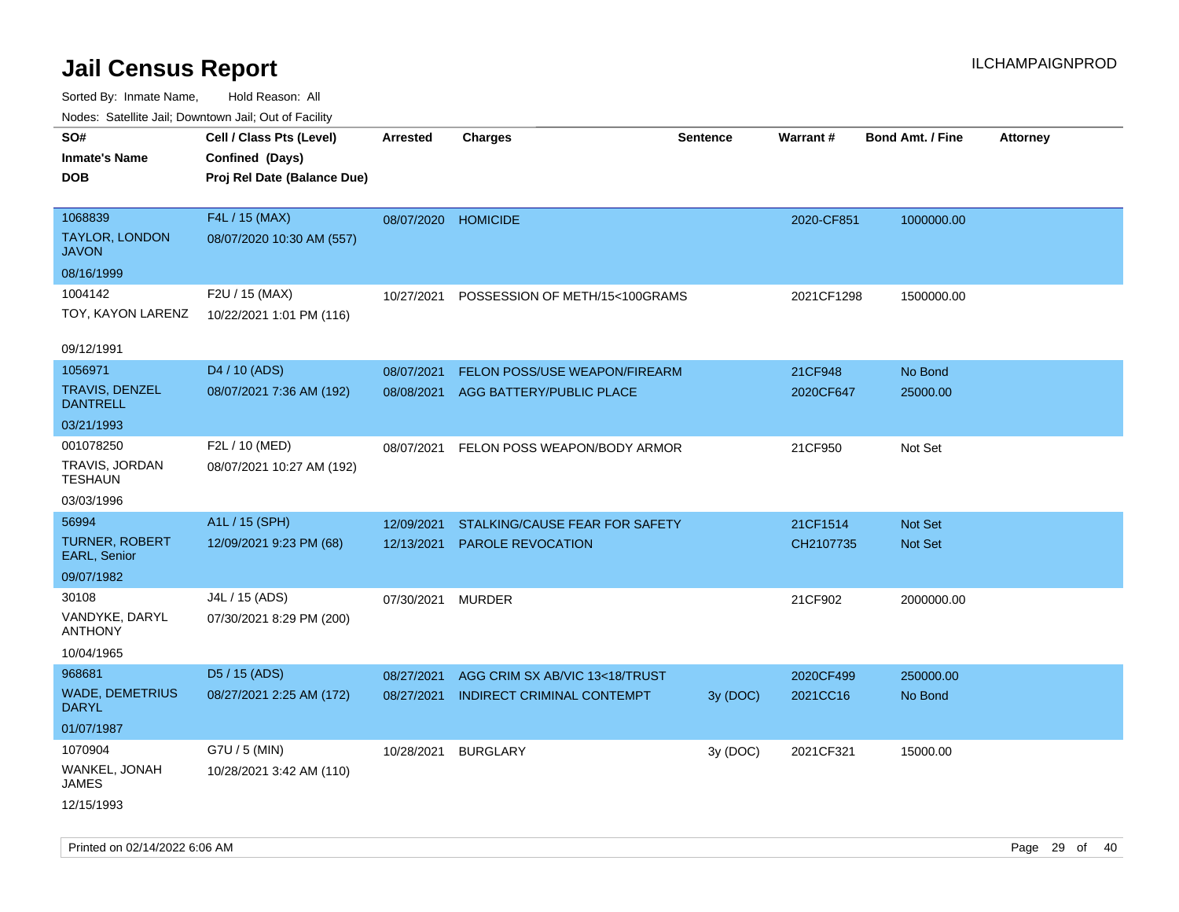| voues. Saleline Jail, Downtown Jail, Out of Facility |                             |                     |                                |                 |            |                         |                 |
|------------------------------------------------------|-----------------------------|---------------------|--------------------------------|-----------------|------------|-------------------------|-----------------|
| SO#                                                  | Cell / Class Pts (Level)    | Arrested            | <b>Charges</b>                 | <b>Sentence</b> | Warrant#   | <b>Bond Amt. / Fine</b> | <b>Attorney</b> |
| <b>Inmate's Name</b>                                 | Confined (Days)             |                     |                                |                 |            |                         |                 |
| <b>DOB</b>                                           | Proj Rel Date (Balance Due) |                     |                                |                 |            |                         |                 |
|                                                      |                             |                     |                                |                 |            |                         |                 |
| 1068839                                              | F4L / 15 (MAX)              | 08/07/2020 HOMICIDE |                                |                 | 2020-CF851 | 1000000.00              |                 |
| <b>TAYLOR, LONDON</b><br><b>JAVON</b>                | 08/07/2020 10:30 AM (557)   |                     |                                |                 |            |                         |                 |
| 08/16/1999                                           |                             |                     |                                |                 |            |                         |                 |
| 1004142                                              | F2U / 15 (MAX)              | 10/27/2021          | POSSESSION OF METH/15<100GRAMS |                 | 2021CF1298 | 1500000.00              |                 |
| TOY, KAYON LARENZ                                    | 10/22/2021 1:01 PM (116)    |                     |                                |                 |            |                         |                 |
|                                                      |                             |                     |                                |                 |            |                         |                 |
| 09/12/1991                                           |                             |                     |                                |                 |            |                         |                 |
| 1056971                                              | D4 / 10 (ADS)               | 08/07/2021          | FELON POSS/USE WEAPON/FIREARM  |                 | 21CF948    | No Bond                 |                 |
| <b>TRAVIS, DENZEL</b><br><b>DANTRELL</b>             | 08/07/2021 7:36 AM (192)    | 08/08/2021          | AGG BATTERY/PUBLIC PLACE       |                 | 2020CF647  | 25000.00                |                 |
| 03/21/1993                                           |                             |                     |                                |                 |            |                         |                 |
| 001078250                                            | F2L / 10 (MED)              | 08/07/2021          | FELON POSS WEAPON/BODY ARMOR   |                 | 21CF950    | Not Set                 |                 |
| TRAVIS, JORDAN<br><b>TESHAUN</b>                     | 08/07/2021 10:27 AM (192)   |                     |                                |                 |            |                         |                 |
| 03/03/1996                                           |                             |                     |                                |                 |            |                         |                 |
| 56994                                                | A1L / 15 (SPH)              | 12/09/2021          | STALKING/CAUSE FEAR FOR SAFETY |                 | 21CF1514   | Not Set                 |                 |
| <b>TURNER, ROBERT</b><br>EARL, Senior                | 12/09/2021 9:23 PM (68)     | 12/13/2021          | <b>PAROLE REVOCATION</b>       |                 | CH2107735  | Not Set                 |                 |
| 09/07/1982                                           |                             |                     |                                |                 |            |                         |                 |
| 30108                                                | J4L / 15 (ADS)              | 07/30/2021          | <b>MURDER</b>                  |                 | 21CF902    | 2000000.00              |                 |
| VANDYKE, DARYL<br><b>ANTHONY</b>                     | 07/30/2021 8:29 PM (200)    |                     |                                |                 |            |                         |                 |
| 10/04/1965                                           |                             |                     |                                |                 |            |                         |                 |
| 968681                                               | D5 / 15 (ADS)               | 08/27/2021          | AGG CRIM SX AB/VIC 13<18/TRUST |                 | 2020CF499  | 250000.00               |                 |
| <b>WADE, DEMETRIUS</b><br><b>DARYL</b>               | 08/27/2021 2:25 AM (172)    | 08/27/2021          | INDIRECT CRIMINAL CONTEMPT     | 3y (DOC)        | 2021CC16   | No Bond                 |                 |
| 01/07/1987                                           |                             |                     |                                |                 |            |                         |                 |
| 1070904                                              | G7U / 5 (MIN)               | 10/28/2021          | <b>BURGLARY</b>                | 3y (DOC)        | 2021CF321  | 15000.00                |                 |
| WANKEL, JONAH<br>JAMES                               | 10/28/2021 3:42 AM (110)    |                     |                                |                 |            |                         |                 |
| 12/15/1993                                           |                             |                     |                                |                 |            |                         |                 |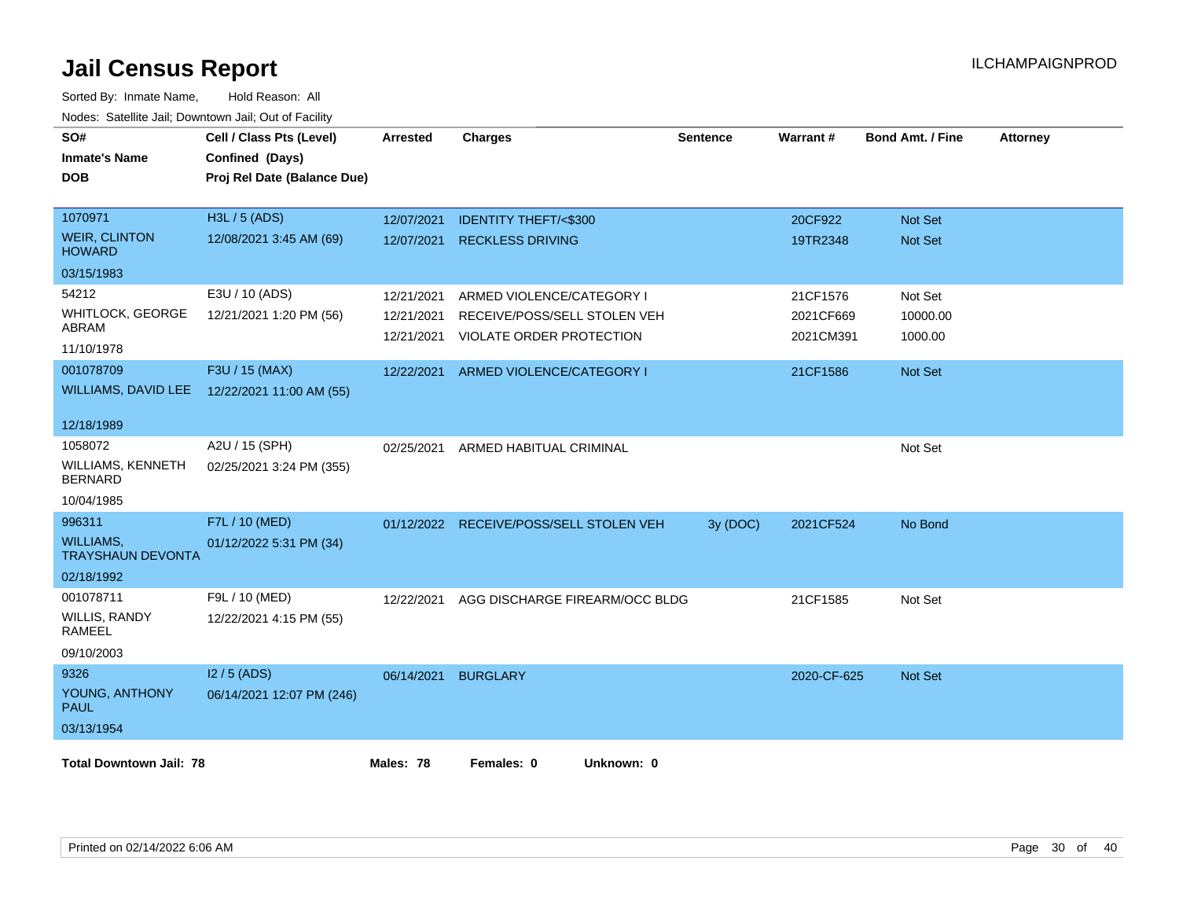| SO#<br><b>Inmate's Name</b><br><b>DOB</b>    | Cell / Class Pts (Level)<br>Confined (Days)<br>Proj Rel Date (Balance Due) | <b>Arrested</b> | <b>Charges</b>                  | <b>Sentence</b> | Warrant#    | <b>Bond Amt. / Fine</b> | <b>Attorney</b> |
|----------------------------------------------|----------------------------------------------------------------------------|-----------------|---------------------------------|-----------------|-------------|-------------------------|-----------------|
| 1070971                                      | H3L / 5 (ADS)                                                              | 12/07/2021      | <b>IDENTITY THEFT/&lt;\$300</b> |                 | 20CF922     | Not Set                 |                 |
| <b>WEIR, CLINTON</b><br><b>HOWARD</b>        | 12/08/2021 3:45 AM (69)                                                    | 12/07/2021      | <b>RECKLESS DRIVING</b>         |                 | 19TR2348    | Not Set                 |                 |
| 03/15/1983                                   |                                                                            |                 |                                 |                 |             |                         |                 |
| 54212                                        | E3U / 10 (ADS)                                                             | 12/21/2021      | ARMED VIOLENCE/CATEGORY I       |                 | 21CF1576    | Not Set                 |                 |
| <b>WHITLOCK, GEORGE</b>                      | 12/21/2021 1:20 PM (56)                                                    | 12/21/2021      | RECEIVE/POSS/SELL STOLEN VEH    |                 | 2021CF669   | 10000.00                |                 |
| ABRAM                                        |                                                                            | 12/21/2021      | VIOLATE ORDER PROTECTION        |                 | 2021CM391   | 1000.00                 |                 |
| 11/10/1978                                   |                                                                            |                 |                                 |                 |             |                         |                 |
| 001078709                                    | F3U / 15 (MAX)                                                             | 12/22/2021      | ARMED VIOLENCE/CATEGORY I       |                 | 21CF1586    | <b>Not Set</b>          |                 |
| <b>WILLIAMS, DAVID LEE</b>                   | 12/22/2021 11:00 AM (55)                                                   |                 |                                 |                 |             |                         |                 |
| 12/18/1989                                   |                                                                            |                 |                                 |                 |             |                         |                 |
| 1058072                                      | A2U / 15 (SPH)                                                             | 02/25/2021      | ARMED HABITUAL CRIMINAL         |                 |             | Not Set                 |                 |
| WILLIAMS, KENNETH<br><b>BERNARD</b>          | 02/25/2021 3:24 PM (355)                                                   |                 |                                 |                 |             |                         |                 |
| 10/04/1985                                   |                                                                            |                 |                                 |                 |             |                         |                 |
| 996311                                       | F7L / 10 (MED)                                                             | 01/12/2022      | RECEIVE/POSS/SELL STOLEN VEH    | 3y (DOC)        | 2021CF524   | No Bond                 |                 |
| <b>WILLIAMS,</b><br><b>TRAYSHAUN DEVONTA</b> | 01/12/2022 5:31 PM (34)                                                    |                 |                                 |                 |             |                         |                 |
| 02/18/1992                                   |                                                                            |                 |                                 |                 |             |                         |                 |
| 001078711                                    | F9L / 10 (MED)                                                             | 12/22/2021      | AGG DISCHARGE FIREARM/OCC BLDG  |                 | 21CF1585    | Not Set                 |                 |
| WILLIS, RANDY<br><b>RAMEEL</b>               | 12/22/2021 4:15 PM (55)                                                    |                 |                                 |                 |             |                         |                 |
| 09/10/2003                                   |                                                                            |                 |                                 |                 |             |                         |                 |
| 9326                                         | I2 / 5 (ADS)                                                               | 06/14/2021      | <b>BURGLARY</b>                 |                 | 2020-CF-625 | <b>Not Set</b>          |                 |
| YOUNG, ANTHONY<br><b>PAUL</b>                | 06/14/2021 12:07 PM (246)                                                  |                 |                                 |                 |             |                         |                 |
| 03/13/1954                                   |                                                                            |                 |                                 |                 |             |                         |                 |
| <b>Total Downtown Jail: 78</b>               |                                                                            | Males: 78       | Females: 0<br>Unknown: 0        |                 |             |                         |                 |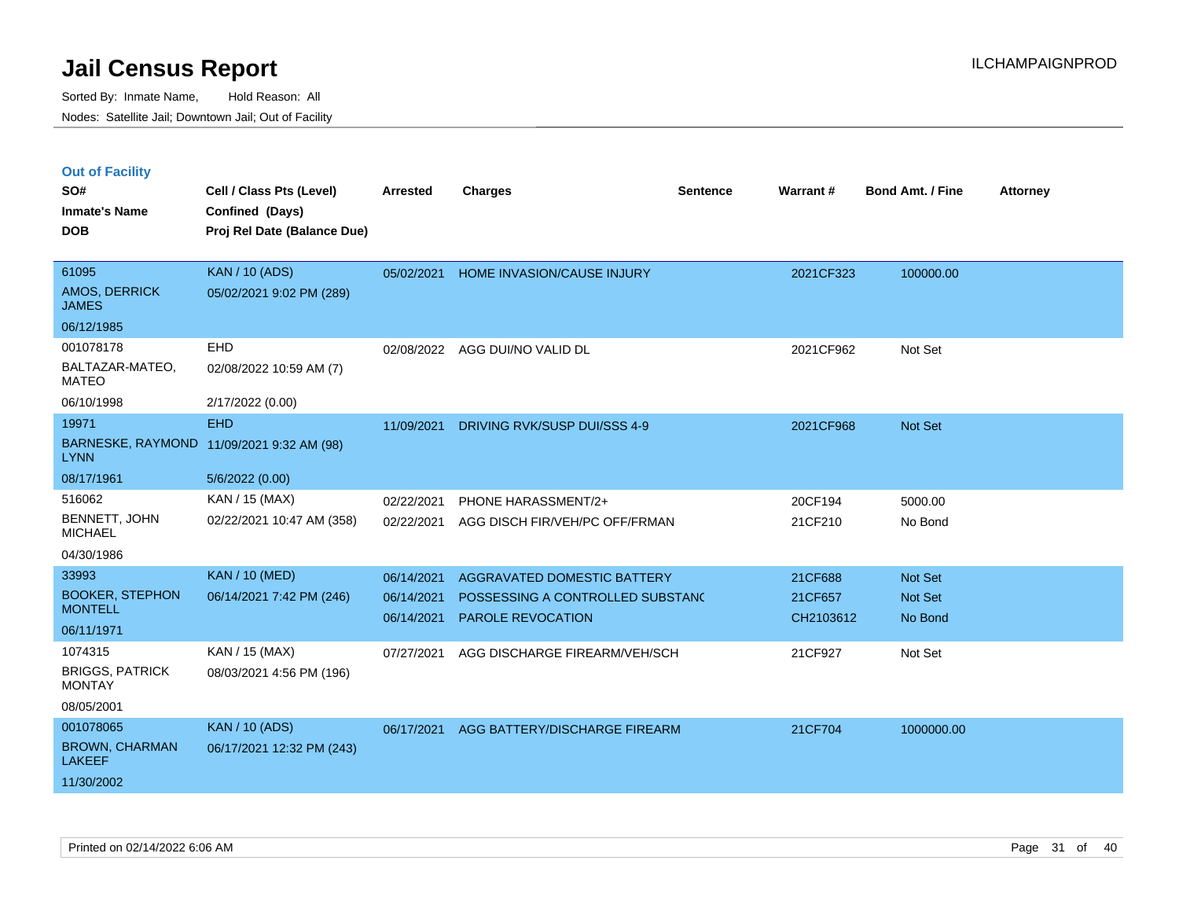|  | <b>Out of Facility</b> |  |
|--|------------------------|--|
|  |                        |  |

| SO#                                      | Cell / Class Pts (Level)                       | <b>Arrested</b> | <b>Charges</b>                   | <b>Sentence</b> | Warrant#  | <b>Bond Amt. / Fine</b> | <b>Attorney</b> |
|------------------------------------------|------------------------------------------------|-----------------|----------------------------------|-----------------|-----------|-------------------------|-----------------|
| <b>Inmate's Name</b><br><b>DOB</b>       | Confined (Days)<br>Proj Rel Date (Balance Due) |                 |                                  |                 |           |                         |                 |
|                                          |                                                |                 |                                  |                 |           |                         |                 |
| 61095                                    | <b>KAN / 10 (ADS)</b>                          | 05/02/2021      | HOME INVASION/CAUSE INJURY       |                 | 2021CF323 | 100000.00               |                 |
| AMOS, DERRICK<br><b>JAMES</b>            | 05/02/2021 9:02 PM (289)                       |                 |                                  |                 |           |                         |                 |
| 06/12/1985                               |                                                |                 |                                  |                 |           |                         |                 |
| 001078178                                | <b>EHD</b>                                     |                 | 02/08/2022 AGG DUI/NO VALID DL   |                 | 2021CF962 | Not Set                 |                 |
| BALTAZAR-MATEO,<br><b>MATEO</b>          | 02/08/2022 10:59 AM (7)                        |                 |                                  |                 |           |                         |                 |
| 06/10/1998                               | 2/17/2022 (0.00)                               |                 |                                  |                 |           |                         |                 |
| 19971                                    | <b>EHD</b>                                     | 11/09/2021      | DRIVING RVK/SUSP DUI/SSS 4-9     |                 | 2021CF968 | Not Set                 |                 |
| <b>LYNN</b>                              | BARNESKE, RAYMOND 11/09/2021 9:32 AM (98)      |                 |                                  |                 |           |                         |                 |
| 08/17/1961                               | 5/6/2022 (0.00)                                |                 |                                  |                 |           |                         |                 |
| 516062                                   | KAN / 15 (MAX)                                 | 02/22/2021      | PHONE HARASSMENT/2+              |                 | 20CF194   | 5000.00                 |                 |
| BENNETT, JOHN<br><b>MICHAEL</b>          | 02/22/2021 10:47 AM (358)                      | 02/22/2021      | AGG DISCH FIR/VEH/PC OFF/FRMAN   |                 | 21CF210   | No Bond                 |                 |
| 04/30/1986                               |                                                |                 |                                  |                 |           |                         |                 |
| 33993                                    | <b>KAN / 10 (MED)</b>                          | 06/14/2021      | AGGRAVATED DOMESTIC BATTERY      |                 | 21CF688   | <b>Not Set</b>          |                 |
| <b>BOOKER, STEPHON</b><br><b>MONTELL</b> | 06/14/2021 7:42 PM (246)                       | 06/14/2021      | POSSESSING A CONTROLLED SUBSTAND |                 | 21CF657   | <b>Not Set</b>          |                 |
| 06/11/1971                               |                                                | 06/14/2021      | <b>PAROLE REVOCATION</b>         |                 | CH2103612 | No Bond                 |                 |
| 1074315                                  | KAN / 15 (MAX)                                 | 07/27/2021      | AGG DISCHARGE FIREARM/VEH/SCH    |                 | 21CF927   | Not Set                 |                 |
| <b>BRIGGS, PATRICK</b><br><b>MONTAY</b>  | 08/03/2021 4:56 PM (196)                       |                 |                                  |                 |           |                         |                 |
| 08/05/2001                               |                                                |                 |                                  |                 |           |                         |                 |
| 001078065                                | <b>KAN / 10 (ADS)</b>                          | 06/17/2021      | AGG BATTERY/DISCHARGE FIREARM    |                 | 21CF704   | 1000000.00              |                 |
| <b>BROWN, CHARMAN</b><br><b>LAKEEF</b>   | 06/17/2021 12:32 PM (243)                      |                 |                                  |                 |           |                         |                 |
| 11/30/2002                               |                                                |                 |                                  |                 |           |                         |                 |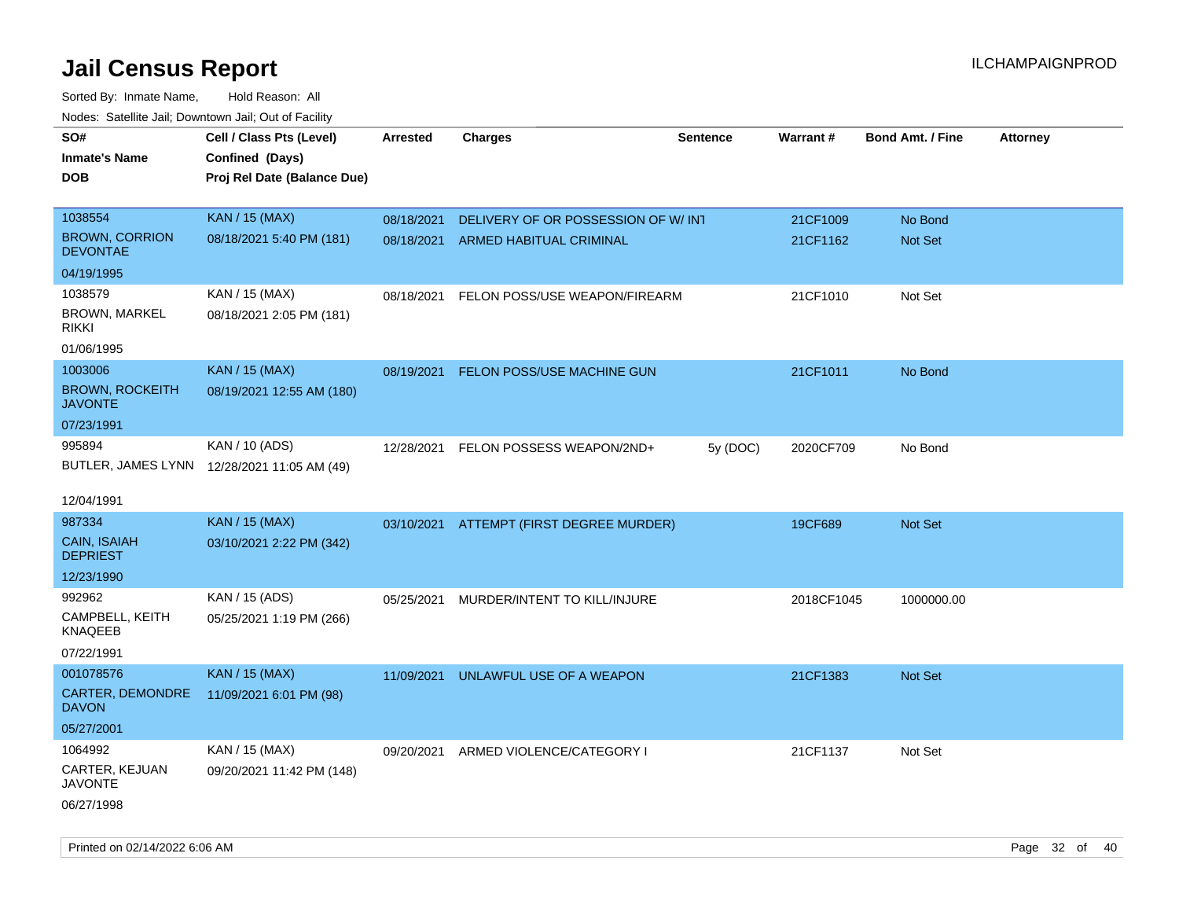Sorted By: Inmate Name, Hold Reason: All Nodes: Satellite Jail; Downtown Jail; Out of Facility

| roacs. Calcinic Jan, Downtown Jan, Out of Facility |                                                                            |                 |                                          |                 |            |                         |                 |
|----------------------------------------------------|----------------------------------------------------------------------------|-----------------|------------------------------------------|-----------------|------------|-------------------------|-----------------|
| SO#<br><b>Inmate's Name</b><br><b>DOB</b>          | Cell / Class Pts (Level)<br>Confined (Days)<br>Proj Rel Date (Balance Due) | <b>Arrested</b> | <b>Charges</b>                           | <b>Sentence</b> | Warrant#   | <b>Bond Amt. / Fine</b> | <b>Attorney</b> |
|                                                    |                                                                            |                 |                                          |                 |            |                         |                 |
| 1038554                                            | <b>KAN / 15 (MAX)</b>                                                      | 08/18/2021      | DELIVERY OF OR POSSESSION OF W/INT       |                 | 21CF1009   | No Bond                 |                 |
| <b>BROWN, CORRION</b><br><b>DEVONTAE</b>           | 08/18/2021 5:40 PM (181)                                                   | 08/18/2021      | ARMED HABITUAL CRIMINAL                  |                 | 21CF1162   | Not Set                 |                 |
| 04/19/1995                                         |                                                                            |                 |                                          |                 |            |                         |                 |
| 1038579                                            | KAN / 15 (MAX)                                                             | 08/18/2021      | FELON POSS/USE WEAPON/FIREARM            |                 | 21CF1010   | Not Set                 |                 |
| <b>BROWN, MARKEL</b><br><b>RIKKI</b>               | 08/18/2021 2:05 PM (181)                                                   |                 |                                          |                 |            |                         |                 |
| 01/06/1995                                         |                                                                            |                 |                                          |                 |            |                         |                 |
| 1003006                                            | <b>KAN / 15 (MAX)</b>                                                      | 08/19/2021      | FELON POSS/USE MACHINE GUN               |                 | 21CF1011   | No Bond                 |                 |
| <b>BROWN, ROCKEITH</b><br><b>JAVONTE</b>           | 08/19/2021 12:55 AM (180)                                                  |                 |                                          |                 |            |                         |                 |
| 07/23/1991                                         |                                                                            |                 |                                          |                 |            |                         |                 |
| 995894                                             | KAN / 10 (ADS)                                                             |                 | 12/28/2021 FELON POSSESS WEAPON/2ND+     | 5y (DOC)        | 2020CF709  | No Bond                 |                 |
|                                                    | BUTLER, JAMES LYNN 12/28/2021 11:05 AM (49)                                |                 |                                          |                 |            |                         |                 |
|                                                    |                                                                            |                 |                                          |                 |            |                         |                 |
| 12/04/1991                                         |                                                                            |                 |                                          |                 |            |                         |                 |
| 987334                                             | <b>KAN / 15 (MAX)</b>                                                      |                 | 03/10/2021 ATTEMPT (FIRST DEGREE MURDER) |                 | 19CF689    | Not Set                 |                 |
| CAIN, ISAIAH<br><b>DEPRIEST</b>                    | 03/10/2021 2:22 PM (342)                                                   |                 |                                          |                 |            |                         |                 |
| 12/23/1990                                         |                                                                            |                 |                                          |                 |            |                         |                 |
| 992962                                             | KAN / 15 (ADS)                                                             | 05/25/2021      | MURDER/INTENT TO KILL/INJURE             |                 | 2018CF1045 | 1000000.00              |                 |
| CAMPBELL, KEITH<br><b>KNAQEEB</b>                  | 05/25/2021 1:19 PM (266)                                                   |                 |                                          |                 |            |                         |                 |
| 07/22/1991                                         |                                                                            |                 |                                          |                 |            |                         |                 |
| 001078576                                          | <b>KAN / 15 (MAX)</b>                                                      | 11/09/2021      | UNLAWFUL USE OF A WEAPON                 |                 | 21CF1383   | <b>Not Set</b>          |                 |
| CARTER, DEMONDRE<br><b>DAVON</b>                   | 11/09/2021 6:01 PM (98)                                                    |                 |                                          |                 |            |                         |                 |
| 05/27/2001                                         |                                                                            |                 |                                          |                 |            |                         |                 |
| 1064992                                            | KAN / 15 (MAX)                                                             | 09/20/2021      | ARMED VIOLENCE/CATEGORY I                |                 | 21CF1137   | Not Set                 |                 |
| CARTER, KEJUAN<br><b>JAVONTE</b>                   | 09/20/2021 11:42 PM (148)                                                  |                 |                                          |                 |            |                         |                 |
| 06/27/1998                                         |                                                                            |                 |                                          |                 |            |                         |                 |

Printed on 02/14/2022 6:06 AM Page 32 of 40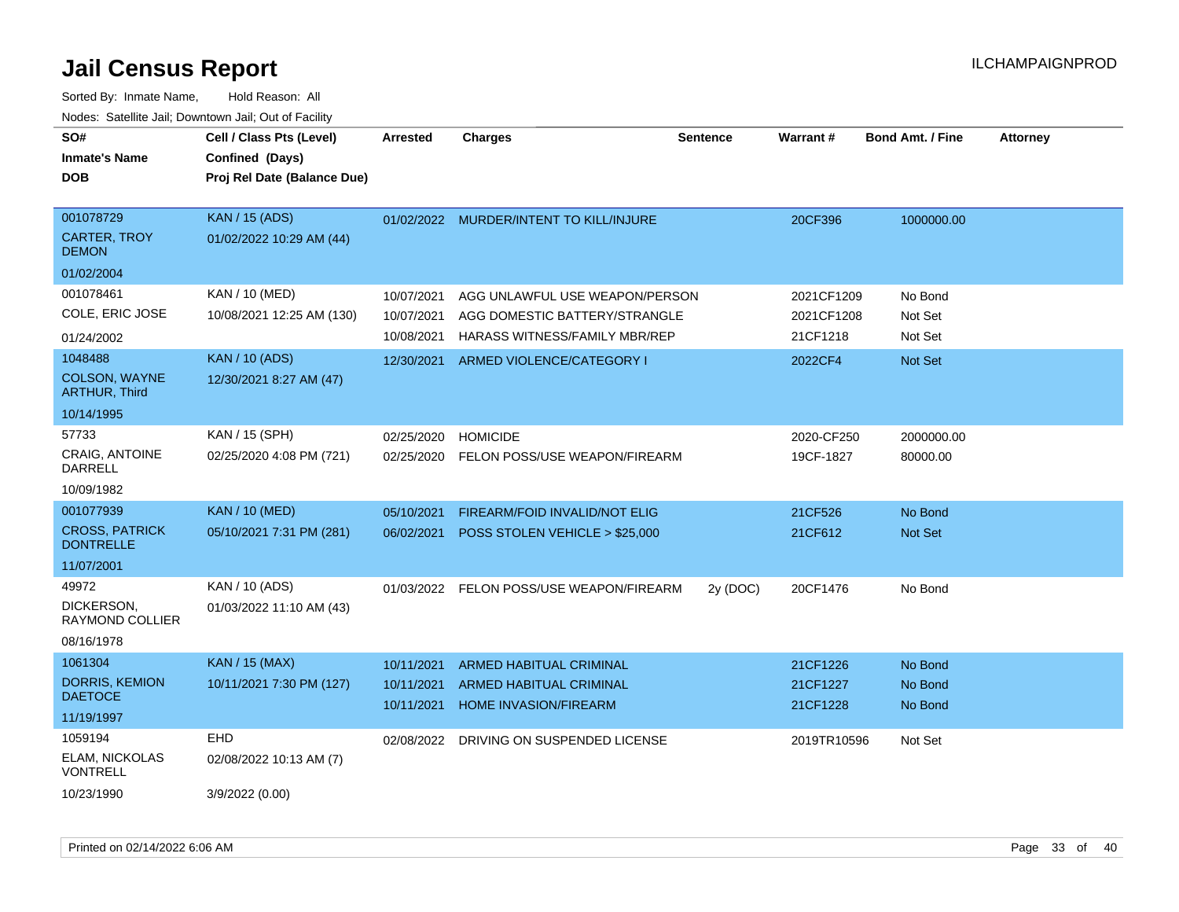| SO#<br><b>Inmate's Name</b><br><b>DOB</b> | Cell / Class Pts (Level)<br>Confined (Days)<br>Proj Rel Date (Balance Due) | <b>Arrested</b>          | <b>Charges</b>                                          | <b>Sentence</b> | <b>Warrant#</b>      | <b>Bond Amt. / Fine</b> | <b>Attorney</b> |
|-------------------------------------------|----------------------------------------------------------------------------|--------------------------|---------------------------------------------------------|-----------------|----------------------|-------------------------|-----------------|
| 001078729<br>CARTER, TROY                 | <b>KAN / 15 (ADS)</b><br>01/02/2022 10:29 AM (44)                          |                          | 01/02/2022 MURDER/INTENT TO KILL/INJURE                 |                 | 20CF396              | 1000000.00              |                 |
| <b>DEMON</b>                              |                                                                            |                          |                                                         |                 |                      |                         |                 |
| 01/02/2004                                |                                                                            |                          |                                                         |                 |                      |                         |                 |
| 001078461                                 | KAN / 10 (MED)                                                             | 10/07/2021               | AGG UNLAWFUL USE WEAPON/PERSON                          |                 | 2021CF1209           | No Bond                 |                 |
| COLE, ERIC JOSE                           | 10/08/2021 12:25 AM (130)                                                  | 10/07/2021               | AGG DOMESTIC BATTERY/STRANGLE                           |                 | 2021CF1208           | Not Set                 |                 |
| 01/24/2002                                |                                                                            | 10/08/2021               | <b>HARASS WITNESS/FAMILY MBR/REP</b>                    |                 | 21CF1218             | Not Set                 |                 |
| 1048488                                   | <b>KAN / 10 (ADS)</b>                                                      | 12/30/2021               | ARMED VIOLENCE/CATEGORY I                               |                 | 2022CF4              | <b>Not Set</b>          |                 |
| COLSON, WAYNE<br><b>ARTHUR, Third</b>     | 12/30/2021 8:27 AM (47)                                                    |                          |                                                         |                 |                      |                         |                 |
| 10/14/1995                                |                                                                            |                          |                                                         |                 |                      |                         |                 |
| 57733                                     | KAN / 15 (SPH)                                                             | 02/25/2020               | <b>HOMICIDE</b>                                         |                 | 2020-CF250           | 2000000.00              |                 |
| CRAIG, ANTOINE<br><b>DARRELL</b>          | 02/25/2020 4:08 PM (721)                                                   |                          | 02/25/2020 FELON POSS/USE WEAPON/FIREARM                |                 | 19CF-1827            | 80000.00                |                 |
| 10/09/1982                                |                                                                            |                          |                                                         |                 |                      |                         |                 |
| 001077939                                 | <b>KAN / 10 (MED)</b>                                                      | 05/10/2021               | FIREARM/FOID INVALID/NOT ELIG                           |                 | 21CF526              | No Bond                 |                 |
| <b>CROSS, PATRICK</b><br><b>DONTRELLE</b> | 05/10/2021 7:31 PM (281)                                                   | 06/02/2021               | POSS STOLEN VEHICLE > \$25,000                          |                 | 21CF612              | Not Set                 |                 |
| 11/07/2001                                |                                                                            |                          |                                                         |                 |                      |                         |                 |
| 49972                                     | KAN / 10 (ADS)                                                             |                          | 01/03/2022 FELON POSS/USE WEAPON/FIREARM                | 2y (DOC)        | 20CF1476             | No Bond                 |                 |
| DICKERSON,<br>RAYMOND COLLIER             | 01/03/2022 11:10 AM (43)                                                   |                          |                                                         |                 |                      |                         |                 |
| 08/16/1978                                |                                                                            |                          |                                                         |                 |                      |                         |                 |
| 1061304                                   | <b>KAN / 15 (MAX)</b>                                                      | 10/11/2021               | <b>ARMED HABITUAL CRIMINAL</b>                          |                 | 21CF1226             | No Bond                 |                 |
| <b>DORRIS, KEMION</b><br><b>DAETOCE</b>   | 10/11/2021 7:30 PM (127)                                                   | 10/11/2021<br>10/11/2021 | <b>ARMED HABITUAL CRIMINAL</b><br>HOME INVASION/FIREARM |                 | 21CF1227<br>21CF1228 | No Bond<br>No Bond      |                 |
| 11/19/1997                                |                                                                            |                          |                                                         |                 |                      |                         |                 |
| 1059194                                   | EHD                                                                        | 02/08/2022               | DRIVING ON SUSPENDED LICENSE                            |                 | 2019TR10596          | Not Set                 |                 |
| ELAM, NICKOLAS<br><b>VONTRELL</b>         | 02/08/2022 10:13 AM (7)                                                    |                          |                                                         |                 |                      |                         |                 |
| 10/23/1990                                | 3/9/2022 (0.00)                                                            |                          |                                                         |                 |                      |                         |                 |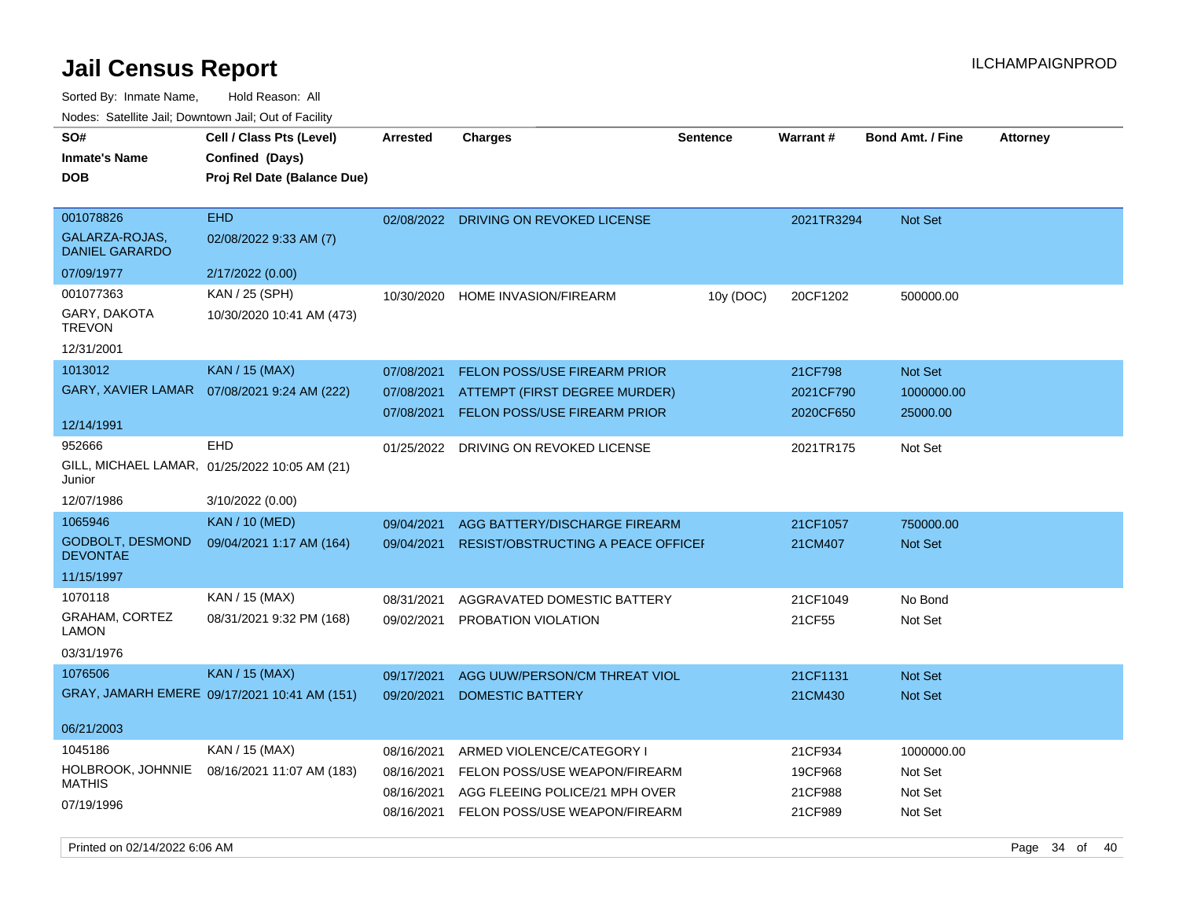| SO#<br><b>Inmate's Name</b><br><b>DOB</b>            | Cell / Class Pts (Level)<br>Confined (Days)<br>Proj Rel Date (Balance Due) | <b>Arrested</b> | <b>Charges</b>                            | <b>Sentence</b> | Warrant#   | <b>Bond Amt. / Fine</b> | <b>Attorney</b> |
|------------------------------------------------------|----------------------------------------------------------------------------|-----------------|-------------------------------------------|-----------------|------------|-------------------------|-----------------|
| 001078826<br>GALARZA-ROJAS.<br><b>DANIEL GARARDO</b> | <b>EHD</b><br>02/08/2022 9:33 AM (7)                                       |                 | 02/08/2022 DRIVING ON REVOKED LICENSE     |                 | 2021TR3294 | Not Set                 |                 |
| 07/09/1977                                           | 2/17/2022 (0.00)                                                           |                 |                                           |                 |            |                         |                 |
| 001077363                                            | KAN / 25 (SPH)                                                             | 10/30/2020      | <b>HOME INVASION/FIREARM</b>              | 10y (DOC)       | 20CF1202   | 500000.00               |                 |
| GARY, DAKOTA<br><b>TREVON</b>                        | 10/30/2020 10:41 AM (473)                                                  |                 |                                           |                 |            |                         |                 |
| 12/31/2001                                           |                                                                            |                 |                                           |                 |            |                         |                 |
| 1013012                                              | <b>KAN / 15 (MAX)</b>                                                      | 07/08/2021      | <b>FELON POSS/USE FIREARM PRIOR</b>       |                 | 21CF798    | Not Set                 |                 |
|                                                      | GARY, XAVIER LAMAR  07/08/2021 9:24 AM (222)                               | 07/08/2021      | ATTEMPT (FIRST DEGREE MURDER)             |                 | 2021CF790  | 1000000.00              |                 |
| 12/14/1991                                           |                                                                            | 07/08/2021      | FELON POSS/USE FIREARM PRIOR              |                 | 2020CF650  | 25000.00                |                 |
| 952666                                               | <b>EHD</b>                                                                 | 01/25/2022      | DRIVING ON REVOKED LICENSE                |                 | 2021TR175  | Not Set                 |                 |
| Junior                                               | GILL, MICHAEL LAMAR, 01/25/2022 10:05 AM (21)                              |                 |                                           |                 |            |                         |                 |
| 12/07/1986                                           | 3/10/2022 (0.00)                                                           |                 |                                           |                 |            |                         |                 |
| 1065946                                              | <b>KAN / 10 (MED)</b>                                                      | 09/04/2021      | AGG BATTERY/DISCHARGE FIREARM             |                 | 21CF1057   | 750000.00               |                 |
| <b>GODBOLT, DESMOND</b><br><b>DEVONTAE</b>           | 09/04/2021 1:17 AM (164)                                                   | 09/04/2021      | <b>RESIST/OBSTRUCTING A PEACE OFFICEF</b> |                 | 21CM407    | Not Set                 |                 |
| 11/15/1997                                           |                                                                            |                 |                                           |                 |            |                         |                 |
| 1070118                                              | KAN / 15 (MAX)                                                             | 08/31/2021      | AGGRAVATED DOMESTIC BATTERY               |                 | 21CF1049   | No Bond                 |                 |
| <b>GRAHAM, CORTEZ</b><br>LAMON                       | 08/31/2021 9:32 PM (168)                                                   | 09/02/2021      | PROBATION VIOLATION                       |                 | 21CF55     | Not Set                 |                 |
| 03/31/1976                                           |                                                                            |                 |                                           |                 |            |                         |                 |
| 1076506                                              | <b>KAN / 15 (MAX)</b>                                                      | 09/17/2021      | AGG UUW/PERSON/CM THREAT VIOL             |                 | 21CF1131   | Not Set                 |                 |
|                                                      | GRAY, JAMARH EMERE 09/17/2021 10:41 AM (151)                               | 09/20/2021      | <b>DOMESTIC BATTERY</b>                   |                 | 21CM430    | Not Set                 |                 |
| 06/21/2003                                           |                                                                            |                 |                                           |                 |            |                         |                 |
| 1045186                                              | KAN / 15 (MAX)                                                             | 08/16/2021      | ARMED VIOLENCE/CATEGORY I                 |                 | 21CF934    | 1000000.00              |                 |
| HOLBROOK, JOHNNIE                                    | 08/16/2021 11:07 AM (183)                                                  | 08/16/2021      | FELON POSS/USE WEAPON/FIREARM             |                 | 19CF968    | Not Set                 |                 |
| <b>MATHIS</b>                                        |                                                                            | 08/16/2021      | AGG FLEEING POLICE/21 MPH OVER            |                 | 21CF988    | Not Set                 |                 |
| 07/19/1996                                           |                                                                            | 08/16/2021      | FELON POSS/USE WEAPON/FIREARM             |                 | 21CF989    | Not Set                 |                 |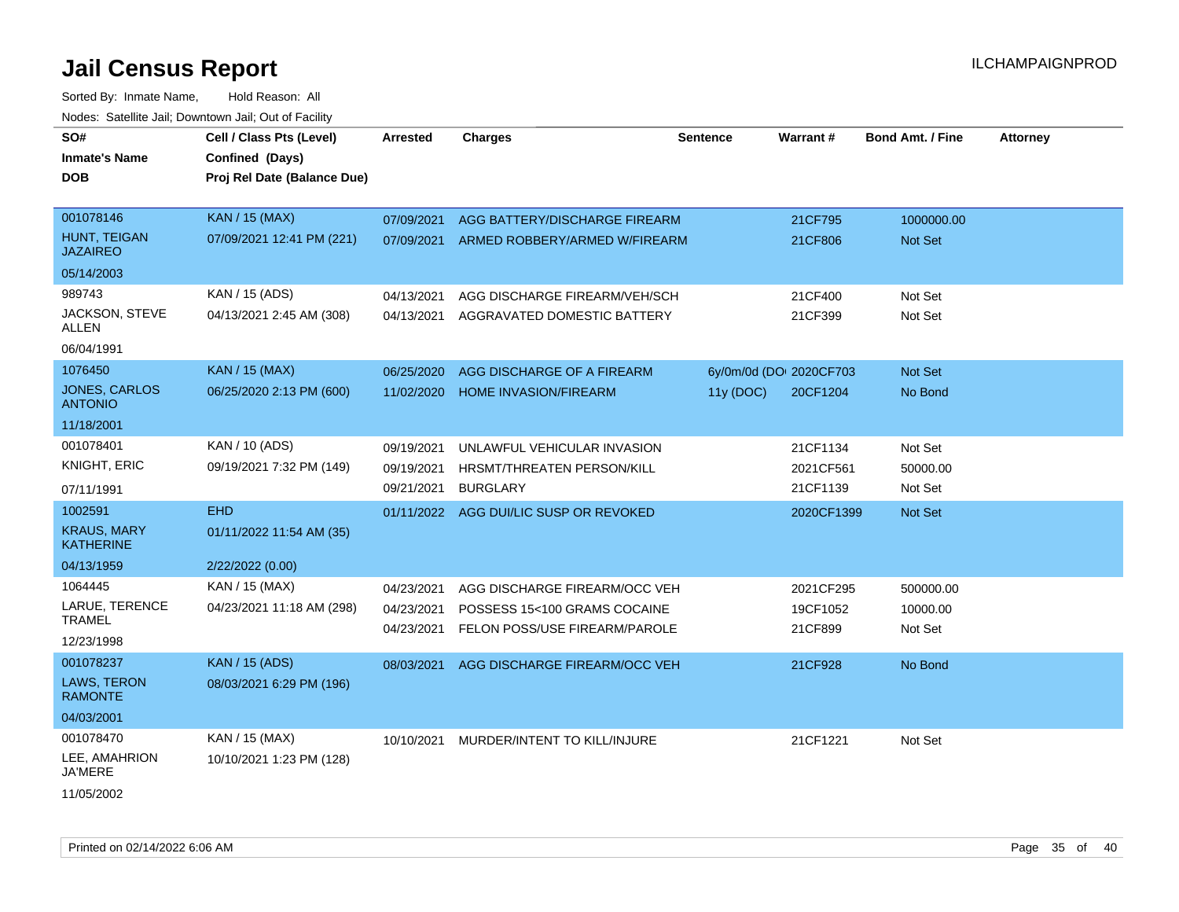| SO#<br><b>Inmate's Name</b><br><b>DOB</b> | Cell / Class Pts (Level)<br>Confined (Days)<br>Proj Rel Date (Balance Due) | <b>Arrested</b> | <b>Charges</b>                         | <b>Sentence</b> | Warrant#                | <b>Bond Amt. / Fine</b> | <b>Attorney</b> |
|-------------------------------------------|----------------------------------------------------------------------------|-----------------|----------------------------------------|-----------------|-------------------------|-------------------------|-----------------|
| 001078146                                 | <b>KAN / 15 (MAX)</b>                                                      | 07/09/2021      | AGG BATTERY/DISCHARGE FIREARM          |                 | 21CF795                 | 1000000.00              |                 |
| <b>HUNT, TEIGAN</b><br><b>JAZAIREO</b>    | 07/09/2021 12:41 PM (221)                                                  | 07/09/2021      | ARMED ROBBERY/ARMED W/FIREARM          |                 | 21CF806                 | Not Set                 |                 |
| 05/14/2003                                |                                                                            |                 |                                        |                 |                         |                         |                 |
| 989743                                    | KAN / 15 (ADS)                                                             | 04/13/2021      | AGG DISCHARGE FIREARM/VEH/SCH          |                 | 21CF400                 | Not Set                 |                 |
| JACKSON, STEVE<br>ALLEN                   | 04/13/2021 2:45 AM (308)                                                   | 04/13/2021      | AGGRAVATED DOMESTIC BATTERY            |                 | 21CF399                 | Not Set                 |                 |
| 06/04/1991                                |                                                                            |                 |                                        |                 |                         |                         |                 |
| 1076450                                   | <b>KAN / 15 (MAX)</b>                                                      | 06/25/2020      | AGG DISCHARGE OF A FIREARM             |                 | 6y/0m/0d (DOI 2020CF703 | Not Set                 |                 |
| <b>JONES, CARLOS</b><br><b>ANTONIO</b>    | 06/25/2020 2:13 PM (600)                                                   | 11/02/2020      | <b>HOME INVASION/FIREARM</b>           | 11y (DOC)       | 20CF1204                | No Bond                 |                 |
| 11/18/2001                                |                                                                            |                 |                                        |                 |                         |                         |                 |
| 001078401                                 | KAN / 10 (ADS)                                                             | 09/19/2021      | UNLAWFUL VEHICULAR INVASION            |                 | 21CF1134                | Not Set                 |                 |
| KNIGHT, ERIC                              | 09/19/2021 7:32 PM (149)                                                   | 09/19/2021      | HRSMT/THREATEN PERSON/KILL             |                 | 2021CF561               | 50000.00                |                 |
| 07/11/1991                                |                                                                            | 09/21/2021      | <b>BURGLARY</b>                        |                 | 21CF1139                | Not Set                 |                 |
| 1002591                                   | <b>EHD</b>                                                                 |                 | 01/11/2022 AGG DUI/LIC SUSP OR REVOKED |                 | 2020CF1399              | Not Set                 |                 |
| <b>KRAUS, MARY</b><br><b>KATHERINE</b>    | 01/11/2022 11:54 AM (35)                                                   |                 |                                        |                 |                         |                         |                 |
| 04/13/1959                                | 2/22/2022 (0.00)                                                           |                 |                                        |                 |                         |                         |                 |
| 1064445                                   | KAN / 15 (MAX)                                                             | 04/23/2021      | AGG DISCHARGE FIREARM/OCC VEH          |                 | 2021CF295               | 500000.00               |                 |
| LARUE, TERENCE                            | 04/23/2021 11:18 AM (298)                                                  | 04/23/2021      | POSSESS 15<100 GRAMS COCAINE           |                 | 19CF1052                | 10000.00                |                 |
| <b>TRAMEL</b>                             |                                                                            | 04/23/2021      | FELON POSS/USE FIREARM/PAROLE          |                 | 21CF899                 | Not Set                 |                 |
| 12/23/1998                                |                                                                            |                 |                                        |                 |                         |                         |                 |
| 001078237                                 | <b>KAN / 15 (ADS)</b>                                                      | 08/03/2021      | AGG DISCHARGE FIREARM/OCC VEH          |                 | 21CF928                 | No Bond                 |                 |
| <b>LAWS, TERON</b><br><b>RAMONTE</b>      | 08/03/2021 6:29 PM (196)                                                   |                 |                                        |                 |                         |                         |                 |
| 04/03/2001                                |                                                                            |                 |                                        |                 |                         |                         |                 |
| 001078470                                 | KAN / 15 (MAX)                                                             | 10/10/2021      | MURDER/INTENT TO KILL/INJURE           |                 | 21CF1221                | Not Set                 |                 |
| LEE, AMAHRION<br>JA'MERE                  | 10/10/2021 1:23 PM (128)                                                   |                 |                                        |                 |                         |                         |                 |
| 11/05/2002                                |                                                                            |                 |                                        |                 |                         |                         |                 |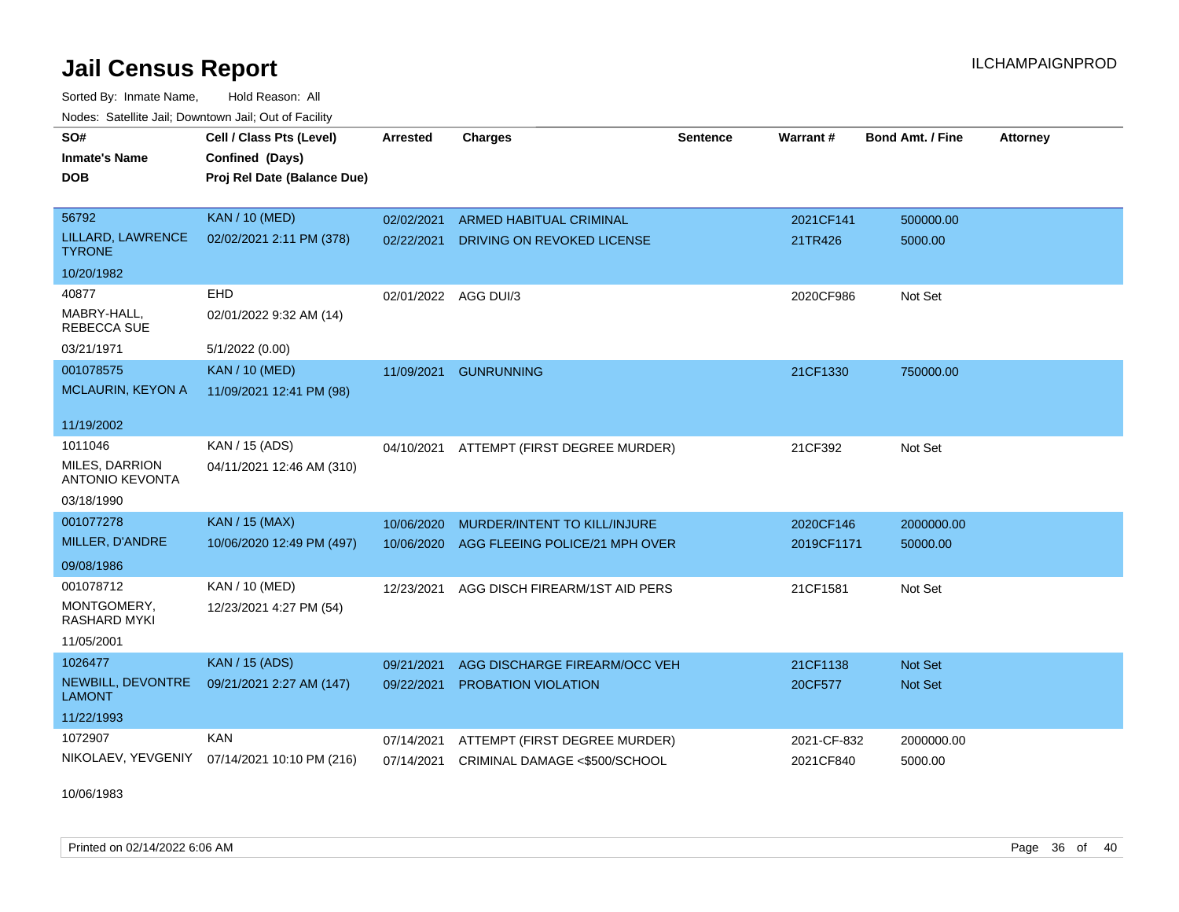Sorted By: Inmate Name, Hold Reason: All Nodes: Satellite Jail; Downtown Jail; Out of Facility

| SO#                                      | Cell / Class Pts (Level)    | <b>Arrested</b>      | <b>Charges</b>                      | <b>Sentence</b> | Warrant#    | <b>Bond Amt. / Fine</b> | <b>Attorney</b> |
|------------------------------------------|-----------------------------|----------------------|-------------------------------------|-----------------|-------------|-------------------------|-----------------|
| <b>Inmate's Name</b>                     | Confined (Days)             |                      |                                     |                 |             |                         |                 |
| <b>DOB</b>                               | Proj Rel Date (Balance Due) |                      |                                     |                 |             |                         |                 |
|                                          |                             |                      |                                     |                 |             |                         |                 |
| 56792                                    | <b>KAN / 10 (MED)</b>       | 02/02/2021           | ARMED HABITUAL CRIMINAL             |                 | 2021CF141   | 500000.00               |                 |
| LILLARD, LAWRENCE<br><b>TYRONE</b>       | 02/02/2021 2:11 PM (378)    | 02/22/2021           | DRIVING ON REVOKED LICENSE          |                 | 21TR426     | 5000.00                 |                 |
| 10/20/1982                               |                             |                      |                                     |                 |             |                         |                 |
| 40877                                    | <b>EHD</b>                  | 02/01/2022 AGG DUI/3 |                                     |                 | 2020CF986   | Not Set                 |                 |
| MABRY-HALL.<br>REBECCA SUE               | 02/01/2022 9:32 AM (14)     |                      |                                     |                 |             |                         |                 |
| 03/21/1971                               | 5/1/2022 (0.00)             |                      |                                     |                 |             |                         |                 |
| 001078575                                | <b>KAN / 10 (MED)</b>       | 11/09/2021           | <b>GUNRUNNING</b>                   |                 | 21CF1330    | 750000.00               |                 |
| <b>MCLAURIN, KEYON A</b>                 | 11/09/2021 12:41 PM (98)    |                      |                                     |                 |             |                         |                 |
| 11/19/2002                               |                             |                      |                                     |                 |             |                         |                 |
| 1011046                                  | KAN / 15 (ADS)              | 04/10/2021           | ATTEMPT (FIRST DEGREE MURDER)       |                 | 21CF392     | Not Set                 |                 |
| MILES, DARRION<br><b>ANTONIO KEVONTA</b> | 04/11/2021 12:46 AM (310)   |                      |                                     |                 |             |                         |                 |
| 03/18/1990                               |                             |                      |                                     |                 |             |                         |                 |
| 001077278                                | KAN / 15 (MAX)              | 10/06/2020           | <b>MURDER/INTENT TO KILL/INJURE</b> |                 | 2020CF146   | 2000000.00              |                 |
| MILLER, D'ANDRE                          | 10/06/2020 12:49 PM (497)   | 10/06/2020           | AGG FLEEING POLICE/21 MPH OVER      |                 | 2019CF1171  | 50000.00                |                 |
| 09/08/1986                               |                             |                      |                                     |                 |             |                         |                 |
| 001078712                                | KAN / 10 (MED)              | 12/23/2021           | AGG DISCH FIREARM/1ST AID PERS      |                 | 21CF1581    | Not Set                 |                 |
| MONTGOMERY,<br>RASHARD MYKI              | 12/23/2021 4:27 PM (54)     |                      |                                     |                 |             |                         |                 |
| 11/05/2001                               |                             |                      |                                     |                 |             |                         |                 |
| 1026477                                  | <b>KAN / 15 (ADS)</b>       | 09/21/2021           | AGG DISCHARGE FIREARM/OCC VEH       |                 | 21CF1138    | <b>Not Set</b>          |                 |
| NEWBILL, DEVONTRE<br><b>LAMONT</b>       | 09/21/2021 2:27 AM (147)    | 09/22/2021           | PROBATION VIOLATION                 |                 | 20CF577     | Not Set                 |                 |
| 11/22/1993                               |                             |                      |                                     |                 |             |                         |                 |
| 1072907                                  | <b>KAN</b>                  | 07/14/2021           | ATTEMPT (FIRST DEGREE MURDER)       |                 | 2021-CF-832 | 2000000.00              |                 |
| NIKOLAEV, YEVGENIY                       | 07/14/2021 10:10 PM (216)   | 07/14/2021           | CRIMINAL DAMAGE <\$500/SCHOOL       |                 | 2021CF840   | 5000.00                 |                 |
|                                          |                             |                      |                                     |                 |             |                         |                 |

10/06/1983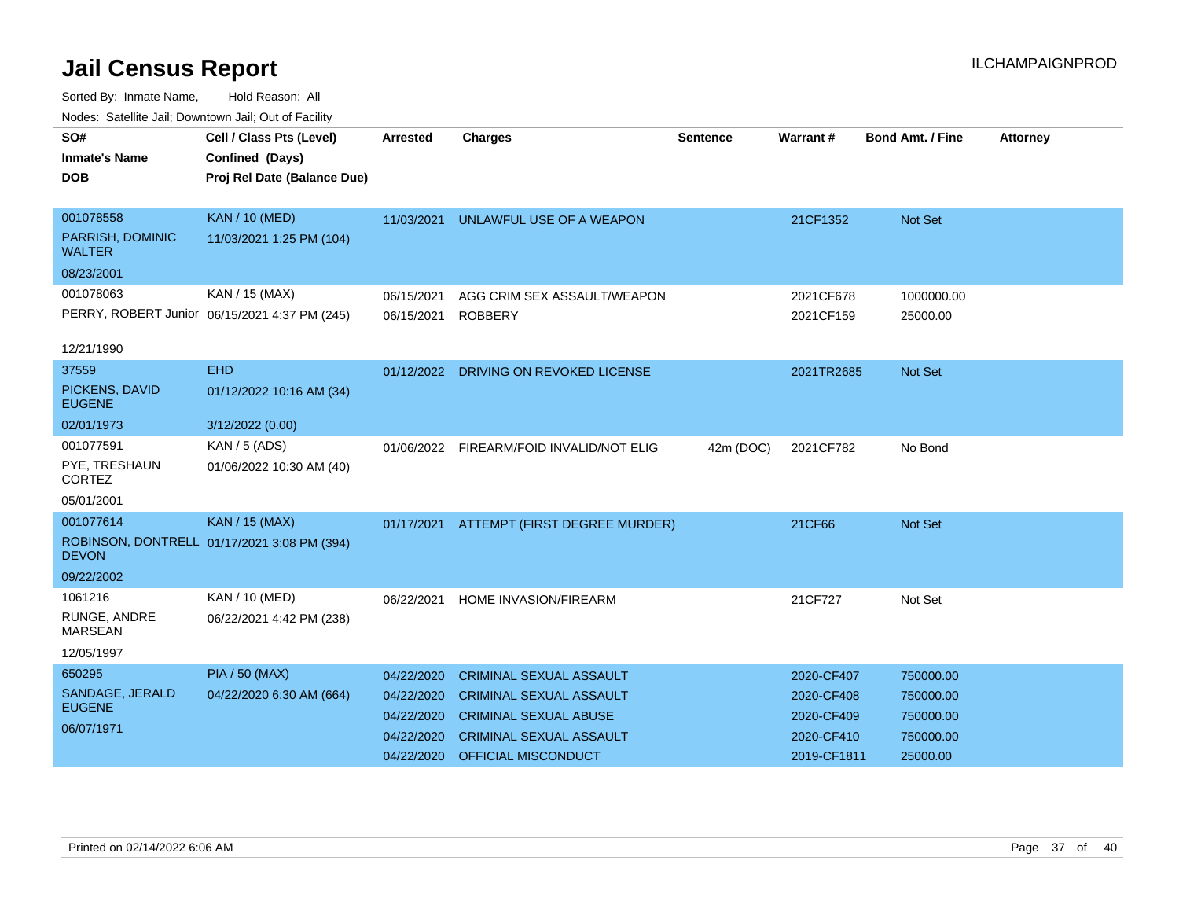| SO#                               | Cell / Class Pts (Level)                      | <b>Arrested</b> | <b>Charges</b>                 | <b>Sentence</b> | <b>Warrant#</b> | <b>Bond Amt. / Fine</b> | <b>Attorney</b> |
|-----------------------------------|-----------------------------------------------|-----------------|--------------------------------|-----------------|-----------------|-------------------------|-----------------|
| <b>Inmate's Name</b>              | Confined (Days)                               |                 |                                |                 |                 |                         |                 |
| <b>DOB</b>                        | Proj Rel Date (Balance Due)                   |                 |                                |                 |                 |                         |                 |
|                                   |                                               |                 |                                |                 |                 |                         |                 |
| 001078558                         | <b>KAN / 10 (MED)</b>                         | 11/03/2021      | UNLAWFUL USE OF A WEAPON       |                 | 21CF1352        | <b>Not Set</b>          |                 |
| PARRISH, DOMINIC<br><b>WALTER</b> | 11/03/2021 1:25 PM (104)                      |                 |                                |                 |                 |                         |                 |
| 08/23/2001                        |                                               |                 |                                |                 |                 |                         |                 |
| 001078063                         | KAN / 15 (MAX)                                | 06/15/2021      | AGG CRIM SEX ASSAULT/WEAPON    |                 | 2021CF678       | 1000000.00              |                 |
|                                   | PERRY, ROBERT Junior 06/15/2021 4:37 PM (245) | 06/15/2021      | <b>ROBBERY</b>                 |                 | 2021CF159       | 25000.00                |                 |
|                                   |                                               |                 |                                |                 |                 |                         |                 |
| 12/21/1990                        |                                               |                 |                                |                 |                 |                         |                 |
| 37559                             | <b>EHD</b>                                    | 01/12/2022      | DRIVING ON REVOKED LICENSE     |                 | 2021TR2685      | <b>Not Set</b>          |                 |
| PICKENS, DAVID<br><b>EUGENE</b>   | 01/12/2022 10:16 AM (34)                      |                 |                                |                 |                 |                         |                 |
| 02/01/1973                        | 3/12/2022 (0.00)                              |                 |                                |                 |                 |                         |                 |
| 001077591                         | KAN / 5 (ADS)                                 | 01/06/2022      | FIREARM/FOID INVALID/NOT ELIG  | 42m (DOC)       | 2021CF782       | No Bond                 |                 |
| PYE, TRESHAUN<br><b>CORTEZ</b>    | 01/06/2022 10:30 AM (40)                      |                 |                                |                 |                 |                         |                 |
| 05/01/2001                        |                                               |                 |                                |                 |                 |                         |                 |
| 001077614                         | <b>KAN / 15 (MAX)</b>                         | 01/17/2021      | ATTEMPT (FIRST DEGREE MURDER)  |                 | 21CF66          | Not Set                 |                 |
| <b>DEVON</b>                      | ROBINSON, DONTRELL 01/17/2021 3:08 PM (394)   |                 |                                |                 |                 |                         |                 |
| 09/22/2002                        |                                               |                 |                                |                 |                 |                         |                 |
| 1061216                           | KAN / 10 (MED)                                | 06/22/2021      | HOME INVASION/FIREARM          |                 | 21CF727         | Not Set                 |                 |
| RUNGE, ANDRE<br><b>MARSEAN</b>    | 06/22/2021 4:42 PM (238)                      |                 |                                |                 |                 |                         |                 |
| 12/05/1997                        |                                               |                 |                                |                 |                 |                         |                 |
| 650295                            | <b>PIA / 50 (MAX)</b>                         | 04/22/2020      | <b>CRIMINAL SEXUAL ASSAULT</b> |                 | 2020-CF407      | 750000.00               |                 |
| SANDAGE, JERALD                   | 04/22/2020 6:30 AM (664)                      | 04/22/2020      | <b>CRIMINAL SEXUAL ASSAULT</b> |                 | 2020-CF408      | 750000.00               |                 |
| <b>EUGENE</b>                     |                                               | 04/22/2020      | <b>CRIMINAL SEXUAL ABUSE</b>   |                 | 2020-CF409      | 750000.00               |                 |
| 06/07/1971                        |                                               | 04/22/2020      | <b>CRIMINAL SEXUAL ASSAULT</b> |                 | 2020-CF410      | 750000.00               |                 |
|                                   |                                               | 04/22/2020      | OFFICIAL MISCONDUCT            |                 | 2019-CF1811     | 25000.00                |                 |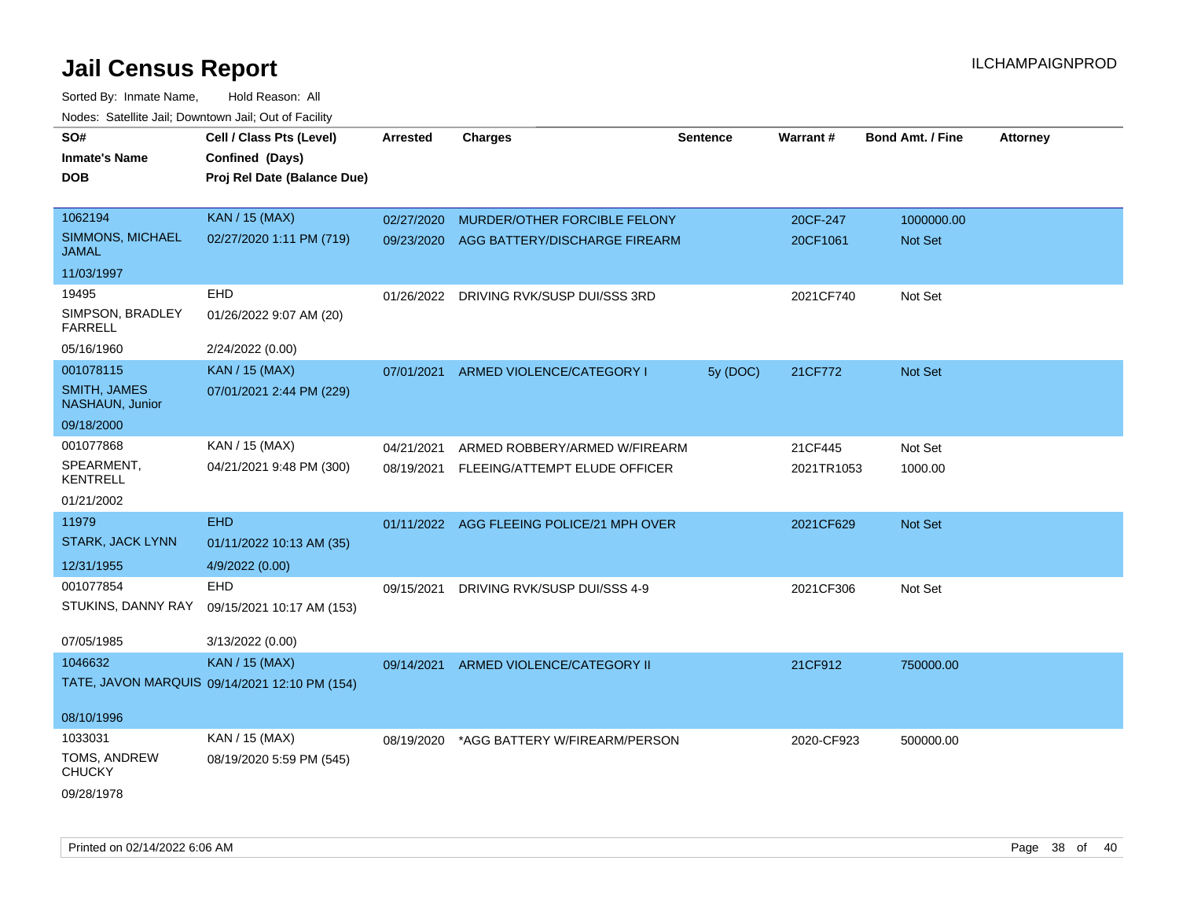| SO#                                     | Cell / Class Pts (Level)                      | <b>Arrested</b> | <b>Charges</b>                            | <b>Sentence</b> | Warrant#   | <b>Bond Amt. / Fine</b> | <b>Attorney</b> |
|-----------------------------------------|-----------------------------------------------|-----------------|-------------------------------------------|-----------------|------------|-------------------------|-----------------|
| <b>Inmate's Name</b>                    | Confined (Days)                               |                 |                                           |                 |            |                         |                 |
| <b>DOB</b>                              | Proj Rel Date (Balance Due)                   |                 |                                           |                 |            |                         |                 |
|                                         |                                               |                 |                                           |                 |            |                         |                 |
| 1062194                                 | <b>KAN / 15 (MAX)</b>                         | 02/27/2020      | MURDER/OTHER FORCIBLE FELONY              |                 | 20CF-247   | 1000000.00              |                 |
| <b>SIMMONS, MICHAEL</b><br><b>JAMAL</b> | 02/27/2020 1:11 PM (719)                      | 09/23/2020      | AGG BATTERY/DISCHARGE FIREARM             |                 | 20CF1061   | Not Set                 |                 |
| 11/03/1997                              |                                               |                 |                                           |                 |            |                         |                 |
| 19495                                   | EHD                                           | 01/26/2022      | DRIVING RVK/SUSP DUI/SSS 3RD              |                 | 2021CF740  | Not Set                 |                 |
| SIMPSON, BRADLEY<br><b>FARRELL</b>      | 01/26/2022 9:07 AM (20)                       |                 |                                           |                 |            |                         |                 |
| 05/16/1960                              | 2/24/2022 (0.00)                              |                 |                                           |                 |            |                         |                 |
| 001078115                               | KAN / 15 (MAX)                                | 07/01/2021      | ARMED VIOLENCE/CATEGORY I                 | 5y (DOC)        | 21CF772    | Not Set                 |                 |
| <b>SMITH, JAMES</b><br>NASHAUN, Junior  | 07/01/2021 2:44 PM (229)                      |                 |                                           |                 |            |                         |                 |
| 09/18/2000                              |                                               |                 |                                           |                 |            |                         |                 |
| 001077868                               | KAN / 15 (MAX)                                | 04/21/2021      | ARMED ROBBERY/ARMED W/FIREARM             |                 | 21CF445    | Not Set                 |                 |
| SPEARMENT,<br><b>KENTRELL</b>           | 04/21/2021 9:48 PM (300)                      |                 | 08/19/2021 FLEEING/ATTEMPT ELUDE OFFICER  |                 | 2021TR1053 | 1000.00                 |                 |
| 01/21/2002                              |                                               |                 |                                           |                 |            |                         |                 |
| 11979                                   | <b>EHD</b>                                    |                 | 01/11/2022 AGG FLEEING POLICE/21 MPH OVER |                 | 2021CF629  | Not Set                 |                 |
| STARK, JACK LYNN                        | 01/11/2022 10:13 AM (35)                      |                 |                                           |                 |            |                         |                 |
| 12/31/1955                              | 4/9/2022 (0.00)                               |                 |                                           |                 |            |                         |                 |
| 001077854                               | <b>EHD</b>                                    | 09/15/2021      | DRIVING RVK/SUSP DUI/SSS 4-9              |                 | 2021CF306  | Not Set                 |                 |
| STUKINS, DANNY RAY                      | 09/15/2021 10:17 AM (153)                     |                 |                                           |                 |            |                         |                 |
|                                         |                                               |                 |                                           |                 |            |                         |                 |
| 07/05/1985                              | 3/13/2022 (0.00)                              |                 |                                           |                 |            |                         |                 |
| 1046632                                 | <b>KAN / 15 (MAX)</b>                         | 09/14/2021      | ARMED VIOLENCE/CATEGORY II                |                 | 21CF912    | 750000.00               |                 |
|                                         | TATE, JAVON MARQUIS 09/14/2021 12:10 PM (154) |                 |                                           |                 |            |                         |                 |
| 08/10/1996                              |                                               |                 |                                           |                 |            |                         |                 |
| 1033031                                 | KAN / 15 (MAX)                                | 08/19/2020      | *AGG BATTERY W/FIREARM/PERSON             |                 | 2020-CF923 | 500000.00               |                 |
| TOMS, ANDREW<br><b>CHUCKY</b>           | 08/19/2020 5:59 PM (545)                      |                 |                                           |                 |            |                         |                 |
| 09/28/1978                              |                                               |                 |                                           |                 |            |                         |                 |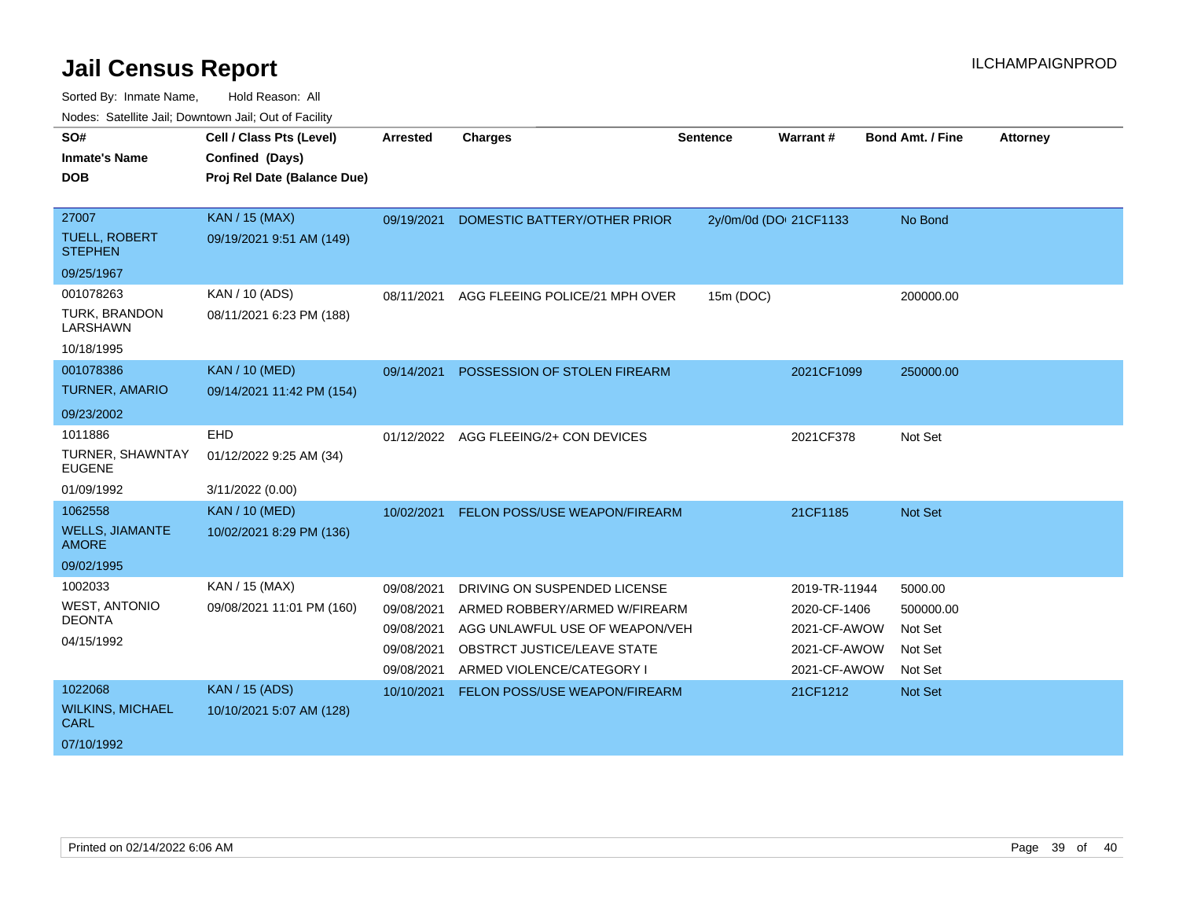| Noucs. Calcillity sail, Downtown sail, Out of Facility |                             |                 |                                       |                 |                        |                         |                 |
|--------------------------------------------------------|-----------------------------|-----------------|---------------------------------------|-----------------|------------------------|-------------------------|-----------------|
| SO#                                                    | Cell / Class Pts (Level)    | <b>Arrested</b> | <b>Charges</b>                        | <b>Sentence</b> | Warrant#               | <b>Bond Amt. / Fine</b> | <b>Attorney</b> |
| <b>Inmate's Name</b>                                   | Confined (Days)             |                 |                                       |                 |                        |                         |                 |
| <b>DOB</b>                                             | Proj Rel Date (Balance Due) |                 |                                       |                 |                        |                         |                 |
|                                                        |                             |                 |                                       |                 |                        |                         |                 |
| 27007                                                  | <b>KAN / 15 (MAX)</b>       | 09/19/2021      | DOMESTIC BATTERY/OTHER PRIOR          |                 | 2y/0m/0d (DOI 21CF1133 | No Bond                 |                 |
| <b>TUELL, ROBERT</b><br><b>STEPHEN</b>                 | 09/19/2021 9:51 AM (149)    |                 |                                       |                 |                        |                         |                 |
| 09/25/1967                                             |                             |                 |                                       |                 |                        |                         |                 |
| 001078263                                              | KAN / 10 (ADS)              | 08/11/2021      | AGG FLEEING POLICE/21 MPH OVER        | 15m (DOC)       |                        | 200000.00               |                 |
| <b>TURK, BRANDON</b><br>LARSHAWN                       | 08/11/2021 6:23 PM (188)    |                 |                                       |                 |                        |                         |                 |
| 10/18/1995                                             |                             |                 |                                       |                 |                        |                         |                 |
| 001078386                                              | <b>KAN / 10 (MED)</b>       | 09/14/2021      | POSSESSION OF STOLEN FIREARM          |                 | 2021CF1099             | 250000.00               |                 |
| <b>TURNER, AMARIO</b>                                  | 09/14/2021 11:42 PM (154)   |                 |                                       |                 |                        |                         |                 |
| 09/23/2002                                             |                             |                 |                                       |                 |                        |                         |                 |
| 1011886                                                | EHD                         |                 | 01/12/2022 AGG FLEEING/2+ CON DEVICES |                 | 2021CF378              | Not Set                 |                 |
| TURNER, SHAWNTAY<br><b>EUGENE</b>                      | 01/12/2022 9:25 AM (34)     |                 |                                       |                 |                        |                         |                 |
| 01/09/1992                                             | 3/11/2022 (0.00)            |                 |                                       |                 |                        |                         |                 |
| 1062558                                                | <b>KAN / 10 (MED)</b>       | 10/02/2021      | FELON POSS/USE WEAPON/FIREARM         |                 | 21CF1185               | <b>Not Set</b>          |                 |
| <b>WELLS, JIAMANTE</b><br><b>AMORE</b>                 | 10/02/2021 8:29 PM (136)    |                 |                                       |                 |                        |                         |                 |
| 09/02/1995                                             |                             |                 |                                       |                 |                        |                         |                 |
| 1002033                                                | KAN / 15 (MAX)              | 09/08/2021      | DRIVING ON SUSPENDED LICENSE          |                 | 2019-TR-11944          | 5000.00                 |                 |
| <b>WEST, ANTONIO</b>                                   | 09/08/2021 11:01 PM (160)   | 09/08/2021      | ARMED ROBBERY/ARMED W/FIREARM         |                 | 2020-CF-1406           | 500000.00               |                 |
| <b>DEONTA</b>                                          |                             | 09/08/2021      | AGG UNLAWFUL USE OF WEAPON/VEH        |                 | 2021-CF-AWOW           | Not Set                 |                 |
| 04/15/1992                                             |                             | 09/08/2021      | <b>OBSTRCT JUSTICE/LEAVE STATE</b>    |                 | 2021-CF-AWOW           | Not Set                 |                 |
|                                                        |                             | 09/08/2021      | ARMED VIOLENCE/CATEGORY I             |                 | 2021-CF-AWOW           | Not Set                 |                 |
| 1022068                                                | <b>KAN / 15 (ADS)</b>       | 10/10/2021      | FELON POSS/USE WEAPON/FIREARM         |                 | 21CF1212               | <b>Not Set</b>          |                 |
| <b>WILKINS, MICHAEL</b><br><b>CARL</b>                 | 10/10/2021 5:07 AM (128)    |                 |                                       |                 |                        |                         |                 |
| 07/10/1992                                             |                             |                 |                                       |                 |                        |                         |                 |